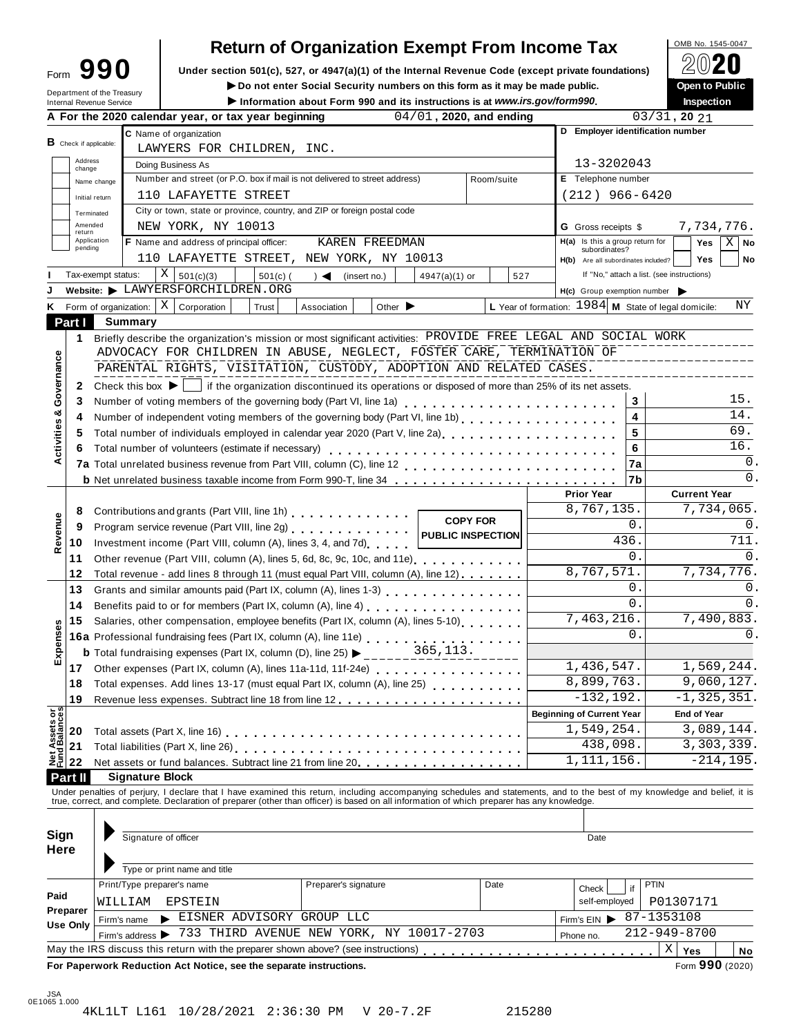| Form                       | 10 L |  |
|----------------------------|------|--|
| Department of the Treasury |      |  |

# **Return of Organization Exempt From Income Tax**<br>section 501(c), 527, or 4947(a)(1) of the Internal Revenue Code (except private foundations)

**Example 1990** Under section 501(c), 527, or 4947(a)(1) of the Internal Revenue Code (except private foundations)  $\angle \Box$ <br>Do not enter Social Security numbers on this form as it may be made public. Open to Public

**i h** Do not enter Social Security numbers on this form as it may be made public. **Open open c open c open c open c open c open c open c open c open c o** 

|                                                                                                                                                                                                                                                                                                                                                                                                                                                                                                                                                                                                                                                                                                                                                                                                                                                                                                                                                                                                                                                                                                                                                                                                                                                                                                                                                                                                                                                                                                                                                                                                                                                                                                                                                                                                                                                                                                                                                                                                                                                                                                                                                                                                                                                                                                                                                                                                                                                                                                                                                                                                                                                                                                                                                                                                                                                                                                                                                                                                                                                                                                                                                                                                                                                                                                                                                                                                                                                                                                                                                                                                                                                                                                                                                                                                                                                                                                                                                                                                                                                                                                                                                              |                 |  |                                                                                   |  |  |            | Inspection<br>$03/31$ , 20 21<br>13-3202043<br>Yes<br>subordinates?<br><b>Yes</b><br>If "No," attach a list. (see instructions)<br>3<br>$\overline{\mathbf{4}}$<br>5<br>6<br>7a<br>7b<br><b>Current Year</b><br>0.<br>436.<br>$\Omega$ .<br>0.<br>$\mathbf 0$ .<br>0.<br>$-132, 192.$<br><b>End of Year</b><br>438,098.<br>Date<br><b>PTIN</b><br>Check<br>if<br>self-employed<br>P01307171<br>Firm's EIN $\triangleright$ 87-1353108<br>212-949-8700<br>$\mathbf X$<br>Yes<br>Form 990 (2020) |                                                                                                                                                              |  |                |
|--------------------------------------------------------------------------------------------------------------------------------------------------------------------------------------------------------------------------------------------------------------------------------------------------------------------------------------------------------------------------------------------------------------------------------------------------------------------------------------------------------------------------------------------------------------------------------------------------------------------------------------------------------------------------------------------------------------------------------------------------------------------------------------------------------------------------------------------------------------------------------------------------------------------------------------------------------------------------------------------------------------------------------------------------------------------------------------------------------------------------------------------------------------------------------------------------------------------------------------------------------------------------------------------------------------------------------------------------------------------------------------------------------------------------------------------------------------------------------------------------------------------------------------------------------------------------------------------------------------------------------------------------------------------------------------------------------------------------------------------------------------------------------------------------------------------------------------------------------------------------------------------------------------------------------------------------------------------------------------------------------------------------------------------------------------------------------------------------------------------------------------------------------------------------------------------------------------------------------------------------------------------------------------------------------------------------------------------------------------------------------------------------------------------------------------------------------------------------------------------------------------------------------------------------------------------------------------------------------------------------------------------------------------------------------------------------------------------------------------------------------------------------------------------------------------------------------------------------------------------------------------------------------------------------------------------------------------------------------------------------------------------------------------------------------------------------------------------------------------------------------------------------------------------------------------------------------------------------------------------------------------------------------------------------------------------------------------------------------------------------------------------------------------------------------------------------------------------------------------------------------------------------------------------------------------------------------------------------------------------------------------------------------------------------------------------------------------------------------------------------------------------------------------------------------------------------------------------------------------------------------------------------------------------------------------------------------------------------------------------------------------------------------------------------------------------------------------------------------------------------------------------------------------|-----------------|--|-----------------------------------------------------------------------------------|--|--|------------|------------------------------------------------------------------------------------------------------------------------------------------------------------------------------------------------------------------------------------------------------------------------------------------------------------------------------------------------------------------------------------------------------------------------------------------------------------------------------------------------|--------------------------------------------------------------------------------------------------------------------------------------------------------------|--|----------------|
|                                                                                                                                                                                                                                                                                                                                                                                                                                                                                                                                                                                                                                                                                                                                                                                                                                                                                                                                                                                                                                                                                                                                                                                                                                                                                                                                                                                                                                                                                                                                                                                                                                                                                                                                                                                                                                                                                                                                                                                                                                                                                                                                                                                                                                                                                                                                                                                                                                                                                                                                                                                                                                                                                                                                                                                                                                                                                                                                                                                                                                                                                                                                                                                                                                                                                                                                                                                                                                                                                                                                                                                                                                                                                                                                                                                                                                                                                                                                                                                                                                                                                                                                                              |                 |  |                                                                                   |  |  |            |                                                                                                                                                                                                                                                                                                                                                                                                                                                                                                |                                                                                                                                                              |  |                |
| ► Do not enter Social Security numbers on this form as it may be made public.<br>Department of the Treasury<br>Information about Form 990 and its instructions is at www.irs.gov/form990.<br>Internal Revenue Service<br>04/01, 2020, and ending<br>A For the 2020 calendar year, or tax year beginning<br>D Employer identification number<br>C Name of organization<br>$B$ Check if applicable:<br>LAWYERS FOR CHILDREN, INC.<br>Address<br>Doing Business As<br>change<br>Number and street (or P.O. box if mail is not delivered to street address)<br>E Telephone number<br>Room/suite<br>Name change<br>$(212)$ 966-6420<br>110 LAFAYETTE STREET<br>Initial return<br>City or town, state or province, country, and ZIP or foreign postal code<br>Terminated<br>Amended<br>NEW YORK, NY 10013<br><b>G</b> Gross receipts \$<br>return<br>Application<br>F Name and address of principal officer:<br>$H(a)$ Is this a group return for<br>KAREN FREEDMAN<br>pending<br>110 LAFAYETTE STREET, NEW YORK, NY 10013<br>H(b) Are all subordinates included?<br>$X \mid$<br>Tax-exempt status:<br>$501(c)$ (<br>501(c)(3)<br>(insert no.)<br>527<br>$\rightarrow$<br>$4947(a)(1)$ or<br>Website: LAWYERSFORCHILDREN.ORG<br>$H(c)$ Group exemption number $\triangleright$<br>L Year of formation: $1984$ M State of legal domicile:<br>$X \vert$ Corporation<br>K Form of organization:<br>Association<br>Other $\blacktriangleright$<br>Trust<br>Part I<br><b>Summary</b><br>Briefly describe the organization's mission or most significant activities: PROVIDE FREE LEGAL AND SOCIAL WORK<br>1.<br>ADVOCACY FOR CHILDREN IN ABUSE, NEGLECT, FOSTER CARE, TERMINATION OF<br>Governance<br>PARENTAL RIGHTS, VISITATION, CUSTODY, ADOPTION AND RELATED CASES.<br>if the organization discontinued its operations or disposed of more than 25% of its net assets.<br>Check this box $\blacktriangleright$  <br>2<br>Number of voting members of the governing body (Part VI, line 1a)<br>3<br>ೲ<br>Number of independent voting members of the governing body (Part VI, line 1b)<br>4<br>Activities<br>Total number of individuals employed in calendar year 2020 (Part V, line 2a)<br>The 2a)<br>5<br>Total number of volunteers (estimate if necessary)<br>6<br><b>b</b> Net unrelated business taxable income from Form 990-T, line 34<br><b>Prior Year</b><br>8,767,135.<br>Contributions and grants (Part VIII, line 1h) [10] Contributions and grants (Part VIII, line 1h)<br>8<br>Revenue<br><b>COPY FOR</b><br>Program service revenue (Part VIII, line 2g)<br>9<br><b>PUBLIC INSPECTION</b><br>Investment income (Part VIII, column (A), lines 3, 4, and 7d)<br>10<br>11<br>Other revenue (Part VIII, column (A), lines 5, 6d, 8c, 9c, 10c, and 11e)<br>8,767,571.<br>12<br>Total revenue - add lines 8 through 11 (must equal Part VIII, column (A), line 12)<br>13<br>14<br>7,463,216.<br>Salaries, other compensation, employee benefits (Part IX, column (A), lines 5-10)<br>15<br>Expenses<br>16a Professional fundraising fees (Part IX, column (A), line 11e)<br>16a Professional fundraising fees (Part IX, column (A), line 11e)<br>365,113.<br><b>b</b> Total fundraising expenses (Part IX, column (D), line 25) $\blacktriangleright$ _____<br>1,436,547.<br>17<br>Other expenses (Part IX, column (A), lines 11a-11d, 11f-24e)<br>8,899,763.<br>Total expenses. Add lines 13-17 (must equal Part IX, column (A), line 25)<br>18<br>19<br><b>Net Assets or<br/>Fund Balances</b><br><b>Beginning of Current Year</b><br>1,549,254.<br>20<br>21<br>1, 111, 156.<br>22<br>Net assets or fund balances. Subtract line 21 from line 20.<br>Part II<br><b>Signature Block</b><br>Under penalties of perjury, I declare that I have examined this return, including accompanying schedules and statements, and to the best of my knowledge and belief, it is<br>true, correct, and complete. Declaration of prepare<br>Sign<br>Signature of officer<br>Here<br>Type or print name and title<br>Print/Type preparer's name<br>Preparer's signature<br>Date<br>Paid<br>WILLIAM<br>EPSTEIN<br>Preparer<br>EISNER ADVISORY GROUP LLC<br>Firm's name |                 |  |                                                                                   |  |  |            |                                                                                                                                                                                                                                                                                                                                                                                                                                                                                                |                                                                                                                                                              |  |                |
|                                                                                                                                                                                                                                                                                                                                                                                                                                                                                                                                                                                                                                                                                                                                                                                                                                                                                                                                                                                                                                                                                                                                                                                                                                                                                                                                                                                                                                                                                                                                                                                                                                                                                                                                                                                                                                                                                                                                                                                                                                                                                                                                                                                                                                                                                                                                                                                                                                                                                                                                                                                                                                                                                                                                                                                                                                                                                                                                                                                                                                                                                                                                                                                                                                                                                                                                                                                                                                                                                                                                                                                                                                                                                                                                                                                                                                                                                                                                                                                                                                                                                                                                                              |                 |  |                                                                                   |  |  |            |                                                                                                                                                                                                                                                                                                                                                                                                                                                                                                | <b>Open to Public</b><br>7,734,776.<br>7,734,776.<br>7,490,883.<br>1,569,244.<br>9,060,127.<br>$-1, 325, 351.$<br>3,089,144.<br>3, 303, 339.<br>$-214, 195.$ |  |                |
|                                                                                                                                                                                                                                                                                                                                                                                                                                                                                                                                                                                                                                                                                                                                                                                                                                                                                                                                                                                                                                                                                                                                                                                                                                                                                                                                                                                                                                                                                                                                                                                                                                                                                                                                                                                                                                                                                                                                                                                                                                                                                                                                                                                                                                                                                                                                                                                                                                                                                                                                                                                                                                                                                                                                                                                                                                                                                                                                                                                                                                                                                                                                                                                                                                                                                                                                                                                                                                                                                                                                                                                                                                                                                                                                                                                                                                                                                                                                                                                                                                                                                                                                                              |                 |  |                                                                                   |  |  |            |                                                                                                                                                                                                                                                                                                                                                                                                                                                                                                |                                                                                                                                                              |  |                |
|                                                                                                                                                                                                                                                                                                                                                                                                                                                                                                                                                                                                                                                                                                                                                                                                                                                                                                                                                                                                                                                                                                                                                                                                                                                                                                                                                                                                                                                                                                                                                                                                                                                                                                                                                                                                                                                                                                                                                                                                                                                                                                                                                                                                                                                                                                                                                                                                                                                                                                                                                                                                                                                                                                                                                                                                                                                                                                                                                                                                                                                                                                                                                                                                                                                                                                                                                                                                                                                                                                                                                                                                                                                                                                                                                                                                                                                                                                                                                                                                                                                                                                                                                              |                 |  |                                                                                   |  |  |            |                                                                                                                                                                                                                                                                                                                                                                                                                                                                                                |                                                                                                                                                              |  | $X \mid$ No    |
|                                                                                                                                                                                                                                                                                                                                                                                                                                                                                                                                                                                                                                                                                                                                                                                                                                                                                                                                                                                                                                                                                                                                                                                                                                                                                                                                                                                                                                                                                                                                                                                                                                                                                                                                                                                                                                                                                                                                                                                                                                                                                                                                                                                                                                                                                                                                                                                                                                                                                                                                                                                                                                                                                                                                                                                                                                                                                                                                                                                                                                                                                                                                                                                                                                                                                                                                                                                                                                                                                                                                                                                                                                                                                                                                                                                                                                                                                                                                                                                                                                                                                                                                                              |                 |  |                                                                                   |  |  |            |                                                                                                                                                                                                                                                                                                                                                                                                                                                                                                |                                                                                                                                                              |  | No             |
|                                                                                                                                                                                                                                                                                                                                                                                                                                                                                                                                                                                                                                                                                                                                                                                                                                                                                                                                                                                                                                                                                                                                                                                                                                                                                                                                                                                                                                                                                                                                                                                                                                                                                                                                                                                                                                                                                                                                                                                                                                                                                                                                                                                                                                                                                                                                                                                                                                                                                                                                                                                                                                                                                                                                                                                                                                                                                                                                                                                                                                                                                                                                                                                                                                                                                                                                                                                                                                                                                                                                                                                                                                                                                                                                                                                                                                                                                                                                                                                                                                                                                                                                                              |                 |  |                                                                                   |  |  |            |                                                                                                                                                                                                                                                                                                                                                                                                                                                                                                |                                                                                                                                                              |  |                |
|                                                                                                                                                                                                                                                                                                                                                                                                                                                                                                                                                                                                                                                                                                                                                                                                                                                                                                                                                                                                                                                                                                                                                                                                                                                                                                                                                                                                                                                                                                                                                                                                                                                                                                                                                                                                                                                                                                                                                                                                                                                                                                                                                                                                                                                                                                                                                                                                                                                                                                                                                                                                                                                                                                                                                                                                                                                                                                                                                                                                                                                                                                                                                                                                                                                                                                                                                                                                                                                                                                                                                                                                                                                                                                                                                                                                                                                                                                                                                                                                                                                                                                                                                              |                 |  |                                                                                   |  |  |            |                                                                                                                                                                                                                                                                                                                                                                                                                                                                                                |                                                                                                                                                              |  |                |
|                                                                                                                                                                                                                                                                                                                                                                                                                                                                                                                                                                                                                                                                                                                                                                                                                                                                                                                                                                                                                                                                                                                                                                                                                                                                                                                                                                                                                                                                                                                                                                                                                                                                                                                                                                                                                                                                                                                                                                                                                                                                                                                                                                                                                                                                                                                                                                                                                                                                                                                                                                                                                                                                                                                                                                                                                                                                                                                                                                                                                                                                                                                                                                                                                                                                                                                                                                                                                                                                                                                                                                                                                                                                                                                                                                                                                                                                                                                                                                                                                                                                                                                                                              |                 |  |                                                                                   |  |  |            |                                                                                                                                                                                                                                                                                                                                                                                                                                                                                                |                                                                                                                                                              |  | ΝY             |
|                                                                                                                                                                                                                                                                                                                                                                                                                                                                                                                                                                                                                                                                                                                                                                                                                                                                                                                                                                                                                                                                                                                                                                                                                                                                                                                                                                                                                                                                                                                                                                                                                                                                                                                                                                                                                                                                                                                                                                                                                                                                                                                                                                                                                                                                                                                                                                                                                                                                                                                                                                                                                                                                                                                                                                                                                                                                                                                                                                                                                                                                                                                                                                                                                                                                                                                                                                                                                                                                                                                                                                                                                                                                                                                                                                                                                                                                                                                                                                                                                                                                                                                                                              |                 |  |                                                                                   |  |  |            |                                                                                                                                                                                                                                                                                                                                                                                                                                                                                                |                                                                                                                                                              |  |                |
|                                                                                                                                                                                                                                                                                                                                                                                                                                                                                                                                                                                                                                                                                                                                                                                                                                                                                                                                                                                                                                                                                                                                                                                                                                                                                                                                                                                                                                                                                                                                                                                                                                                                                                                                                                                                                                                                                                                                                                                                                                                                                                                                                                                                                                                                                                                                                                                                                                                                                                                                                                                                                                                                                                                                                                                                                                                                                                                                                                                                                                                                                                                                                                                                                                                                                                                                                                                                                                                                                                                                                                                                                                                                                                                                                                                                                                                                                                                                                                                                                                                                                                                                                              |                 |  |                                                                                   |  |  |            |                                                                                                                                                                                                                                                                                                                                                                                                                                                                                                |                                                                                                                                                              |  |                |
|                                                                                                                                                                                                                                                                                                                                                                                                                                                                                                                                                                                                                                                                                                                                                                                                                                                                                                                                                                                                                                                                                                                                                                                                                                                                                                                                                                                                                                                                                                                                                                                                                                                                                                                                                                                                                                                                                                                                                                                                                                                                                                                                                                                                                                                                                                                                                                                                                                                                                                                                                                                                                                                                                                                                                                                                                                                                                                                                                                                                                                                                                                                                                                                                                                                                                                                                                                                                                                                                                                                                                                                                                                                                                                                                                                                                                                                                                                                                                                                                                                                                                                                                                              |                 |  |                                                                                   |  |  |            |                                                                                                                                                                                                                                                                                                                                                                                                                                                                                                |                                                                                                                                                              |  |                |
|                                                                                                                                                                                                                                                                                                                                                                                                                                                                                                                                                                                                                                                                                                                                                                                                                                                                                                                                                                                                                                                                                                                                                                                                                                                                                                                                                                                                                                                                                                                                                                                                                                                                                                                                                                                                                                                                                                                                                                                                                                                                                                                                                                                                                                                                                                                                                                                                                                                                                                                                                                                                                                                                                                                                                                                                                                                                                                                                                                                                                                                                                                                                                                                                                                                                                                                                                                                                                                                                                                                                                                                                                                                                                                                                                                                                                                                                                                                                                                                                                                                                                                                                                              |                 |  |                                                                                   |  |  |            |                                                                                                                                                                                                                                                                                                                                                                                                                                                                                                |                                                                                                                                                              |  |                |
|                                                                                                                                                                                                                                                                                                                                                                                                                                                                                                                                                                                                                                                                                                                                                                                                                                                                                                                                                                                                                                                                                                                                                                                                                                                                                                                                                                                                                                                                                                                                                                                                                                                                                                                                                                                                                                                                                                                                                                                                                                                                                                                                                                                                                                                                                                                                                                                                                                                                                                                                                                                                                                                                                                                                                                                                                                                                                                                                                                                                                                                                                                                                                                                                                                                                                                                                                                                                                                                                                                                                                                                                                                                                                                                                                                                                                                                                                                                                                                                                                                                                                                                                                              |                 |  |                                                                                   |  |  |            |                                                                                                                                                                                                                                                                                                                                                                                                                                                                                                |                                                                                                                                                              |  |                |
|                                                                                                                                                                                                                                                                                                                                                                                                                                                                                                                                                                                                                                                                                                                                                                                                                                                                                                                                                                                                                                                                                                                                                                                                                                                                                                                                                                                                                                                                                                                                                                                                                                                                                                                                                                                                                                                                                                                                                                                                                                                                                                                                                                                                                                                                                                                                                                                                                                                                                                                                                                                                                                                                                                                                                                                                                                                                                                                                                                                                                                                                                                                                                                                                                                                                                                                                                                                                                                                                                                                                                                                                                                                                                                                                                                                                                                                                                                                                                                                                                                                                                                                                                              |                 |  |                                                                                   |  |  |            |                                                                                                                                                                                                                                                                                                                                                                                                                                                                                                |                                                                                                                                                              |  | 15.            |
|                                                                                                                                                                                                                                                                                                                                                                                                                                                                                                                                                                                                                                                                                                                                                                                                                                                                                                                                                                                                                                                                                                                                                                                                                                                                                                                                                                                                                                                                                                                                                                                                                                                                                                                                                                                                                                                                                                                                                                                                                                                                                                                                                                                                                                                                                                                                                                                                                                                                                                                                                                                                                                                                                                                                                                                                                                                                                                                                                                                                                                                                                                                                                                                                                                                                                                                                                                                                                                                                                                                                                                                                                                                                                                                                                                                                                                                                                                                                                                                                                                                                                                                                                              |                 |  |                                                                                   |  |  |            |                                                                                                                                                                                                                                                                                                                                                                                                                                                                                                |                                                                                                                                                              |  | 14.            |
|                                                                                                                                                                                                                                                                                                                                                                                                                                                                                                                                                                                                                                                                                                                                                                                                                                                                                                                                                                                                                                                                                                                                                                                                                                                                                                                                                                                                                                                                                                                                                                                                                                                                                                                                                                                                                                                                                                                                                                                                                                                                                                                                                                                                                                                                                                                                                                                                                                                                                                                                                                                                                                                                                                                                                                                                                                                                                                                                                                                                                                                                                                                                                                                                                                                                                                                                                                                                                                                                                                                                                                                                                                                                                                                                                                                                                                                                                                                                                                                                                                                                                                                                                              |                 |  |                                                                                   |  |  |            |                                                                                                                                                                                                                                                                                                                                                                                                                                                                                                |                                                                                                                                                              |  | 69.            |
|                                                                                                                                                                                                                                                                                                                                                                                                                                                                                                                                                                                                                                                                                                                                                                                                                                                                                                                                                                                                                                                                                                                                                                                                                                                                                                                                                                                                                                                                                                                                                                                                                                                                                                                                                                                                                                                                                                                                                                                                                                                                                                                                                                                                                                                                                                                                                                                                                                                                                                                                                                                                                                                                                                                                                                                                                                                                                                                                                                                                                                                                                                                                                                                                                                                                                                                                                                                                                                                                                                                                                                                                                                                                                                                                                                                                                                                                                                                                                                                                                                                                                                                                                              |                 |  |                                                                                   |  |  |            |                                                                                                                                                                                                                                                                                                                                                                                                                                                                                                |                                                                                                                                                              |  | 16.            |
|                                                                                                                                                                                                                                                                                                                                                                                                                                                                                                                                                                                                                                                                                                                                                                                                                                                                                                                                                                                                                                                                                                                                                                                                                                                                                                                                                                                                                                                                                                                                                                                                                                                                                                                                                                                                                                                                                                                                                                                                                                                                                                                                                                                                                                                                                                                                                                                                                                                                                                                                                                                                                                                                                                                                                                                                                                                                                                                                                                                                                                                                                                                                                                                                                                                                                                                                                                                                                                                                                                                                                                                                                                                                                                                                                                                                                                                                                                                                                                                                                                                                                                                                                              |                 |  |                                                                                   |  |  |            |                                                                                                                                                                                                                                                                                                                                                                                                                                                                                                |                                                                                                                                                              |  | 0.             |
|                                                                                                                                                                                                                                                                                                                                                                                                                                                                                                                                                                                                                                                                                                                                                                                                                                                                                                                                                                                                                                                                                                                                                                                                                                                                                                                                                                                                                                                                                                                                                                                                                                                                                                                                                                                                                                                                                                                                                                                                                                                                                                                                                                                                                                                                                                                                                                                                                                                                                                                                                                                                                                                                                                                                                                                                                                                                                                                                                                                                                                                                                                                                                                                                                                                                                                                                                                                                                                                                                                                                                                                                                                                                                                                                                                                                                                                                                                                                                                                                                                                                                                                                                              |                 |  |                                                                                   |  |  |            |                                                                                                                                                                                                                                                                                                                                                                                                                                                                                                |                                                                                                                                                              |  | $\mathbf{0}$ . |
|                                                                                                                                                                                                                                                                                                                                                                                                                                                                                                                                                                                                                                                                                                                                                                                                                                                                                                                                                                                                                                                                                                                                                                                                                                                                                                                                                                                                                                                                                                                                                                                                                                                                                                                                                                                                                                                                                                                                                                                                                                                                                                                                                                                                                                                                                                                                                                                                                                                                                                                                                                                                                                                                                                                                                                                                                                                                                                                                                                                                                                                                                                                                                                                                                                                                                                                                                                                                                                                                                                                                                                                                                                                                                                                                                                                                                                                                                                                                                                                                                                                                                                                                                              |                 |  |                                                                                   |  |  |            |                                                                                                                                                                                                                                                                                                                                                                                                                                                                                                |                                                                                                                                                              |  |                |
|                                                                                                                                                                                                                                                                                                                                                                                                                                                                                                                                                                                                                                                                                                                                                                                                                                                                                                                                                                                                                                                                                                                                                                                                                                                                                                                                                                                                                                                                                                                                                                                                                                                                                                                                                                                                                                                                                                                                                                                                                                                                                                                                                                                                                                                                                                                                                                                                                                                                                                                                                                                                                                                                                                                                                                                                                                                                                                                                                                                                                                                                                                                                                                                                                                                                                                                                                                                                                                                                                                                                                                                                                                                                                                                                                                                                                                                                                                                                                                                                                                                                                                                                                              |                 |  |                                                                                   |  |  | 7,734,065. |                                                                                                                                                                                                                                                                                                                                                                                                                                                                                                |                                                                                                                                                              |  |                |
|                                                                                                                                                                                                                                                                                                                                                                                                                                                                                                                                                                                                                                                                                                                                                                                                                                                                                                                                                                                                                                                                                                                                                                                                                                                                                                                                                                                                                                                                                                                                                                                                                                                                                                                                                                                                                                                                                                                                                                                                                                                                                                                                                                                                                                                                                                                                                                                                                                                                                                                                                                                                                                                                                                                                                                                                                                                                                                                                                                                                                                                                                                                                                                                                                                                                                                                                                                                                                                                                                                                                                                                                                                                                                                                                                                                                                                                                                                                                                                                                                                                                                                                                                              |                 |  |                                                                                   |  |  |            |                                                                                                                                                                                                                                                                                                                                                                                                                                                                                                |                                                                                                                                                              |  | 0.             |
|                                                                                                                                                                                                                                                                                                                                                                                                                                                                                                                                                                                                                                                                                                                                                                                                                                                                                                                                                                                                                                                                                                                                                                                                                                                                                                                                                                                                                                                                                                                                                                                                                                                                                                                                                                                                                                                                                                                                                                                                                                                                                                                                                                                                                                                                                                                                                                                                                                                                                                                                                                                                                                                                                                                                                                                                                                                                                                                                                                                                                                                                                                                                                                                                                                                                                                                                                                                                                                                                                                                                                                                                                                                                                                                                                                                                                                                                                                                                                                                                                                                                                                                                                              |                 |  |                                                                                   |  |  | 711.       |                                                                                                                                                                                                                                                                                                                                                                                                                                                                                                |                                                                                                                                                              |  |                |
|                                                                                                                                                                                                                                                                                                                                                                                                                                                                                                                                                                                                                                                                                                                                                                                                                                                                                                                                                                                                                                                                                                                                                                                                                                                                                                                                                                                                                                                                                                                                                                                                                                                                                                                                                                                                                                                                                                                                                                                                                                                                                                                                                                                                                                                                                                                                                                                                                                                                                                                                                                                                                                                                                                                                                                                                                                                                                                                                                                                                                                                                                                                                                                                                                                                                                                                                                                                                                                                                                                                                                                                                                                                                                                                                                                                                                                                                                                                                                                                                                                                                                                                                                              |                 |  |                                                                                   |  |  |            |                                                                                                                                                                                                                                                                                                                                                                                                                                                                                                |                                                                                                                                                              |  | 0.             |
|                                                                                                                                                                                                                                                                                                                                                                                                                                                                                                                                                                                                                                                                                                                                                                                                                                                                                                                                                                                                                                                                                                                                                                                                                                                                                                                                                                                                                                                                                                                                                                                                                                                                                                                                                                                                                                                                                                                                                                                                                                                                                                                                                                                                                                                                                                                                                                                                                                                                                                                                                                                                                                                                                                                                                                                                                                                                                                                                                                                                                                                                                                                                                                                                                                                                                                                                                                                                                                                                                                                                                                                                                                                                                                                                                                                                                                                                                                                                                                                                                                                                                                                                                              |                 |  |                                                                                   |  |  |            |                                                                                                                                                                                                                                                                                                                                                                                                                                                                                                |                                                                                                                                                              |  |                |
|                                                                                                                                                                                                                                                                                                                                                                                                                                                                                                                                                                                                                                                                                                                                                                                                                                                                                                                                                                                                                                                                                                                                                                                                                                                                                                                                                                                                                                                                                                                                                                                                                                                                                                                                                                                                                                                                                                                                                                                                                                                                                                                                                                                                                                                                                                                                                                                                                                                                                                                                                                                                                                                                                                                                                                                                                                                                                                                                                                                                                                                                                                                                                                                                                                                                                                                                                                                                                                                                                                                                                                                                                                                                                                                                                                                                                                                                                                                                                                                                                                                                                                                                                              |                 |  |                                                                                   |  |  |            |                                                                                                                                                                                                                                                                                                                                                                                                                                                                                                |                                                                                                                                                              |  | 0.             |
|                                                                                                                                                                                                                                                                                                                                                                                                                                                                                                                                                                                                                                                                                                                                                                                                                                                                                                                                                                                                                                                                                                                                                                                                                                                                                                                                                                                                                                                                                                                                                                                                                                                                                                                                                                                                                                                                                                                                                                                                                                                                                                                                                                                                                                                                                                                                                                                                                                                                                                                                                                                                                                                                                                                                                                                                                                                                                                                                                                                                                                                                                                                                                                                                                                                                                                                                                                                                                                                                                                                                                                                                                                                                                                                                                                                                                                                                                                                                                                                                                                                                                                                                                              |                 |  |                                                                                   |  |  |            |                                                                                                                                                                                                                                                                                                                                                                                                                                                                                                |                                                                                                                                                              |  | $\mathbf{0}$ . |
|                                                                                                                                                                                                                                                                                                                                                                                                                                                                                                                                                                                                                                                                                                                                                                                                                                                                                                                                                                                                                                                                                                                                                                                                                                                                                                                                                                                                                                                                                                                                                                                                                                                                                                                                                                                                                                                                                                                                                                                                                                                                                                                                                                                                                                                                                                                                                                                                                                                                                                                                                                                                                                                                                                                                                                                                                                                                                                                                                                                                                                                                                                                                                                                                                                                                                                                                                                                                                                                                                                                                                                                                                                                                                                                                                                                                                                                                                                                                                                                                                                                                                                                                                              |                 |  |                                                                                   |  |  |            |                                                                                                                                                                                                                                                                                                                                                                                                                                                                                                |                                                                                                                                                              |  |                |
|                                                                                                                                                                                                                                                                                                                                                                                                                                                                                                                                                                                                                                                                                                                                                                                                                                                                                                                                                                                                                                                                                                                                                                                                                                                                                                                                                                                                                                                                                                                                                                                                                                                                                                                                                                                                                                                                                                                                                                                                                                                                                                                                                                                                                                                                                                                                                                                                                                                                                                                                                                                                                                                                                                                                                                                                                                                                                                                                                                                                                                                                                                                                                                                                                                                                                                                                                                                                                                                                                                                                                                                                                                                                                                                                                                                                                                                                                                                                                                                                                                                                                                                                                              |                 |  |                                                                                   |  |  |            |                                                                                                                                                                                                                                                                                                                                                                                                                                                                                                |                                                                                                                                                              |  | 0.             |
|                                                                                                                                                                                                                                                                                                                                                                                                                                                                                                                                                                                                                                                                                                                                                                                                                                                                                                                                                                                                                                                                                                                                                                                                                                                                                                                                                                                                                                                                                                                                                                                                                                                                                                                                                                                                                                                                                                                                                                                                                                                                                                                                                                                                                                                                                                                                                                                                                                                                                                                                                                                                                                                                                                                                                                                                                                                                                                                                                                                                                                                                                                                                                                                                                                                                                                                                                                                                                                                                                                                                                                                                                                                                                                                                                                                                                                                                                                                                                                                                                                                                                                                                                              |                 |  |                                                                                   |  |  |            |                                                                                                                                                                                                                                                                                                                                                                                                                                                                                                |                                                                                                                                                              |  |                |
|                                                                                                                                                                                                                                                                                                                                                                                                                                                                                                                                                                                                                                                                                                                                                                                                                                                                                                                                                                                                                                                                                                                                                                                                                                                                                                                                                                                                                                                                                                                                                                                                                                                                                                                                                                                                                                                                                                                                                                                                                                                                                                                                                                                                                                                                                                                                                                                                                                                                                                                                                                                                                                                                                                                                                                                                                                                                                                                                                                                                                                                                                                                                                                                                                                                                                                                                                                                                                                                                                                                                                                                                                                                                                                                                                                                                                                                                                                                                                                                                                                                                                                                                                              |                 |  |                                                                                   |  |  |            |                                                                                                                                                                                                                                                                                                                                                                                                                                                                                                |                                                                                                                                                              |  |                |
|                                                                                                                                                                                                                                                                                                                                                                                                                                                                                                                                                                                                                                                                                                                                                                                                                                                                                                                                                                                                                                                                                                                                                                                                                                                                                                                                                                                                                                                                                                                                                                                                                                                                                                                                                                                                                                                                                                                                                                                                                                                                                                                                                                                                                                                                                                                                                                                                                                                                                                                                                                                                                                                                                                                                                                                                                                                                                                                                                                                                                                                                                                                                                                                                                                                                                                                                                                                                                                                                                                                                                                                                                                                                                                                                                                                                                                                                                                                                                                                                                                                                                                                                                              |                 |  |                                                                                   |  |  |            |                                                                                                                                                                                                                                                                                                                                                                                                                                                                                                |                                                                                                                                                              |  |                |
|                                                                                                                                                                                                                                                                                                                                                                                                                                                                                                                                                                                                                                                                                                                                                                                                                                                                                                                                                                                                                                                                                                                                                                                                                                                                                                                                                                                                                                                                                                                                                                                                                                                                                                                                                                                                                                                                                                                                                                                                                                                                                                                                                                                                                                                                                                                                                                                                                                                                                                                                                                                                                                                                                                                                                                                                                                                                                                                                                                                                                                                                                                                                                                                                                                                                                                                                                                                                                                                                                                                                                                                                                                                                                                                                                                                                                                                                                                                                                                                                                                                                                                                                                              |                 |  |                                                                                   |  |  |            |                                                                                                                                                                                                                                                                                                                                                                                                                                                                                                |                                                                                                                                                              |  |                |
|                                                                                                                                                                                                                                                                                                                                                                                                                                                                                                                                                                                                                                                                                                                                                                                                                                                                                                                                                                                                                                                                                                                                                                                                                                                                                                                                                                                                                                                                                                                                                                                                                                                                                                                                                                                                                                                                                                                                                                                                                                                                                                                                                                                                                                                                                                                                                                                                                                                                                                                                                                                                                                                                                                                                                                                                                                                                                                                                                                                                                                                                                                                                                                                                                                                                                                                                                                                                                                                                                                                                                                                                                                                                                                                                                                                                                                                                                                                                                                                                                                                                                                                                                              |                 |  |                                                                                   |  |  |            |                                                                                                                                                                                                                                                                                                                                                                                                                                                                                                |                                                                                                                                                              |  |                |
|                                                                                                                                                                                                                                                                                                                                                                                                                                                                                                                                                                                                                                                                                                                                                                                                                                                                                                                                                                                                                                                                                                                                                                                                                                                                                                                                                                                                                                                                                                                                                                                                                                                                                                                                                                                                                                                                                                                                                                                                                                                                                                                                                                                                                                                                                                                                                                                                                                                                                                                                                                                                                                                                                                                                                                                                                                                                                                                                                                                                                                                                                                                                                                                                                                                                                                                                                                                                                                                                                                                                                                                                                                                                                                                                                                                                                                                                                                                                                                                                                                                                                                                                                              |                 |  |                                                                                   |  |  |            |                                                                                                                                                                                                                                                                                                                                                                                                                                                                                                |                                                                                                                                                              |  |                |
|                                                                                                                                                                                                                                                                                                                                                                                                                                                                                                                                                                                                                                                                                                                                                                                                                                                                                                                                                                                                                                                                                                                                                                                                                                                                                                                                                                                                                                                                                                                                                                                                                                                                                                                                                                                                                                                                                                                                                                                                                                                                                                                                                                                                                                                                                                                                                                                                                                                                                                                                                                                                                                                                                                                                                                                                                                                                                                                                                                                                                                                                                                                                                                                                                                                                                                                                                                                                                                                                                                                                                                                                                                                                                                                                                                                                                                                                                                                                                                                                                                                                                                                                                              |                 |  |                                                                                   |  |  |            |                                                                                                                                                                                                                                                                                                                                                                                                                                                                                                |                                                                                                                                                              |  |                |
|                                                                                                                                                                                                                                                                                                                                                                                                                                                                                                                                                                                                                                                                                                                                                                                                                                                                                                                                                                                                                                                                                                                                                                                                                                                                                                                                                                                                                                                                                                                                                                                                                                                                                                                                                                                                                                                                                                                                                                                                                                                                                                                                                                                                                                                                                                                                                                                                                                                                                                                                                                                                                                                                                                                                                                                                                                                                                                                                                                                                                                                                                                                                                                                                                                                                                                                                                                                                                                                                                                                                                                                                                                                                                                                                                                                                                                                                                                                                                                                                                                                                                                                                                              |                 |  |                                                                                   |  |  |            |                                                                                                                                                                                                                                                                                                                                                                                                                                                                                                |                                                                                                                                                              |  |                |
|                                                                                                                                                                                                                                                                                                                                                                                                                                                                                                                                                                                                                                                                                                                                                                                                                                                                                                                                                                                                                                                                                                                                                                                                                                                                                                                                                                                                                                                                                                                                                                                                                                                                                                                                                                                                                                                                                                                                                                                                                                                                                                                                                                                                                                                                                                                                                                                                                                                                                                                                                                                                                                                                                                                                                                                                                                                                                                                                                                                                                                                                                                                                                                                                                                                                                                                                                                                                                                                                                                                                                                                                                                                                                                                                                                                                                                                                                                                                                                                                                                                                                                                                                              |                 |  |                                                                                   |  |  |            |                                                                                                                                                                                                                                                                                                                                                                                                                                                                                                |                                                                                                                                                              |  |                |
|                                                                                                                                                                                                                                                                                                                                                                                                                                                                                                                                                                                                                                                                                                                                                                                                                                                                                                                                                                                                                                                                                                                                                                                                                                                                                                                                                                                                                                                                                                                                                                                                                                                                                                                                                                                                                                                                                                                                                                                                                                                                                                                                                                                                                                                                                                                                                                                                                                                                                                                                                                                                                                                                                                                                                                                                                                                                                                                                                                                                                                                                                                                                                                                                                                                                                                                                                                                                                                                                                                                                                                                                                                                                                                                                                                                                                                                                                                                                                                                                                                                                                                                                                              |                 |  |                                                                                   |  |  |            |                                                                                                                                                                                                                                                                                                                                                                                                                                                                                                |                                                                                                                                                              |  |                |
|                                                                                                                                                                                                                                                                                                                                                                                                                                                                                                                                                                                                                                                                                                                                                                                                                                                                                                                                                                                                                                                                                                                                                                                                                                                                                                                                                                                                                                                                                                                                                                                                                                                                                                                                                                                                                                                                                                                                                                                                                                                                                                                                                                                                                                                                                                                                                                                                                                                                                                                                                                                                                                                                                                                                                                                                                                                                                                                                                                                                                                                                                                                                                                                                                                                                                                                                                                                                                                                                                                                                                                                                                                                                                                                                                                                                                                                                                                                                                                                                                                                                                                                                                              |                 |  |                                                                                   |  |  |            |                                                                                                                                                                                                                                                                                                                                                                                                                                                                                                |                                                                                                                                                              |  |                |
|                                                                                                                                                                                                                                                                                                                                                                                                                                                                                                                                                                                                                                                                                                                                                                                                                                                                                                                                                                                                                                                                                                                                                                                                                                                                                                                                                                                                                                                                                                                                                                                                                                                                                                                                                                                                                                                                                                                                                                                                                                                                                                                                                                                                                                                                                                                                                                                                                                                                                                                                                                                                                                                                                                                                                                                                                                                                                                                                                                                                                                                                                                                                                                                                                                                                                                                                                                                                                                                                                                                                                                                                                                                                                                                                                                                                                                                                                                                                                                                                                                                                                                                                                              |                 |  |                                                                                   |  |  |            |                                                                                                                                                                                                                                                                                                                                                                                                                                                                                                |                                                                                                                                                              |  |                |
|                                                                                                                                                                                                                                                                                                                                                                                                                                                                                                                                                                                                                                                                                                                                                                                                                                                                                                                                                                                                                                                                                                                                                                                                                                                                                                                                                                                                                                                                                                                                                                                                                                                                                                                                                                                                                                                                                                                                                                                                                                                                                                                                                                                                                                                                                                                                                                                                                                                                                                                                                                                                                                                                                                                                                                                                                                                                                                                                                                                                                                                                                                                                                                                                                                                                                                                                                                                                                                                                                                                                                                                                                                                                                                                                                                                                                                                                                                                                                                                                                                                                                                                                                              |                 |  |                                                                                   |  |  |            |                                                                                                                                                                                                                                                                                                                                                                                                                                                                                                |                                                                                                                                                              |  |                |
|                                                                                                                                                                                                                                                                                                                                                                                                                                                                                                                                                                                                                                                                                                                                                                                                                                                                                                                                                                                                                                                                                                                                                                                                                                                                                                                                                                                                                                                                                                                                                                                                                                                                                                                                                                                                                                                                                                                                                                                                                                                                                                                                                                                                                                                                                                                                                                                                                                                                                                                                                                                                                                                                                                                                                                                                                                                                                                                                                                                                                                                                                                                                                                                                                                                                                                                                                                                                                                                                                                                                                                                                                                                                                                                                                                                                                                                                                                                                                                                                                                                                                                                                                              |                 |  |                                                                                   |  |  |            |                                                                                                                                                                                                                                                                                                                                                                                                                                                                                                |                                                                                                                                                              |  |                |
|                                                                                                                                                                                                                                                                                                                                                                                                                                                                                                                                                                                                                                                                                                                                                                                                                                                                                                                                                                                                                                                                                                                                                                                                                                                                                                                                                                                                                                                                                                                                                                                                                                                                                                                                                                                                                                                                                                                                                                                                                                                                                                                                                                                                                                                                                                                                                                                                                                                                                                                                                                                                                                                                                                                                                                                                                                                                                                                                                                                                                                                                                                                                                                                                                                                                                                                                                                                                                                                                                                                                                                                                                                                                                                                                                                                                                                                                                                                                                                                                                                                                                                                                                              |                 |  |                                                                                   |  |  |            |                                                                                                                                                                                                                                                                                                                                                                                                                                                                                                |                                                                                                                                                              |  |                |
|                                                                                                                                                                                                                                                                                                                                                                                                                                                                                                                                                                                                                                                                                                                                                                                                                                                                                                                                                                                                                                                                                                                                                                                                                                                                                                                                                                                                                                                                                                                                                                                                                                                                                                                                                                                                                                                                                                                                                                                                                                                                                                                                                                                                                                                                                                                                                                                                                                                                                                                                                                                                                                                                                                                                                                                                                                                                                                                                                                                                                                                                                                                                                                                                                                                                                                                                                                                                                                                                                                                                                                                                                                                                                                                                                                                                                                                                                                                                                                                                                                                                                                                                                              |                 |  |                                                                                   |  |  |            |                                                                                                                                                                                                                                                                                                                                                                                                                                                                                                |                                                                                                                                                              |  |                |
|                                                                                                                                                                                                                                                                                                                                                                                                                                                                                                                                                                                                                                                                                                                                                                                                                                                                                                                                                                                                                                                                                                                                                                                                                                                                                                                                                                                                                                                                                                                                                                                                                                                                                                                                                                                                                                                                                                                                                                                                                                                                                                                                                                                                                                                                                                                                                                                                                                                                                                                                                                                                                                                                                                                                                                                                                                                                                                                                                                                                                                                                                                                                                                                                                                                                                                                                                                                                                                                                                                                                                                                                                                                                                                                                                                                                                                                                                                                                                                                                                                                                                                                                                              |                 |  |                                                                                   |  |  |            |                                                                                                                                                                                                                                                                                                                                                                                                                                                                                                |                                                                                                                                                              |  |                |
|                                                                                                                                                                                                                                                                                                                                                                                                                                                                                                                                                                                                                                                                                                                                                                                                                                                                                                                                                                                                                                                                                                                                                                                                                                                                                                                                                                                                                                                                                                                                                                                                                                                                                                                                                                                                                                                                                                                                                                                                                                                                                                                                                                                                                                                                                                                                                                                                                                                                                                                                                                                                                                                                                                                                                                                                                                                                                                                                                                                                                                                                                                                                                                                                                                                                                                                                                                                                                                                                                                                                                                                                                                                                                                                                                                                                                                                                                                                                                                                                                                                                                                                                                              | <b>Use Only</b> |  |                                                                                   |  |  |            |                                                                                                                                                                                                                                                                                                                                                                                                                                                                                                |                                                                                                                                                              |  |                |
|                                                                                                                                                                                                                                                                                                                                                                                                                                                                                                                                                                                                                                                                                                                                                                                                                                                                                                                                                                                                                                                                                                                                                                                                                                                                                                                                                                                                                                                                                                                                                                                                                                                                                                                                                                                                                                                                                                                                                                                                                                                                                                                                                                                                                                                                                                                                                                                                                                                                                                                                                                                                                                                                                                                                                                                                                                                                                                                                                                                                                                                                                                                                                                                                                                                                                                                                                                                                                                                                                                                                                                                                                                                                                                                                                                                                                                                                                                                                                                                                                                                                                                                                                              |                 |  | Firm's address > 733 THIRD AVENUE NEW YORK, NY 10017-2703                         |  |  | Phone no.  |                                                                                                                                                                                                                                                                                                                                                                                                                                                                                                |                                                                                                                                                              |  |                |
|                                                                                                                                                                                                                                                                                                                                                                                                                                                                                                                                                                                                                                                                                                                                                                                                                                                                                                                                                                                                                                                                                                                                                                                                                                                                                                                                                                                                                                                                                                                                                                                                                                                                                                                                                                                                                                                                                                                                                                                                                                                                                                                                                                                                                                                                                                                                                                                                                                                                                                                                                                                                                                                                                                                                                                                                                                                                                                                                                                                                                                                                                                                                                                                                                                                                                                                                                                                                                                                                                                                                                                                                                                                                                                                                                                                                                                                                                                                                                                                                                                                                                                                                                              |                 |  | May the IRS discuss this return with the preparer shown above? (see instructions) |  |  |            |                                                                                                                                                                                                                                                                                                                                                                                                                                                                                                |                                                                                                                                                              |  | No             |
|                                                                                                                                                                                                                                                                                                                                                                                                                                                                                                                                                                                                                                                                                                                                                                                                                                                                                                                                                                                                                                                                                                                                                                                                                                                                                                                                                                                                                                                                                                                                                                                                                                                                                                                                                                                                                                                                                                                                                                                                                                                                                                                                                                                                                                                                                                                                                                                                                                                                                                                                                                                                                                                                                                                                                                                                                                                                                                                                                                                                                                                                                                                                                                                                                                                                                                                                                                                                                                                                                                                                                                                                                                                                                                                                                                                                                                                                                                                                                                                                                                                                                                                                                              |                 |  | For Paperwork Reduction Act Notice, see the separate instructions.                |  |  |            |                                                                                                                                                                                                                                                                                                                                                                                                                                                                                                |                                                                                                                                                              |  |                |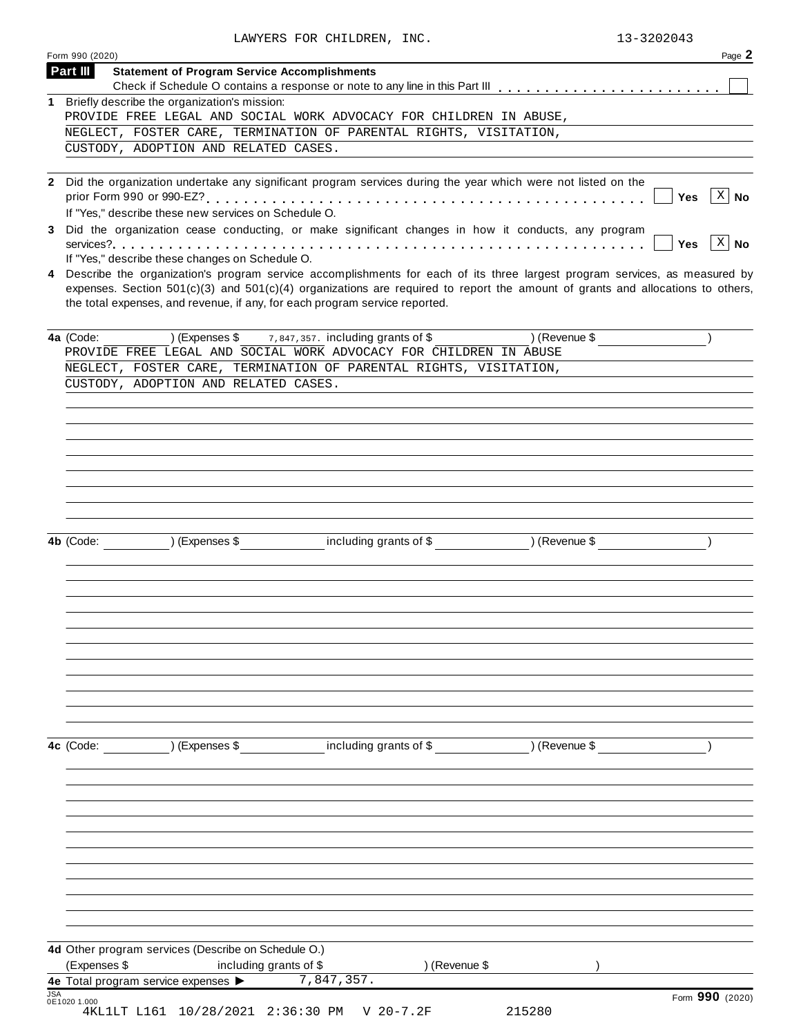|              | Form 990 (2020)                                                                                                                                                                                                                                                                                                                                   |               | Page 2   |
|--------------|---------------------------------------------------------------------------------------------------------------------------------------------------------------------------------------------------------------------------------------------------------------------------------------------------------------------------------------------------|---------------|----------|
| Part III     | <b>Statement of Program Service Accomplishments</b>                                                                                                                                                                                                                                                                                               |               |          |
| 1            | Briefly describe the organization's mission:                                                                                                                                                                                                                                                                                                      |               |          |
|              | PROVIDE FREE LEGAL AND SOCIAL WORK ADVOCACY FOR CHILDREN IN ABUSE,                                                                                                                                                                                                                                                                                |               |          |
|              | NEGLECT, FOSTER CARE, TERMINATION OF PARENTAL RIGHTS, VISITATION,                                                                                                                                                                                                                                                                                 |               |          |
|              | CUSTODY, ADOPTION AND RELATED CASES.                                                                                                                                                                                                                                                                                                              |               |          |
|              |                                                                                                                                                                                                                                                                                                                                                   |               |          |
|              | 2 Did the organization undertake any significant program services during the year which were not listed on the<br>If "Yes," describe these new services on Schedule O.                                                                                                                                                                            | Yes           | $ X $ No |
|              | Did the organization cease conducting, or make significant changes in how it conducts, any program<br>If "Yes," describe these changes on Schedule O.                                                                                                                                                                                             | <b>Yes</b>    | $ X $ No |
|              | 4 Describe the organization's program service accomplishments for each of its three largest program services, as measured by<br>expenses. Section $501(c)(3)$ and $501(c)(4)$ organizations are required to report the amount of grants and allocations to others,<br>the total expenses, and revenue, if any, for each program service reported. |               |          |
| 4a (Code:    | $(1)$ (Expenses \$ $7,847,357$ . including grants of \$<br>PROVIDE FREE LEGAL AND SOCIAL WORK ADVOCACY FOR CHILDREN IN ABUSE                                                                                                                                                                                                                      | ) (Revenue \$ |          |
|              | NEGLECT, FOSTER CARE, TERMINATION OF PARENTAL RIGHTS, VISITATION,                                                                                                                                                                                                                                                                                 |               |          |
|              | CUSTODY, ADOPTION AND RELATED CASES.                                                                                                                                                                                                                                                                                                              |               |          |
|              |                                                                                                                                                                                                                                                                                                                                                   |               |          |
|              | 4b (Code: ) (Expenses \$ including grants of \$ ) (Revenue \$                                                                                                                                                                                                                                                                                     |               |          |
|              |                                                                                                                                                                                                                                                                                                                                                   |               |          |
| 4c (Code:    | (Expenses \$ including grants of \$ ) (Revenue \$                                                                                                                                                                                                                                                                                                 |               |          |
|              |                                                                                                                                                                                                                                                                                                                                                   |               |          |
|              |                                                                                                                                                                                                                                                                                                                                                   |               |          |
|              | 4d Other program services (Describe on Schedule O.)                                                                                                                                                                                                                                                                                               |               |          |
| (Expenses \$ | including grants of \$<br>) (Revenue \$<br>7,847,357.<br>4e Total program service expenses >                                                                                                                                                                                                                                                      |               |          |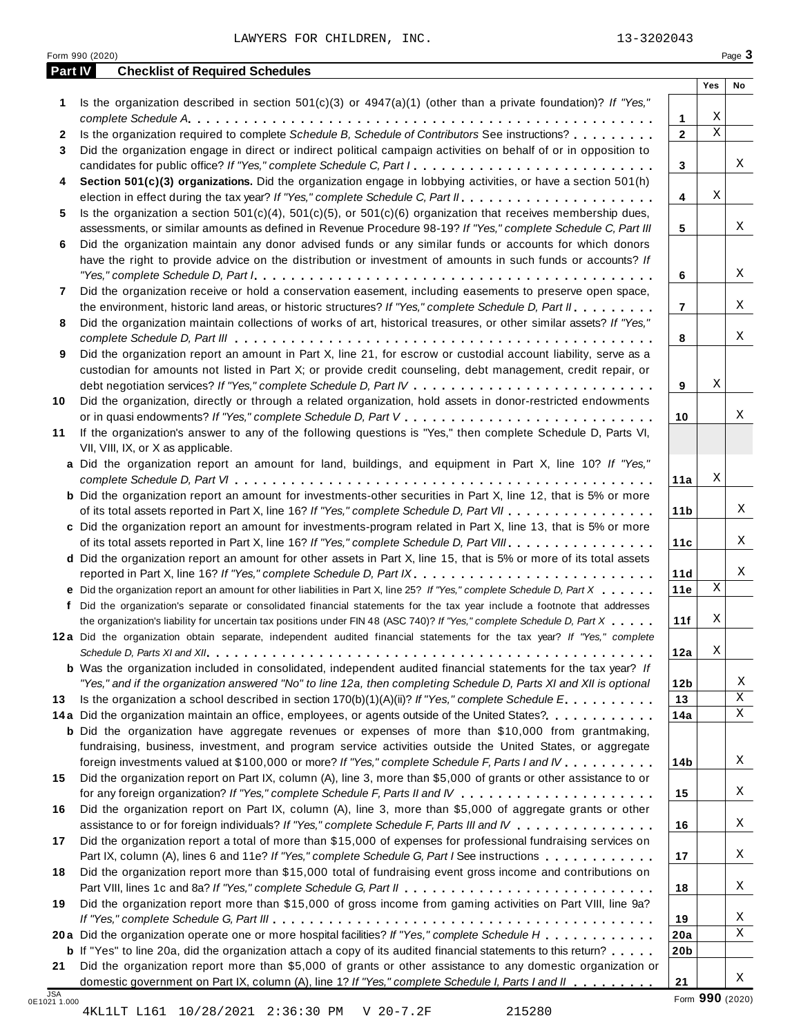| 15280 |  |
|-------|--|

|  | Form $990$ (2020) |
|--|-------------------|
|  |                   |

X

**21**

|    |                                                                                                                                                                                                                                                                                                                                                                                               |                 | Yes         | No     |
|----|-----------------------------------------------------------------------------------------------------------------------------------------------------------------------------------------------------------------------------------------------------------------------------------------------------------------------------------------------------------------------------------------------|-----------------|-------------|--------|
| 1. | Is the organization described in section 501(c)(3) or 4947(a)(1) (other than a private foundation)? If "Yes,"                                                                                                                                                                                                                                                                                 |                 |             |        |
|    |                                                                                                                                                                                                                                                                                                                                                                                               | $\mathbf{1}$    | Χ           |        |
| 2  | Is the organization required to complete Schedule B, Schedule of Contributors See instructions?                                                                                                                                                                                                                                                                                               | $\overline{2}$  | $\mathbf X$ |        |
| 3  | Did the organization engage in direct or indirect political campaign activities on behalf of or in opposition to                                                                                                                                                                                                                                                                              |                 |             |        |
|    | candidates for public office? If "Yes," complete Schedule C, Part I.                                                                                                                                                                                                                                                                                                                          | 3               |             | Χ      |
| 4  | Section 501(c)(3) organizations. Did the organization engage in lobbying activities, or have a section 501(h)                                                                                                                                                                                                                                                                                 |                 |             |        |
|    |                                                                                                                                                                                                                                                                                                                                                                                               | 4               | Χ           |        |
| 5  | Is the organization a section $501(c)(4)$ , $501(c)(5)$ , or $501(c)(6)$ organization that receives membership dues,                                                                                                                                                                                                                                                                          |                 |             |        |
|    | assessments, or similar amounts as defined in Revenue Procedure 98-19? If "Yes," complete Schedule C, Part III                                                                                                                                                                                                                                                                                | 5               |             | Χ      |
| 6  | Did the organization maintain any donor advised funds or any similar funds or accounts for which donors                                                                                                                                                                                                                                                                                       |                 |             |        |
|    | have the right to provide advice on the distribution or investment of amounts in such funds or accounts? If                                                                                                                                                                                                                                                                                   |                 |             |        |
|    | "Yes," complete Schedule D, Part $l_1, \ldots, l_k, \ldots, l_k, \ldots, l_k, \ldots, l_k, \ldots, l_k, \ldots, l_k, \ldots, l_k, \ldots, l_k, \ldots, l_k, \ldots, l_k, \ldots, l_k, \ldots, l_k, \ldots, l_k, \ldots, l_k, \ldots, l_k, \ldots, l_k, \ldots, l_k, \ldots, l_k, \ldots, l_k, \ldots, l_k, \ldots, l_k, \ldots, l_k, \ldots, l_k, \ldots, l_k, \ldots, l_k, \ldots, l_k, \ld$ | 6               |             | X      |
| 7  | Did the organization receive or hold a conservation easement, including easements to preserve open space,                                                                                                                                                                                                                                                                                     |                 |             | X      |
|    | the environment, historic land areas, or historic structures? If "Yes," complete Schedule D, Part II<br>Did the organization maintain collections of works of art, historical treasures, or other similar assets? If "Yes,"                                                                                                                                                                   | $\overline{7}$  |             |        |
| 8  |                                                                                                                                                                                                                                                                                                                                                                                               | 8               |             | X      |
| 9  | Did the organization report an amount in Part X, line 21, for escrow or custodial account liability, serve as a                                                                                                                                                                                                                                                                               |                 |             |        |
|    | custodian for amounts not listed in Part X; or provide credit counseling, debt management, credit repair, or                                                                                                                                                                                                                                                                                  |                 |             |        |
|    |                                                                                                                                                                                                                                                                                                                                                                                               | 9               | Χ           |        |
| 10 | Did the organization, directly or through a related organization, hold assets in donor-restricted endowments                                                                                                                                                                                                                                                                                  |                 |             |        |
|    |                                                                                                                                                                                                                                                                                                                                                                                               | 10              |             | Χ      |
| 11 | If the organization's answer to any of the following questions is "Yes," then complete Schedule D, Parts VI,                                                                                                                                                                                                                                                                                  |                 |             |        |
|    | VII, VIII, IX, or X as applicable.                                                                                                                                                                                                                                                                                                                                                            |                 |             |        |
|    | a Did the organization report an amount for land, buildings, and equipment in Part X, line 10? If "Yes,"                                                                                                                                                                                                                                                                                      |                 |             |        |
|    |                                                                                                                                                                                                                                                                                                                                                                                               | 11a             | Χ           |        |
|    | <b>b</b> Did the organization report an amount for investments-other securities in Part X, line 12, that is 5% or more                                                                                                                                                                                                                                                                        |                 |             |        |
|    | of its total assets reported in Part X, line 16? If "Yes," complete Schedule D, Part VII                                                                                                                                                                                                                                                                                                      | 11 <sub>b</sub> |             | Χ      |
|    | c Did the organization report an amount for investments-program related in Part X, line 13, that is 5% or more                                                                                                                                                                                                                                                                                |                 |             |        |
|    | of its total assets reported in Part X, line 16? If "Yes," complete Schedule D, Part VIII                                                                                                                                                                                                                                                                                                     | 11c             |             | Χ      |
|    | d Did the organization report an amount for other assets in Part X, line 15, that is 5% or more of its total assets                                                                                                                                                                                                                                                                           |                 |             |        |
|    |                                                                                                                                                                                                                                                                                                                                                                                               | 11d             | Χ           | Χ      |
|    | e Did the organization report an amount for other liabilities in Part X, line 25? If "Yes," complete Schedule D, Part X                                                                                                                                                                                                                                                                       | 11e             |             |        |
| f  | Did the organization's separate or consolidated financial statements for the tax year include a footnote that addresses                                                                                                                                                                                                                                                                       |                 | Χ           |        |
|    | the organization's liability for uncertain tax positions under FIN 48 (ASC 740)? If "Yes," complete Schedule D, Part X                                                                                                                                                                                                                                                                        | 11f             |             |        |
|    | 12a Did the organization obtain separate, independent audited financial statements for the tax year? If "Yes," complete                                                                                                                                                                                                                                                                       | 12a             | Χ           |        |
|    | <b>b</b> Was the organization included in consolidated, independent audited financial statements for the tax year? If                                                                                                                                                                                                                                                                         |                 |             |        |
|    | "Yes," and if the organization answered "No" to line 12a, then completing Schedule D, Parts XI and XII is optional                                                                                                                                                                                                                                                                            | 12 <sub>b</sub> |             | Χ      |
| 13 | Is the organization a school described in section $170(b)(1)(A)(ii)$ ? If "Yes," complete Schedule E.                                                                                                                                                                                                                                                                                         | 13              |             | X      |
|    | 14a Did the organization maintain an office, employees, or agents outside of the United States?.                                                                                                                                                                                                                                                                                              | 14a             |             | X      |
|    | <b>b</b> Did the organization have aggregate revenues or expenses of more than \$10,000 from grantmaking,                                                                                                                                                                                                                                                                                     |                 |             |        |
|    | fundraising, business, investment, and program service activities outside the United States, or aggregate                                                                                                                                                                                                                                                                                     |                 |             |        |
|    | foreign investments valued at \$100,000 or more? If "Yes," complete Schedule F, Parts I and IV                                                                                                                                                                                                                                                                                                | 14b             |             | Χ      |
| 15 | Did the organization report on Part IX, column (A), line 3, more than \$5,000 of grants or other assistance to or                                                                                                                                                                                                                                                                             |                 |             |        |
|    |                                                                                                                                                                                                                                                                                                                                                                                               | 15              |             | Χ      |
| 16 | Did the organization report on Part IX, column (A), line 3, more than \$5,000 of aggregate grants or other                                                                                                                                                                                                                                                                                    |                 |             |        |
|    | assistance to or for foreign individuals? If "Yes," complete Schedule F, Parts III and IV                                                                                                                                                                                                                                                                                                     | 16              |             | Χ      |
| 17 | Did the organization report a total of more than \$15,000 of expenses for professional fundraising services on                                                                                                                                                                                                                                                                                |                 |             |        |
|    | Part IX, column (A), lines 6 and 11e? If "Yes," complete Schedule G, Part I See instructions                                                                                                                                                                                                                                                                                                  | 17              |             | X      |
| 18 | Did the organization report more than \$15,000 total of fundraising event gross income and contributions on                                                                                                                                                                                                                                                                                   |                 |             |        |
|    |                                                                                                                                                                                                                                                                                                                                                                                               | 18              |             | X      |
| 19 | Did the organization report more than \$15,000 of gross income from gaming activities on Part VIII, line 9a?                                                                                                                                                                                                                                                                                  |                 |             |        |
|    |                                                                                                                                                                                                                                                                                                                                                                                               | 19              |             | X<br>X |
|    | 20a Did the organization operate one or more hospital facilities? If "Yes," complete Schedule H                                                                                                                                                                                                                                                                                               | 20a             |             |        |
| 21 | <b>b</b> If "Yes" to line 20a, did the organization attach a copy of its audited financial statements to this return?<br>Did the organization report more than \$5,000 of grants or other assistance to any domestic organization or                                                                                                                                                          | 20 <sub>b</sub> |             |        |
|    |                                                                                                                                                                                                                                                                                                                                                                                               |                 |             |        |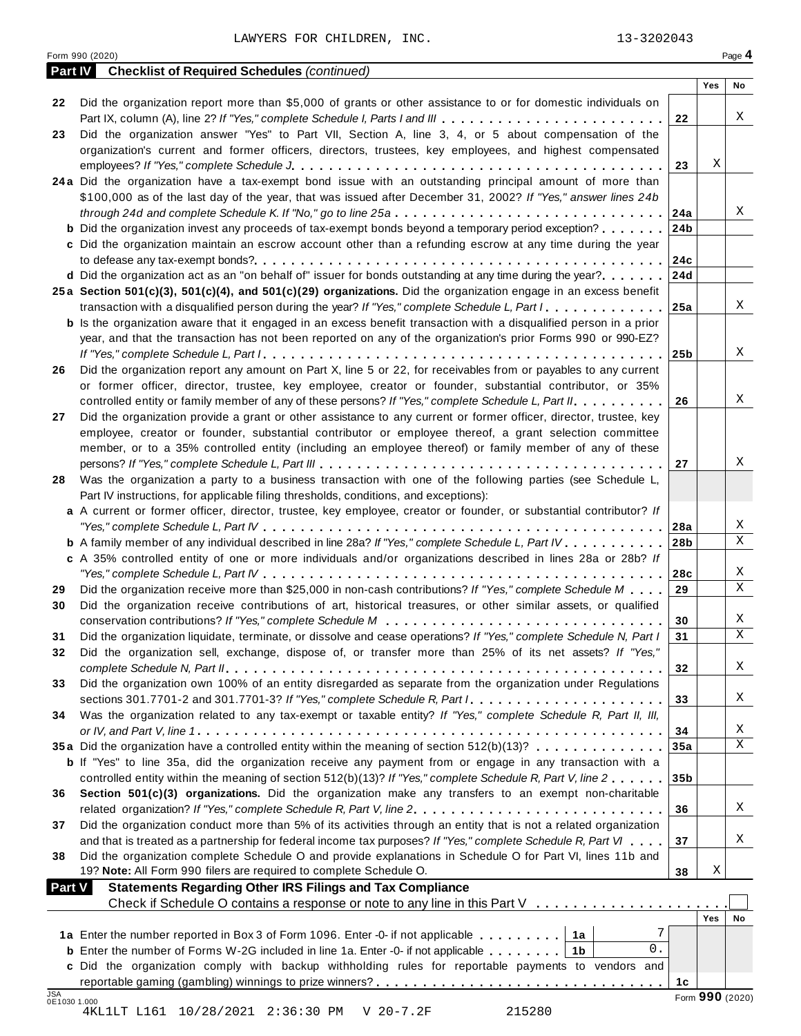| Part IV                    | <b>Checklist of Required Schedules (continued)</b>                                                                        |                 |                 |             |
|----------------------------|---------------------------------------------------------------------------------------------------------------------------|-----------------|-----------------|-------------|
|                            |                                                                                                                           |                 | Yes             | No          |
| 22                         | Did the organization report more than \$5,000 of grants or other assistance to or for domestic individuals on             |                 |                 |             |
|                            | Part IX, column (A), line 2? If "Yes," complete Schedule I, Parts I and III                                               | 22              |                 | Χ           |
| 23                         | Did the organization answer "Yes" to Part VII, Section A, line 3, 4, or 5 about compensation of the                       |                 |                 |             |
|                            | organization's current and former officers, directors, trustees, key employees, and highest compensated                   |                 |                 |             |
|                            |                                                                                                                           | 23              | Χ               |             |
|                            | 24a Did the organization have a tax-exempt bond issue with an outstanding principal amount of more than                   |                 |                 |             |
|                            | \$100,000 as of the last day of the year, that was issued after December 31, 2002? If "Yes," answer lines 24b             |                 |                 |             |
|                            | through 24d and complete Schedule K. If "No," go to line 25a                                                              | 24a             |                 | Χ           |
|                            | <b>b</b> Did the organization invest any proceeds of tax-exempt bonds beyond a temporary period exception?                | 24b             |                 |             |
|                            | c Did the organization maintain an escrow account other than a refunding escrow at any time during the year               |                 |                 |             |
|                            |                                                                                                                           | 24c             |                 |             |
|                            | d Did the organization act as an "on behalf of" issuer for bonds outstanding at any time during the year?                 | 24d             |                 |             |
|                            | 25a Section 501(c)(3), 501(c)(4), and 501(c)(29) organizations. Did the organization engage in an excess benefit          |                 |                 |             |
|                            | transaction with a disqualified person during the year? If "Yes," complete Schedule L, Part I.                            | 25a             |                 | Χ           |
|                            | <b>b</b> Is the organization aware that it engaged in an excess benefit transaction with a disqualified person in a prior |                 |                 |             |
|                            | year, and that the transaction has not been reported on any of the organization's prior Forms 990 or 990-EZ?              |                 |                 |             |
|                            |                                                                                                                           | 25 <sub>b</sub> |                 | Χ           |
| 26                         | Did the organization report any amount on Part X, line 5 or 22, for receivables from or payables to any current           |                 |                 |             |
|                            | or former officer, director, trustee, key employee, creator or founder, substantial contributor, or 35%                   |                 |                 |             |
|                            | controlled entity or family member of any of these persons? If "Yes," complete Schedule L, Part II.                       | 26              |                 | X           |
| 27                         | Did the organization provide a grant or other assistance to any current or former officer, director, trustee, key         |                 |                 |             |
|                            | employee, creator or founder, substantial contributor or employee thereof, a grant selection committee                    |                 |                 |             |
|                            | member, or to a 35% controlled entity (including an employee thereof) or family member of any of these                    |                 |                 |             |
|                            |                                                                                                                           | 27              |                 | Χ           |
| 28                         | Was the organization a party to a business transaction with one of the following parties (see Schedule L,                 |                 |                 |             |
|                            | Part IV instructions, for applicable filing thresholds, conditions, and exceptions):                                      |                 |                 |             |
|                            | a A current or former officer, director, trustee, key employee, creator or founder, or substantial contributor? If        |                 |                 |             |
|                            |                                                                                                                           | 28a             |                 | Χ           |
|                            | <b>b</b> A family member of any individual described in line 28a? If "Yes," complete Schedule L, Part IV.                 | 28 <sub>b</sub> |                 | Χ           |
|                            | c A 35% controlled entity of one or more individuals and/or organizations described in lines 28a or 28b? If               |                 |                 |             |
|                            | "Yes," complete Schedule L, Part IV $\dots\dots\dots\dots\dots\dots\dots\dots\dots\dots\dots\dots\dots\dots$              | 28c             |                 | X           |
| 29                         | Did the organization receive more than \$25,000 in non-cash contributions? If "Yes," complete Schedule M                  | 29              |                 | Χ           |
| 30                         | Did the organization receive contributions of art, historical treasures, or other similar assets, or qualified            |                 |                 |             |
|                            |                                                                                                                           | 30              |                 | X           |
| 31                         | Did the organization liquidate, terminate, or dissolve and cease operations? If "Yes," complete Schedule N, Part I        | 31              |                 | Χ           |
| 32                         | Did the organization sell, exchange, dispose of, or transfer more than 25% of its net assets? If "Yes,'                   |                 |                 |             |
|                            |                                                                                                                           | 32              |                 | Χ           |
| 33                         | Did the organization own 100% of an entity disregarded as separate from the organization under Regulations                |                 |                 |             |
|                            | sections 301.7701-2 and 301.7701-3? If "Yes," complete Schedule R, Part $l_1, \ldots, l_l, l_l, \ldots, l_l, l_l, l_l$    | 33              |                 | Χ           |
| 34                         | Was the organization related to any tax-exempt or taxable entity? If "Yes," complete Schedule R, Part II, III,            |                 |                 |             |
|                            |                                                                                                                           | 34              |                 | Χ           |
|                            | 35a Did the organization have a controlled entity within the meaning of section 512(b)(13)?                               | 35a             |                 | $\mathbf X$ |
|                            | <b>b</b> If "Yes" to line 35a, did the organization receive any payment from or engage in any transaction with a          |                 |                 |             |
|                            | controlled entity within the meaning of section 512(b)(13)? If "Yes," complete Schedule R, Part V, line 2                 | 35 <sub>b</sub> |                 |             |
| 36                         | Section 501(c)(3) organizations. Did the organization make any transfers to an exempt non-charitable                      |                 |                 |             |
|                            | related organization? If "Yes," complete Schedule R, Part V, line 2.                                                      | 36              |                 | Χ           |
| 37                         | Did the organization conduct more than 5% of its activities through an entity that is not a related organization          |                 |                 |             |
|                            | and that is treated as a partnership for federal income tax purposes? If "Yes," complete Schedule R, Part VI              | 37              |                 | Χ           |
| 38                         | Did the organization complete Schedule O and provide explanations in Schedule O for Part VI, lines 11b and                |                 |                 |             |
|                            | 19? Note: All Form 990 filers are required to complete Schedule O.                                                        | 38              | Χ               |             |
| <b>Part V</b>              | <b>Statements Regarding Other IRS Filings and Tax Compliance</b>                                                          |                 |                 |             |
|                            | Check if Schedule O contains a response or note to any line in this Part V                                                |                 |                 |             |
|                            |                                                                                                                           |                 | Yes             | No          |
|                            | 7<br>1a Enter the number reported in Box 3 of Form 1096. Enter -0- if not applicable<br> 1a                               |                 |                 |             |
|                            | $0$ .<br><b>b</b> Enter the number of Forms W-2G included in line 1a. Enter -0- if not applicable   1b                    |                 |                 |             |
|                            | c Did the organization comply with backup withholding rules for reportable payments to vendors and                        |                 |                 |             |
|                            |                                                                                                                           | 1c              |                 |             |
| <b>JSA</b><br>0E1030 1.000 |                                                                                                                           |                 | Form 990 (2020) |             |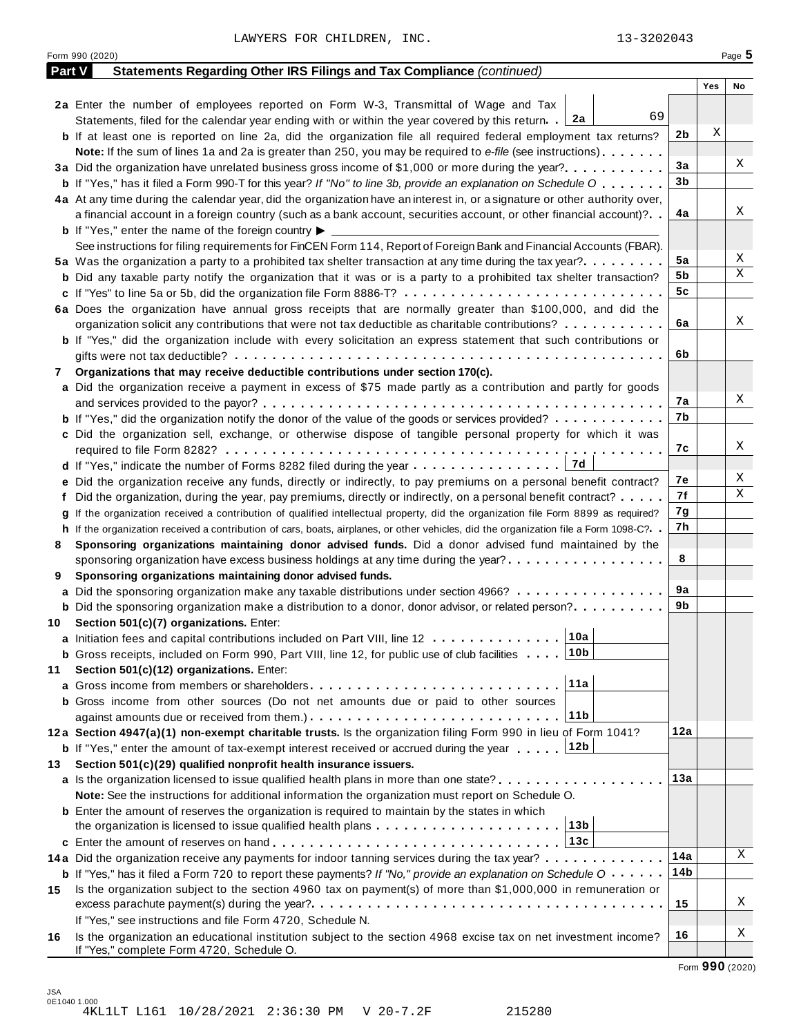|     | Part V<br>Statements Regarding Other IRS Filings and Tax Compliance (continued)                                                              |     |     |    |
|-----|----------------------------------------------------------------------------------------------------------------------------------------------|-----|-----|----|
|     |                                                                                                                                              |     |     |    |
|     |                                                                                                                                              |     | Yes | No |
|     | 2a Enter the number of employees reported on Form W-3, Transmittal of Wage and Tax<br>69                                                     |     |     |    |
|     | Statements, filed for the calendar year ending with or within the year covered by this return. [2a                                           |     |     |    |
|     | <b>b</b> If at least one is reported on line 2a, did the organization file all required federal employment tax returns?                      | 2b  | Χ   |    |
|     | <b>Note:</b> If the sum of lines 1a and 2a is greater than 250, you may be required to e-file (see instructions).                            |     |     |    |
|     | 3a Did the organization have unrelated business gross income of \$1,000 or more during the year?                                             | 3a  |     | Χ  |
|     | <b>b</b> If "Yes," has it filed a Form 990-T for this year? If "No" to line 3b, provide an explanation on Schedule O                         | 3b  |     |    |
|     | 4a At any time during the calendar year, did the organization have an interest in, or a signature or other authority over,                   |     |     |    |
|     | a financial account in a foreign country (such as a bank account, securities account, or other financial account)?                           | 4a  |     | Χ  |
|     | <b>b</b> If "Yes," enter the name of the foreign country $\blacktriangleright$                                                               |     |     |    |
|     | See instructions for filing requirements for FinCEN Form 114, Report of Foreign Bank and Financial Accounts (FBAR).                          |     |     |    |
|     | 5a Was the organization a party to a prohibited tax shelter transaction at any time during the tax year?                                     | 5a  |     | Χ  |
|     | <b>b</b> Did any taxable party notify the organization that it was or is a party to a prohibited tax shelter transaction?                    | 5b  |     | Χ  |
|     |                                                                                                                                              | 5c  |     |    |
|     | 6a Does the organization have annual gross receipts that are normally greater than \$100,000, and did the                                    |     |     |    |
|     | organization solicit any contributions that were not tax deductible as charitable contributions?                                             | 6a  |     | Χ  |
|     | <b>b</b> If "Yes," did the organization include with every solicitation an express statement that such contributions or                      |     |     |    |
|     |                                                                                                                                              | 6b  |     |    |
|     | Organizations that may receive deductible contributions under section 170(c).                                                                |     |     |    |
|     | a Did the organization receive a payment in excess of \$75 made partly as a contribution and partly for goods                                |     |     |    |
|     |                                                                                                                                              | 7а  |     | Χ  |
|     | <b>b</b> If "Yes," did the organization notify the donor of the value of the goods or services provided?                                     | 7b  |     |    |
|     | c Did the organization sell, exchange, or otherwise dispose of tangible personal property for which it was                                   |     |     |    |
|     |                                                                                                                                              | 7с  |     | Χ  |
|     | 7d                                                                                                                                           |     |     |    |
|     | e Did the organization receive any funds, directly or indirectly, to pay premiums on a personal benefit contract?                            | 7е  |     | Χ  |
|     | f Did the organization, during the year, pay premiums, directly or indirectly, on a personal benefit contract?                               | 7f  |     | Χ  |
|     | If the organization received a contribution of qualified intellectual property, did the organization file Form 8899 as required?             | 7g  |     |    |
|     | h If the organization received a contribution of cars, boats, airplanes, or other vehicles, did the organization file a Form 1098-C?         | 7h  |     |    |
|     | Sponsoring organizations maintaining donor advised funds. Did a donor advised fund maintained by the                                         |     |     |    |
|     | sponsoring organization have excess business holdings at any time during the year?                                                           | 8   |     |    |
|     | Sponsoring organizations maintaining donor advised funds.                                                                                    |     |     |    |
|     | <b>a</b> Did the sponsoring organization make any taxable distributions under section 4966?                                                  | 9а  |     |    |
|     | <b>b</b> Did the sponsoring organization make a distribution to a donor, donor advisor, or related person?                                   | 9b  |     |    |
|     | 10 Section 501(c)(7) organizations. Enter:                                                                                                   |     |     |    |
|     | 10a <br>a Initiation fees and capital contributions included on Part VIII, line 12                                                           |     |     |    |
|     | 10b<br><b>b</b> Gross receipts, included on Form 990, Part VIII, line 12, for public use of club facilities                                  |     |     |    |
|     | Section 501(c)(12) organizations. Enter:                                                                                                     |     |     |    |
|     | 11a                                                                                                                                          |     |     |    |
|     | b Gross income from other sources (Do not net amounts due or paid to other sources                                                           |     |     |    |
|     | 11b                                                                                                                                          |     |     |    |
|     | 12a Section 4947(a)(1) non-exempt charitable trusts. Is the organization filing Form 990 in lieu of Form 1041?                               | 12a |     |    |
|     | 12b                                                                                                                                          |     |     |    |
|     | <b>b</b> If "Yes," enter the amount of tax-exempt interest received or accrued during the year                                               |     |     |    |
| 13. | Section 501(c)(29) qualified nonprofit health insurance issuers.                                                                             | 13а |     |    |
|     | a Is the organization licensed to issue qualified health plans in more than one state?                                                       |     |     |    |
|     | Note: See the instructions for additional information the organization must report on Schedule O.                                            |     |     |    |
|     | <b>b</b> Enter the amount of reserves the organization is required to maintain by the states in which                                        |     |     |    |
|     | 13b<br>the organization is licensed to issue qualified health plans                                                                          |     |     |    |
|     | 13c                                                                                                                                          |     |     |    |
|     | 14a Did the organization receive any payments for indoor tanning services during the tax year?                                               | 14a |     | Χ  |
|     | <b>b</b> If "Yes," has it filed a Form 720 to report these payments? If "No," provide an explanation on Schedule $0 \cdot \cdot \cdot \cdot$ | 14b |     |    |
| 15  | Is the organization subject to the section 4960 tax on payment(s) of more than \$1,000,000 in remuneration or                                |     |     |    |
|     |                                                                                                                                              | 15  |     | Χ  |
|     | If "Yes," see instructions and file Form 4720, Schedule N.                                                                                   |     |     |    |
|     | Is the organization an educational institution subject to the section 4968 excise tax on net investment income?                              | 16  |     | Χ  |
|     |                                                                                                                                              |     |     |    |

JSA 0E1040 1.000 4KL1LT L161 10/28/2021 2:36:30 PM V 20-7.2F 215280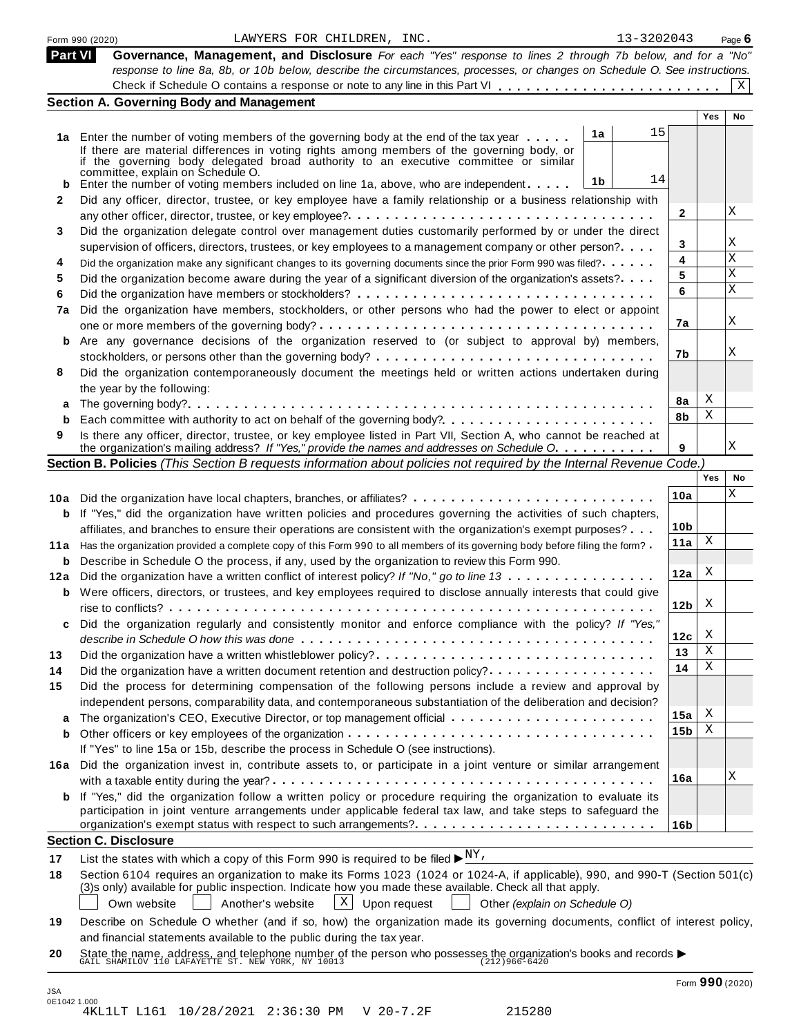|              | 13-3202043<br>LAWYERS FOR CHILDREN, INC.<br>Form 990 (2020)                                                                                                                                                                             |                 |                 | Page $6$     |
|--------------|-----------------------------------------------------------------------------------------------------------------------------------------------------------------------------------------------------------------------------------------|-----------------|-----------------|--------------|
| Part VI      | Governance, Management, and Disclosure For each "Yes" response to lines 2 through 7b below, and for a "No"<br>response to line 8a, 8b, or 10b below, describe the circumstances, processes, or changes on Schedule O. See instructions. |                 |                 | $\mathbf{x}$ |
|              | <b>Section A. Governing Body and Management</b>                                                                                                                                                                                         |                 |                 |              |
|              |                                                                                                                                                                                                                                         |                 | <b>Yes</b>      | No           |
|              | 15<br>1a                                                                                                                                                                                                                                |                 |                 |              |
|              | 1a Enter the number of voting members of the governing body at the end of the tax year<br>If there are material differences in voting rights among members of the governing body, or                                                    |                 |                 |              |
|              | if the governing body delegated broad authority to an executive committee or similar                                                                                                                                                    |                 |                 |              |
|              | committée, explain on Schedule O.<br>14<br>1 <sub>b</sub>                                                                                                                                                                               |                 |                 |              |
|              | <b>b</b> Enter the number of voting members included on line 1a, above, who are independent                                                                                                                                             |                 |                 |              |
| $\mathbf{2}$ | Did any officer, director, trustee, or key employee have a family relationship or a business relationship with                                                                                                                          | $\mathbf{2}$    |                 | Χ            |
|              |                                                                                                                                                                                                                                         |                 |                 |              |
| 3            | Did the organization delegate control over management duties customarily performed by or under the direct                                                                                                                               | 3               |                 | Χ            |
|              | supervision of officers, directors, trustees, or key employees to a management company or other person?<br>Did the organization make any significant changes to its governing documents since the prior Form 990 was filed?             | 4               |                 | X            |
| 4<br>5       | Did the organization become aware during the year of a significant diversion of the organization's assets?                                                                                                                              | 5               |                 | X            |
| 6            |                                                                                                                                                                                                                                         | 6               |                 | X            |
| 7a           | Did the organization have members, stockholders, or other persons who had the power to elect or appoint                                                                                                                                 |                 |                 |              |
|              |                                                                                                                                                                                                                                         | 7a              |                 | Χ            |
|              | b Are any governance decisions of the organization reserved to (or subject to approval by) members,                                                                                                                                     |                 |                 |              |
|              |                                                                                                                                                                                                                                         | 7b              |                 | Χ            |
|              | Did the organization contemporaneously document the meetings held or written actions undertaken during                                                                                                                                  |                 |                 |              |
| 8            | the year by the following:                                                                                                                                                                                                              |                 |                 |              |
| a            |                                                                                                                                                                                                                                         | 8a              | Χ               |              |
| b            |                                                                                                                                                                                                                                         | 8b              | Χ               |              |
| 9            | Is there any officer, director, trustee, or key employee listed in Part VII, Section A, who cannot be reached at                                                                                                                        |                 |                 |              |
|              | the organization's mailing address? If "Yes," provide the names and addresses on Schedule O.                                                                                                                                            | 9               |                 | X            |
|              | Section B. Policies (This Section B requests information about policies not required by the Internal Revenue Code.)                                                                                                                     |                 |                 |              |
|              |                                                                                                                                                                                                                                         |                 | Yes             | No           |
|              |                                                                                                                                                                                                                                         | 10a             |                 | X            |
|              | <b>b</b> If "Yes," did the organization have written policies and procedures governing the activities of such chapters,                                                                                                                 |                 |                 |              |
|              | affiliates, and branches to ensure their operations are consistent with the organization's exempt purposes?                                                                                                                             | 10b             |                 |              |
|              | 11a Has the organization provided a complete copy of this Form 990 to all members of its governing body before filing the form?                                                                                                         | 11a             | X               |              |
|              | <b>b</b> Describe in Schedule O the process, if any, used by the organization to review this Form 990.                                                                                                                                  |                 |                 |              |
|              | 12a Did the organization have a written conflict of interest policy? If "No," go to line 13                                                                                                                                             | 12a             | Χ               |              |
|              | <b>b</b> Were officers, directors, or trustees, and key employees required to disclose annually interests that could give                                                                                                               |                 |                 |              |
|              |                                                                                                                                                                                                                                         | 12 <sub>b</sub> | X               |              |
| C            | Did the organization regularly and consistently monitor and enforce compliance with the policy? If "Yes,"                                                                                                                               |                 |                 |              |
|              |                                                                                                                                                                                                                                         | 12c             | X               |              |
| 13           |                                                                                                                                                                                                                                         | 13              | Χ               |              |
| 14           | Did the organization have a written document retention and destruction policy?                                                                                                                                                          | 14              | Χ               |              |
| 15           | Did the process for determining compensation of the following persons include a review and approval by                                                                                                                                  |                 |                 |              |
|              | independent persons, comparability data, and contemporaneous substantiation of the deliberation and decision?                                                                                                                           |                 |                 |              |
| а            |                                                                                                                                                                                                                                         | 15a             | х               |              |
| b            |                                                                                                                                                                                                                                         | 15 <sub>b</sub> | Χ               |              |
|              | If "Yes" to line 15a or 15b, describe the process in Schedule O (see instructions).                                                                                                                                                     |                 |                 |              |
|              | 16a Did the organization invest in, contribute assets to, or participate in a joint venture or similar arrangement                                                                                                                      |                 |                 |              |
|              |                                                                                                                                                                                                                                         | 16a             |                 | Χ            |
|              | <b>b</b> If "Yes," did the organization follow a written policy or procedure requiring the organization to evaluate its                                                                                                                 |                 |                 |              |
|              | participation in joint venture arrangements under applicable federal tax law, and take steps to safeguard the                                                                                                                           |                 |                 |              |
|              |                                                                                                                                                                                                                                         | 16b             |                 |              |
|              | <b>Section C. Disclosure</b>                                                                                                                                                                                                            |                 |                 |              |
| 17           | List the states with which a copy of this Form 990 is required to be filed $\blacktriangleright^{\underline{NY}}$ .                                                                                                                     |                 |                 |              |
| 18           | Section 6104 requires an organization to make its Forms 1023 (1024 or 1024-A, if applicable), 990, and 990-T (Section 501(c)                                                                                                            |                 |                 |              |
|              | (3)s only) available for public inspection. Indicate how you made these available. Check all that apply.                                                                                                                                |                 |                 |              |
|              | $X$ Upon request<br>Another's website<br>Other (explain on Schedule O)<br>Own website                                                                                                                                                   |                 |                 |              |
| 19           | Describe on Schedule O whether (and if so, how) the organization made its governing documents, conflict of interest policy,                                                                                                             |                 |                 |              |
|              | and financial statements available to the public during the tax year.                                                                                                                                                                   |                 |                 |              |
| 20           | State the name, address, and telephone number of the person who possesses the organization's books and records $\blacktriangleright$ GAIL SHAMILOV 110 LAFAYETTE ST. NEW YORK, NY 10013                                                 |                 |                 |              |
|              |                                                                                                                                                                                                                                         |                 |                 |              |
| JSA          |                                                                                                                                                                                                                                         |                 | Form 990 (2020) |              |
|              |                                                                                                                                                                                                                                         |                 |                 |              |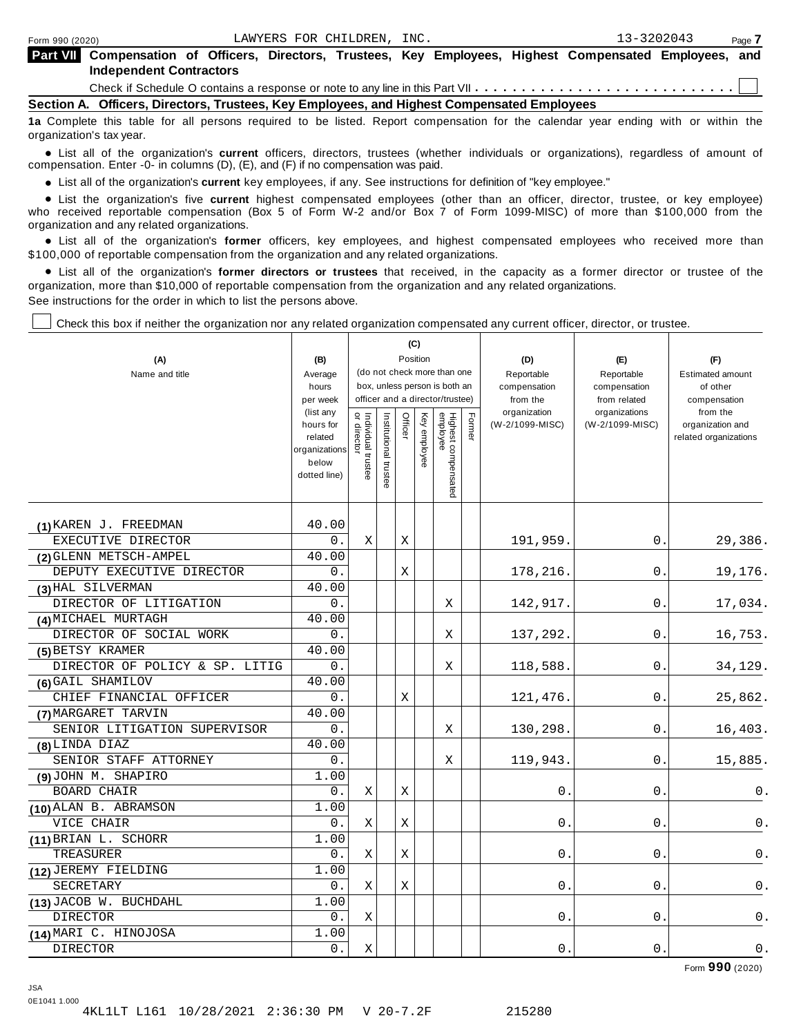| Part VII Compensation of Officers, Directors, Trustees, Key Employees, Highest Compensated Employees, and |  |  |  |  |  |  |  |  |  |  |  |
|-----------------------------------------------------------------------------------------------------------|--|--|--|--|--|--|--|--|--|--|--|
| <b>Independent Contractors</b>                                                                            |  |  |  |  |  |  |  |  |  |  |  |
|                                                                                                           |  |  |  |  |  |  |  |  |  |  |  |

**Section A. Officers, Directors, Trustees, Key Employees, and Highest Compensated Employees**

**1a** Complete this table for all persons required to be listed. Report compensation for the calendar year ending with or within the organization's tax year.

anization's lax year.<br>● List all of the organization's **current** officers, directors, trustees (whether individuals or organizations), regardless of amount of<br>nnensation Enter -0- in columns (D) (E) and (E) if no compensa compensation. Enter -0- in columns (D), (E), and (F) if no compensation was paid.

• List all of the organization's current key employees, if any. See instructions for definition of "key employee."

■ List all of the organization's current key employees, if any. See instructions for definition of "key employee."<br>■ List the organization's five current highest compensated employees (other than an officer, director, tru who received reportable compensation (Box 5 of Form W-2 and/or Box 7 of Form 1099-MISC) of more than \$100,000 from the

organization and any related organizations.<br>• List all of the organization's **former** officers, key employees, and highest compensated employees who received more than<br>\$1.00.000 of reportable componention from the erganiza \$100,000 of reportable compensation from the organization and any related organizations.

% List all of the organization's **former directors or trustees** that received, in the capacity as a former director or trustee of the organization, more than \$10,000 of reportable compensation from the organization and any related organizations. See instructions for the order in which to list the persons above.

Check this box if neither the organization nor any related organization compensated any current officer, director, or trustee.

|                                |                                                |                                   |                       |         | (C)             |                                 |                                                                                     |                 |                               |                                           |
|--------------------------------|------------------------------------------------|-----------------------------------|-----------------------|---------|-----------------|---------------------------------|-------------------------------------------------------------------------------------|-----------------|-------------------------------|-------------------------------------------|
| (A)                            | (B)                                            |                                   |                       |         | Position        |                                 |                                                                                     | (D)             | (E)                           | (F)                                       |
| Name and title                 | Average                                        |                                   |                       |         |                 | (do not check more than one     | Reportable<br>officer and a director/trustee)<br>from the<br>organization<br>Former |                 | Reportable                    | <b>Estimated amount</b>                   |
|                                | hours                                          |                                   |                       |         |                 | box, unless person is both an   |                                                                                     | compensation    | compensation                  | of other                                  |
|                                | per week<br>(list any                          |                                   |                       |         |                 |                                 |                                                                                     |                 | from related<br>organizations | compensation<br>from the                  |
|                                | hours for<br>related<br>organizations<br>below | Individual trustee<br>or director | Institutional trustee | Officer | Key<br>employee | Highest compensated<br>employee |                                                                                     | (W-2/1099-MISC) | (W-2/1099-MISC)               | organization and<br>related organizations |
|                                | dotted line)                                   |                                   |                       |         |                 |                                 |                                                                                     |                 |                               |                                           |
| (1) KAREN J. FREEDMAN          | 40.00                                          |                                   |                       |         |                 |                                 |                                                                                     |                 |                               |                                           |
| EXECUTIVE DIRECTOR             | 0.                                             | Χ                                 |                       | Χ       |                 |                                 |                                                                                     | 191,959.        | 0.                            | 29,386.                                   |
| (2) GLENN METSCH-AMPEL         | 40.00                                          |                                   |                       |         |                 |                                 |                                                                                     |                 |                               |                                           |
| DEPUTY EXECUTIVE DIRECTOR      | 0.                                             |                                   |                       | X       |                 |                                 |                                                                                     | 178,216.        | 0.                            | 19,176.                                   |
| (3) HAL SILVERMAN              | 40.00                                          |                                   |                       |         |                 |                                 |                                                                                     |                 |                               |                                           |
| DIRECTOR OF LITIGATION         | 0.                                             |                                   |                       |         |                 | X                               |                                                                                     | 142,917.        | 0.                            | 17,034.                                   |
| (4) MICHAEL MURTAGH            | 40.00                                          |                                   |                       |         |                 |                                 |                                                                                     |                 |                               |                                           |
| DIRECTOR OF SOCIAL WORK        | 0.                                             |                                   |                       |         |                 | Χ                               |                                                                                     | 137,292.        | 0.                            | 16,753.                                   |
| (5) BETSY KRAMER               | 40.00                                          |                                   |                       |         |                 |                                 |                                                                                     |                 |                               |                                           |
| DIRECTOR OF POLICY & SP. LITIG | 0.                                             |                                   |                       |         |                 | Χ                               |                                                                                     | 118,588.        | 0.                            | 34,129.                                   |
| (6) GAIL SHAMILOV              | 40.00                                          |                                   |                       |         |                 |                                 |                                                                                     |                 |                               |                                           |
| CHIEF FINANCIAL OFFICER        | 0.                                             |                                   |                       | Χ       |                 |                                 |                                                                                     | 121,476.        | 0.                            | 25,862.                                   |
| (7) MARGARET TARVIN            | 40.00                                          |                                   |                       |         |                 |                                 |                                                                                     |                 |                               |                                           |
| SENIOR LITIGATION SUPERVISOR   | 0.                                             |                                   |                       |         |                 | X                               |                                                                                     | 130,298.        | 0.                            | 16,403.                                   |
| (8) LINDA DIAZ                 | 40.00                                          |                                   |                       |         |                 |                                 |                                                                                     |                 |                               |                                           |
| SENIOR STAFF ATTORNEY          | 0.                                             |                                   |                       |         |                 | $\mathbf X$                     |                                                                                     | 119,943.        | 0                             | 15,885.                                   |
| (9) JOHN M. SHAPIRO            | 1.00                                           |                                   |                       |         |                 |                                 |                                                                                     |                 |                               |                                           |
| <b>BOARD CHAIR</b>             | 0.                                             | Χ                                 |                       | X       |                 |                                 |                                                                                     | 0.              | 0.                            | 0.                                        |
| (10) ALAN B. ABRAMSON          | 1.00                                           |                                   |                       |         |                 |                                 |                                                                                     |                 |                               |                                           |
| VICE CHAIR                     | 0.                                             | Χ                                 |                       | X       |                 |                                 |                                                                                     | 0.              | 0.                            | 0.                                        |
| (11) BRIAN L. SCHORR           | 1.00                                           |                                   |                       |         |                 |                                 |                                                                                     |                 |                               |                                           |
| TREASURER                      | 0.                                             | X                                 |                       | X       |                 |                                 |                                                                                     | 0               | 0                             | 0.                                        |
| (12) JEREMY FIELDING           | 1.00                                           |                                   |                       |         |                 |                                 |                                                                                     |                 |                               |                                           |
| SECRETARY                      | 0.                                             | X                                 |                       | Χ       |                 |                                 |                                                                                     | 0               | 0                             | 0.                                        |
| (13) JACOB W. BUCHDAHL         | 1.00                                           |                                   |                       |         |                 |                                 |                                                                                     |                 |                               |                                           |
| <b>DIRECTOR</b>                | $0$ .                                          | Χ                                 |                       |         |                 |                                 |                                                                                     | 0               | 0                             | $0$ .                                     |
| (14) MARI C. HINOJOSA          | 1.00                                           |                                   |                       |         |                 |                                 |                                                                                     |                 |                               |                                           |
| DIRECTOR                       | 0.                                             | Χ                                 |                       |         |                 |                                 |                                                                                     | $0$ .           | $0$ .                         | $0$ .                                     |

Form **990** (2020)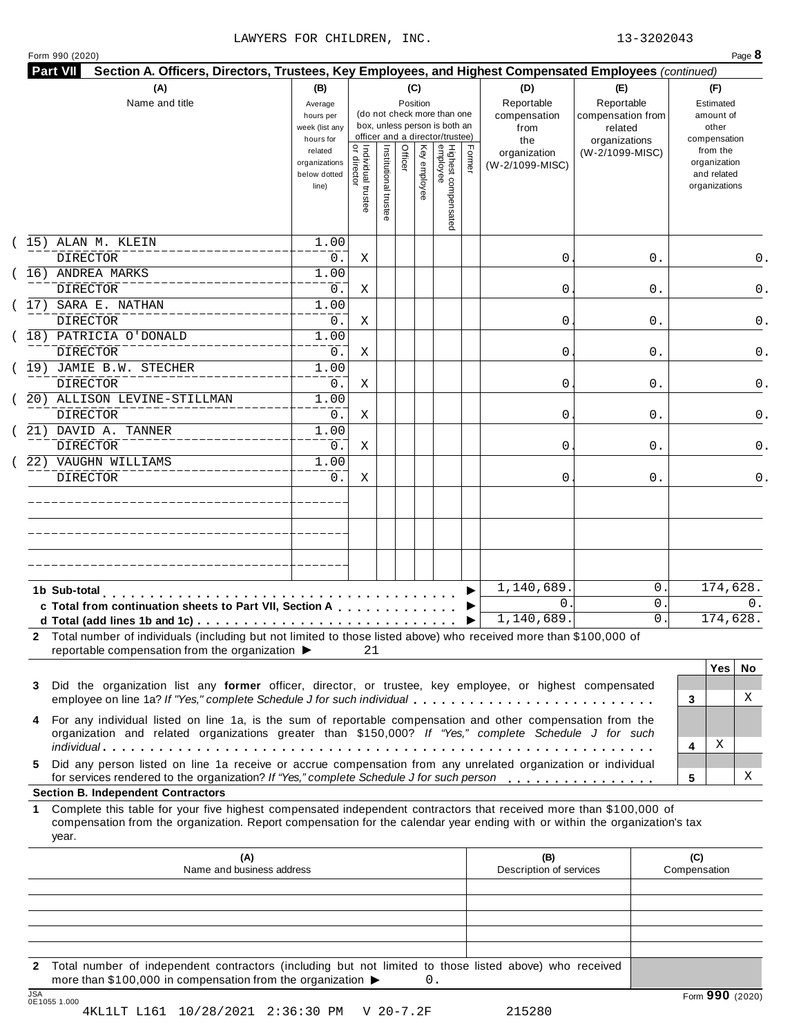# LAWYERS FOR CHILDREN, INC. 13-3202043

| Form 990 (2020) |  |
|-----------------|--|
|-----------------|--|

| <br>  Individual trustee<br>  or director<br>Highest compensated<br>employee<br>Institutional trustee<br>Officer<br>Key employee<br>Former<br>from the<br>related<br>(W-2/1099-MISC)<br>organization<br>organization<br>organizations<br>(W-2/1099-MISC)<br>and related<br>below dotted<br>organizations<br>line)<br>1.00<br><b>DIRECTOR</b><br>0.<br>Χ<br>0<br>0.<br>(16) ANDREA MARKS<br>1.00<br>DIRECTOR<br>0.<br>0<br>0.<br>Χ<br>1.00<br><b>DIRECTOR</b><br>0.<br>0<br>0.<br>Χ<br>1.00<br>DIRECTOR<br>0.<br>Χ<br>0<br>0.<br>(19) JAMIE B.W. STECHER<br>1.00<br><b>DIRECTOR</b><br>0.<br>Χ<br>0<br>0.<br>20) ALLISON LEVINE-STILLMAN<br>1.00<br><b>DIRECTOR</b><br>0.<br>0<br>0.<br>Χ<br>1.00<br><b>DIRECTOR</b><br>0.<br>0<br>0.<br>Χ<br>22) VAUGHN WILLIAMS<br>1.00<br><b>DIRECTOR</b><br>$0$ .<br>0<br>0.<br>0.<br>Χ<br>1,140,689.<br>0<br>1b Sub-total<br>0<br>$\mathbf{0}$ .<br>c Total from continuation sheets to Part VII, Section A<br>1,140,689.<br>0.<br>2 Total number of individuals (including but not limited to those listed above) who received more than \$100,000 of<br>reportable compensation from the organization ▶<br>21<br><b>Yes</b><br>Did the organization list any former officer, director, or trustee, key employee, or highest compensated<br>X<br>employee on line 1a? If "Yes," complete Schedule J for such individual<br>3<br>For any individual listed on line 1a, is the sum of reportable compensation and other compensation from the<br>organization and related organizations greater than \$150,000? If "Yes," complete Schedule J for such<br>х<br>4<br>Did any person listed on line 1a receive or accrue compensation from any unrelated organization or individual<br>х<br>for services rendered to the organization? If "Yes," complete Schedule J for such person<br>5<br>Complete this table for your five highest compensated independent contractors that received more than \$100,000 of<br>compensation from the organization. Report compensation for the calendar year ending with or within the organization's tax<br>year.<br>(A)<br>(B)<br>(C)<br>Description of services<br>Name and business address<br>Compensation | Name and title                            | (B)<br>Average<br>hours per<br>week (list any<br>hours for |  | (C)<br>Position | (do not check more than one<br>box, unless person is both an<br>officer and a director/trustee) |  | (D)<br>Reportable<br>compensation<br>from<br>the | (E)<br>Reportable<br>compensation from<br>related<br>organizations | (F)<br>Estimated<br>amount of<br>other<br>compensation |
|--------------------------------------------------------------------------------------------------------------------------------------------------------------------------------------------------------------------------------------------------------------------------------------------------------------------------------------------------------------------------------------------------------------------------------------------------------------------------------------------------------------------------------------------------------------------------------------------------------------------------------------------------------------------------------------------------------------------------------------------------------------------------------------------------------------------------------------------------------------------------------------------------------------------------------------------------------------------------------------------------------------------------------------------------------------------------------------------------------------------------------------------------------------------------------------------------------------------------------------------------------------------------------------------------------------------------------------------------------------------------------------------------------------------------------------------------------------------------------------------------------------------------------------------------------------------------------------------------------------------------------------------------------------------------------------------------------------------------------------------------------------------------------------------------------------------------------------------------------------------------------------------------------------------------------------------------------------------------------------------------------------------------------------------------------------------------------------------------------------------------------------------------------------------------------------|-------------------------------------------|------------------------------------------------------------|--|-----------------|-------------------------------------------------------------------------------------------------|--|--------------------------------------------------|--------------------------------------------------------------------|--------------------------------------------------------|
|                                                                                                                                                                                                                                                                                                                                                                                                                                                                                                                                                                                                                                                                                                                                                                                                                                                                                                                                                                                                                                                                                                                                                                                                                                                                                                                                                                                                                                                                                                                                                                                                                                                                                                                                                                                                                                                                                                                                                                                                                                                                                                                                                                                      |                                           |                                                            |  |                 |                                                                                                 |  |                                                  |                                                                    |                                                        |
|                                                                                                                                                                                                                                                                                                                                                                                                                                                                                                                                                                                                                                                                                                                                                                                                                                                                                                                                                                                                                                                                                                                                                                                                                                                                                                                                                                                                                                                                                                                                                                                                                                                                                                                                                                                                                                                                                                                                                                                                                                                                                                                                                                                      | 15) ALAN M. KLEIN                         |                                                            |  |                 |                                                                                                 |  |                                                  |                                                                    |                                                        |
|                                                                                                                                                                                                                                                                                                                                                                                                                                                                                                                                                                                                                                                                                                                                                                                                                                                                                                                                                                                                                                                                                                                                                                                                                                                                                                                                                                                                                                                                                                                                                                                                                                                                                                                                                                                                                                                                                                                                                                                                                                                                                                                                                                                      |                                           |                                                            |  |                 |                                                                                                 |  |                                                  |                                                                    | 0.                                                     |
|                                                                                                                                                                                                                                                                                                                                                                                                                                                                                                                                                                                                                                                                                                                                                                                                                                                                                                                                                                                                                                                                                                                                                                                                                                                                                                                                                                                                                                                                                                                                                                                                                                                                                                                                                                                                                                                                                                                                                                                                                                                                                                                                                                                      |                                           |                                                            |  |                 |                                                                                                 |  |                                                  |                                                                    | 0.                                                     |
|                                                                                                                                                                                                                                                                                                                                                                                                                                                                                                                                                                                                                                                                                                                                                                                                                                                                                                                                                                                                                                                                                                                                                                                                                                                                                                                                                                                                                                                                                                                                                                                                                                                                                                                                                                                                                                                                                                                                                                                                                                                                                                                                                                                      | (17) SARA E. NATHAN                       |                                                            |  |                 |                                                                                                 |  |                                                  |                                                                    |                                                        |
|                                                                                                                                                                                                                                                                                                                                                                                                                                                                                                                                                                                                                                                                                                                                                                                                                                                                                                                                                                                                                                                                                                                                                                                                                                                                                                                                                                                                                                                                                                                                                                                                                                                                                                                                                                                                                                                                                                                                                                                                                                                                                                                                                                                      |                                           |                                                            |  |                 |                                                                                                 |  |                                                  |                                                                    | 0.                                                     |
|                                                                                                                                                                                                                                                                                                                                                                                                                                                                                                                                                                                                                                                                                                                                                                                                                                                                                                                                                                                                                                                                                                                                                                                                                                                                                                                                                                                                                                                                                                                                                                                                                                                                                                                                                                                                                                                                                                                                                                                                                                                                                                                                                                                      | (18) PATRICIA O'DONALD                    |                                                            |  |                 |                                                                                                 |  |                                                  |                                                                    |                                                        |
|                                                                                                                                                                                                                                                                                                                                                                                                                                                                                                                                                                                                                                                                                                                                                                                                                                                                                                                                                                                                                                                                                                                                                                                                                                                                                                                                                                                                                                                                                                                                                                                                                                                                                                                                                                                                                                                                                                                                                                                                                                                                                                                                                                                      |                                           |                                                            |  |                 |                                                                                                 |  |                                                  |                                                                    | 0.                                                     |
|                                                                                                                                                                                                                                                                                                                                                                                                                                                                                                                                                                                                                                                                                                                                                                                                                                                                                                                                                                                                                                                                                                                                                                                                                                                                                                                                                                                                                                                                                                                                                                                                                                                                                                                                                                                                                                                                                                                                                                                                                                                                                                                                                                                      |                                           |                                                            |  |                 |                                                                                                 |  |                                                  |                                                                    | 0.                                                     |
|                                                                                                                                                                                                                                                                                                                                                                                                                                                                                                                                                                                                                                                                                                                                                                                                                                                                                                                                                                                                                                                                                                                                                                                                                                                                                                                                                                                                                                                                                                                                                                                                                                                                                                                                                                                                                                                                                                                                                                                                                                                                                                                                                                                      |                                           |                                                            |  |                 |                                                                                                 |  |                                                  |                                                                    |                                                        |
|                                                                                                                                                                                                                                                                                                                                                                                                                                                                                                                                                                                                                                                                                                                                                                                                                                                                                                                                                                                                                                                                                                                                                                                                                                                                                                                                                                                                                                                                                                                                                                                                                                                                                                                                                                                                                                                                                                                                                                                                                                                                                                                                                                                      |                                           |                                                            |  |                 |                                                                                                 |  |                                                  |                                                                    | 0.                                                     |
|                                                                                                                                                                                                                                                                                                                                                                                                                                                                                                                                                                                                                                                                                                                                                                                                                                                                                                                                                                                                                                                                                                                                                                                                                                                                                                                                                                                                                                                                                                                                                                                                                                                                                                                                                                                                                                                                                                                                                                                                                                                                                                                                                                                      | 21) DAVID A. TANNER                       |                                                            |  |                 |                                                                                                 |  |                                                  |                                                                    |                                                        |
|                                                                                                                                                                                                                                                                                                                                                                                                                                                                                                                                                                                                                                                                                                                                                                                                                                                                                                                                                                                                                                                                                                                                                                                                                                                                                                                                                                                                                                                                                                                                                                                                                                                                                                                                                                                                                                                                                                                                                                                                                                                                                                                                                                                      |                                           |                                                            |  |                 |                                                                                                 |  |                                                  |                                                                    | 0.                                                     |
|                                                                                                                                                                                                                                                                                                                                                                                                                                                                                                                                                                                                                                                                                                                                                                                                                                                                                                                                                                                                                                                                                                                                                                                                                                                                                                                                                                                                                                                                                                                                                                                                                                                                                                                                                                                                                                                                                                                                                                                                                                                                                                                                                                                      |                                           |                                                            |  |                 |                                                                                                 |  |                                                  |                                                                    |                                                        |
|                                                                                                                                                                                                                                                                                                                                                                                                                                                                                                                                                                                                                                                                                                                                                                                                                                                                                                                                                                                                                                                                                                                                                                                                                                                                                                                                                                                                                                                                                                                                                                                                                                                                                                                                                                                                                                                                                                                                                                                                                                                                                                                                                                                      |                                           |                                                            |  |                 |                                                                                                 |  |                                                  |                                                                    |                                                        |
|                                                                                                                                                                                                                                                                                                                                                                                                                                                                                                                                                                                                                                                                                                                                                                                                                                                                                                                                                                                                                                                                                                                                                                                                                                                                                                                                                                                                                                                                                                                                                                                                                                                                                                                                                                                                                                                                                                                                                                                                                                                                                                                                                                                      |                                           |                                                            |  |                 |                                                                                                 |  |                                                  |                                                                    | 174,628.                                               |
|                                                                                                                                                                                                                                                                                                                                                                                                                                                                                                                                                                                                                                                                                                                                                                                                                                                                                                                                                                                                                                                                                                                                                                                                                                                                                                                                                                                                                                                                                                                                                                                                                                                                                                                                                                                                                                                                                                                                                                                                                                                                                                                                                                                      |                                           |                                                            |  |                 |                                                                                                 |  |                                                  |                                                                    | 0.                                                     |
|                                                                                                                                                                                                                                                                                                                                                                                                                                                                                                                                                                                                                                                                                                                                                                                                                                                                                                                                                                                                                                                                                                                                                                                                                                                                                                                                                                                                                                                                                                                                                                                                                                                                                                                                                                                                                                                                                                                                                                                                                                                                                                                                                                                      |                                           |                                                            |  |                 |                                                                                                 |  |                                                  |                                                                    | 174,628.                                               |
|                                                                                                                                                                                                                                                                                                                                                                                                                                                                                                                                                                                                                                                                                                                                                                                                                                                                                                                                                                                                                                                                                                                                                                                                                                                                                                                                                                                                                                                                                                                                                                                                                                                                                                                                                                                                                                                                                                                                                                                                                                                                                                                                                                                      |                                           |                                                            |  |                 |                                                                                                 |  |                                                  |                                                                    |                                                        |
|                                                                                                                                                                                                                                                                                                                                                                                                                                                                                                                                                                                                                                                                                                                                                                                                                                                                                                                                                                                                                                                                                                                                                                                                                                                                                                                                                                                                                                                                                                                                                                                                                                                                                                                                                                                                                                                                                                                                                                                                                                                                                                                                                                                      |                                           |                                                            |  |                 |                                                                                                 |  |                                                  |                                                                    | No.                                                    |
|                                                                                                                                                                                                                                                                                                                                                                                                                                                                                                                                                                                                                                                                                                                                                                                                                                                                                                                                                                                                                                                                                                                                                                                                                                                                                                                                                                                                                                                                                                                                                                                                                                                                                                                                                                                                                                                                                                                                                                                                                                                                                                                                                                                      | 3                                         |                                                            |  |                 |                                                                                                 |  |                                                  |                                                                    |                                                        |
|                                                                                                                                                                                                                                                                                                                                                                                                                                                                                                                                                                                                                                                                                                                                                                                                                                                                                                                                                                                                                                                                                                                                                                                                                                                                                                                                                                                                                                                                                                                                                                                                                                                                                                                                                                                                                                                                                                                                                                                                                                                                                                                                                                                      | 4                                         |                                                            |  |                 |                                                                                                 |  |                                                  |                                                                    |                                                        |
|                                                                                                                                                                                                                                                                                                                                                                                                                                                                                                                                                                                                                                                                                                                                                                                                                                                                                                                                                                                                                                                                                                                                                                                                                                                                                                                                                                                                                                                                                                                                                                                                                                                                                                                                                                                                                                                                                                                                                                                                                                                                                                                                                                                      |                                           |                                                            |  |                 |                                                                                                 |  |                                                  |                                                                    |                                                        |
|                                                                                                                                                                                                                                                                                                                                                                                                                                                                                                                                                                                                                                                                                                                                                                                                                                                                                                                                                                                                                                                                                                                                                                                                                                                                                                                                                                                                                                                                                                                                                                                                                                                                                                                                                                                                                                                                                                                                                                                                                                                                                                                                                                                      | 5.                                        |                                                            |  |                 |                                                                                                 |  |                                                  |                                                                    |                                                        |
|                                                                                                                                                                                                                                                                                                                                                                                                                                                                                                                                                                                                                                                                                                                                                                                                                                                                                                                                                                                                                                                                                                                                                                                                                                                                                                                                                                                                                                                                                                                                                                                                                                                                                                                                                                                                                                                                                                                                                                                                                                                                                                                                                                                      | <b>Section B. Independent Contractors</b> |                                                            |  |                 |                                                                                                 |  |                                                  |                                                                    |                                                        |
|                                                                                                                                                                                                                                                                                                                                                                                                                                                                                                                                                                                                                                                                                                                                                                                                                                                                                                                                                                                                                                                                                                                                                                                                                                                                                                                                                                                                                                                                                                                                                                                                                                                                                                                                                                                                                                                                                                                                                                                                                                                                                                                                                                                      | 1                                         |                                                            |  |                 |                                                                                                 |  |                                                  |                                                                    |                                                        |
|                                                                                                                                                                                                                                                                                                                                                                                                                                                                                                                                                                                                                                                                                                                                                                                                                                                                                                                                                                                                                                                                                                                                                                                                                                                                                                                                                                                                                                                                                                                                                                                                                                                                                                                                                                                                                                                                                                                                                                                                                                                                                                                                                                                      |                                           |                                                            |  |                 |                                                                                                 |  |                                                  |                                                                    |                                                        |
|                                                                                                                                                                                                                                                                                                                                                                                                                                                                                                                                                                                                                                                                                                                                                                                                                                                                                                                                                                                                                                                                                                                                                                                                                                                                                                                                                                                                                                                                                                                                                                                                                                                                                                                                                                                                                                                                                                                                                                                                                                                                                                                                                                                      |                                           |                                                            |  |                 |                                                                                                 |  |                                                  |                                                                    |                                                        |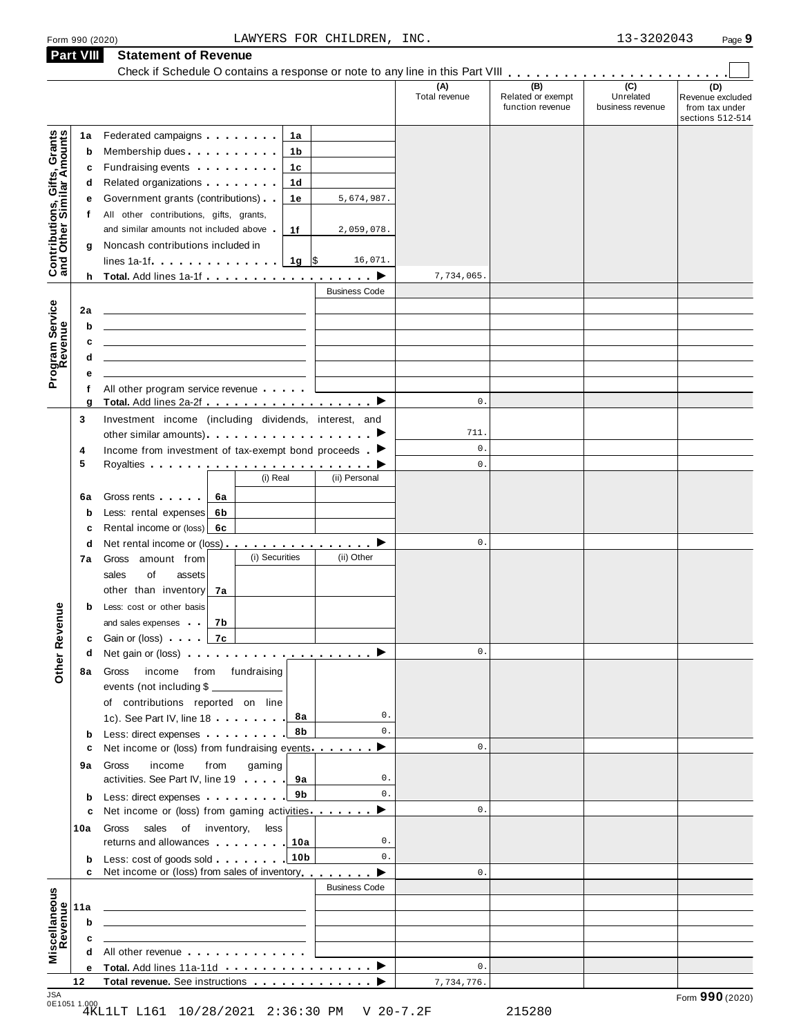# Form <sup>990</sup> (2020) Page **9** LAWYERS FOR CHILDREN, INC. 13-3202043 **Part VIII Statement of Revenue**

|                                                           | <b>Part VIII</b>  | Statement of Revenue<br>Check if Schedule O contains a response or note to any line in this Part VIII                                                                                                                                                                                                                                                          |                      |                                              |                                                 |                                                               |
|-----------------------------------------------------------|-------------------|----------------------------------------------------------------------------------------------------------------------------------------------------------------------------------------------------------------------------------------------------------------------------------------------------------------------------------------------------------------|----------------------|----------------------------------------------|-------------------------------------------------|---------------------------------------------------------------|
|                                                           |                   |                                                                                                                                                                                                                                                                                                                                                                | (A)<br>Total revenue | (B)<br>Related or exempt<br>function revenue | $\overline{C}$<br>Unrelated<br>business revenue | (D)<br>Revenue excluded<br>from tax under<br>sections 512-514 |
| Contributions, Gifts, Grants<br>and Other Similar Amounts | 1a<br>b<br>c<br>d | Federated campaigns <b>Federated</b><br>1a<br>1b<br>Fundraising events <b>Exercises Fundraising events</b><br>1c<br>Related organizations <b>and the set of the set of the set of the set of the set of the set of the set of the set of the set of the set of the set of the set of the set of the set of the set of the set of the set of the set </b><br>1d |                      |                                              |                                                 |                                                               |
|                                                           | е<br>t            | Government grants (contributions)<br>5,674,987.<br>1е<br>All other contributions, gifts, grants,<br>and similar amounts not included above<br>1f<br>2,059,078.                                                                                                                                                                                                 |                      |                                              |                                                 |                                                               |
|                                                           | g                 | Noncash contributions included in<br>lines 1a-1f. $\ldots$ , $\ldots$ , $\lfloor$ 1g $\rfloor$ \$<br>16,071.                                                                                                                                                                                                                                                   |                      |                                              |                                                 |                                                               |
|                                                           |                   | h Total. Add lines 1a-1f $\ldots$ , $\ldots$ , $\ldots$ , $\blacktriangleright$<br><b>Business Code</b>                                                                                                                                                                                                                                                        | 7,734,065.           |                                              |                                                 |                                                               |
|                                                           | 2a<br>b           |                                                                                                                                                                                                                                                                                                                                                                |                      |                                              |                                                 |                                                               |
| Program Service<br>Revenue                                | c<br>d            |                                                                                                                                                                                                                                                                                                                                                                |                      |                                              |                                                 |                                                               |
|                                                           | е<br>f<br>g       | All other program service revenue                                                                                                                                                                                                                                                                                                                              | $0$ .                |                                              |                                                 |                                                               |
|                                                           | 3                 | Investment income (including dividends, interest, and<br>other similar amounts) ▶                                                                                                                                                                                                                                                                              | 711.                 |                                              |                                                 |                                                               |
|                                                           | 4                 | Income from investment of tax-exempt bond proceeds $\blacktriangleright$                                                                                                                                                                                                                                                                                       | $\mathsf{0}$ .       |                                              |                                                 |                                                               |
|                                                           | 5                 |                                                                                                                                                                                                                                                                                                                                                                | $\mathbf 0$ .        |                                              |                                                 |                                                               |
|                                                           | 6a                | (i) Real<br>(ii) Personal<br>Gross rents  <br>6a                                                                                                                                                                                                                                                                                                               |                      |                                              |                                                 |                                                               |
|                                                           | $\mathbf b$<br>c  | Less: rental expenses<br>6b<br>Rental income or (loss) 6c                                                                                                                                                                                                                                                                                                      |                      |                                              |                                                 |                                                               |
|                                                           | d                 | Net rental income or (loss) ▶                                                                                                                                                                                                                                                                                                                                  | 0.                   |                                              |                                                 |                                                               |
|                                                           | 7a                | (i) Securities<br>(ii) Other<br>Gross amount from<br>sales<br>of<br>assets                                                                                                                                                                                                                                                                                     |                      |                                              |                                                 |                                                               |
| evenue                                                    | b                 | other than inventory<br>7a<br>Less: cost or other basis<br>and sales expenses<br>7b                                                                                                                                                                                                                                                                            |                      |                                              |                                                 |                                                               |
|                                                           |                   | 7c<br><b>c</b> Gain or (loss) <b>c</b>                                                                                                                                                                                                                                                                                                                         |                      |                                              |                                                 |                                                               |
|                                                           | d                 | Net gain or (loss) $\cdots$ $\cdots$ $\cdots$ $\cdots$ $\cdots$ $\cdots$ $\cdots$                                                                                                                                                                                                                                                                              | $0$ .                |                                              |                                                 |                                                               |
| Other <sub>R</sub>                                        | 8а                | income from fundraising<br>Gross<br>events (not including \$<br>of contributions reported on line<br>0.                                                                                                                                                                                                                                                        |                      |                                              |                                                 |                                                               |
|                                                           | $\mathbf b$       | 1c). See Part IV, line 18<br>8а<br>$0$ .<br>8b<br>Less: direct expenses                                                                                                                                                                                                                                                                                        | $\mathbf{0}$ .       |                                              |                                                 |                                                               |
|                                                           | c<br>9а           | Net income or (loss) from fundraising events<br>▶<br>gaming<br>income<br>from<br>Gross<br>activities. See Part IV, line 19   9a<br>0.                                                                                                                                                                                                                          |                      |                                              |                                                 |                                                               |
|                                                           | b                 | $0$ .<br>9b<br>Less: direct expenses                                                                                                                                                                                                                                                                                                                           |                      |                                              |                                                 |                                                               |
|                                                           | c<br>10a          | Net income or (loss) from gaming activities<br>▸<br>sales of inventory,<br>less<br>Gross                                                                                                                                                                                                                                                                       | $\mathsf{0}$ .       |                                              |                                                 |                                                               |
|                                                           | b<br>C            | returns and allowances 1.10a<br>0.<br>10 <sub>b</sub><br>0.<br>Less: cost of goods sold<br>Net income or (loss) from sales of inventory                                                                                                                                                                                                                        | $\mathbf{0}$ .       |                                              |                                                 |                                                               |
|                                                           |                   | ▶<br><b>Business Code</b>                                                                                                                                                                                                                                                                                                                                      |                      |                                              |                                                 |                                                               |
| Revenue                                                   | 11a<br>b          | the contract of the contract of the contract of the contract of the contract of<br><u> 1980 - Johann Barbara, martin amerikan basar dan berasal dalam basar dalam basar dalam basar dalam basar dala</u>                                                                                                                                                       |                      |                                              |                                                 |                                                               |
|                                                           | c                 | the control of the control of the control of the control of the control of                                                                                                                                                                                                                                                                                     |                      |                                              |                                                 |                                                               |
| Miscellaneous                                             | d<br>е            | All other revenue experience and the state of the state of the state of the state of the state of the state of                                                                                                                                                                                                                                                 | $\mathsf{0}$ .       |                                              |                                                 |                                                               |
| 10A                                                       | 12                |                                                                                                                                                                                                                                                                                                                                                                | 7,734,776.           |                                              |                                                 |                                                               |

JSA Form **990** (2020) 0E1051 1.000 4KL1LT L161 10/28/2021 2:36:30 PM V 20-7.2F 215280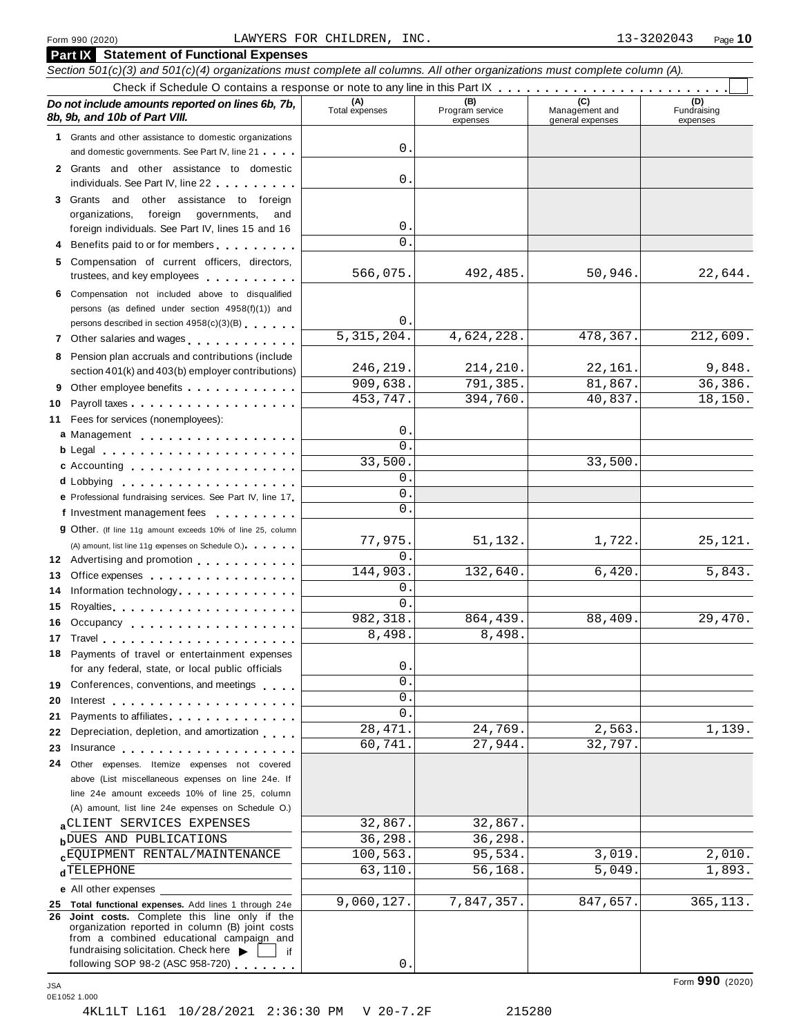## Form <sup>990</sup> (2020) Page **10** LAWYERS FOR CHILDREN, INC. 13-3202043

|          | <b>Part IX</b> Statement of Functional Expenses                                                                                           |                                |                                    |                                           |                                |
|----------|-------------------------------------------------------------------------------------------------------------------------------------------|--------------------------------|------------------------------------|-------------------------------------------|--------------------------------|
|          | Section 501(c)(3) and 501(c)(4) organizations must complete all columns. All other organizations must complete column (A).                |                                |                                    |                                           |                                |
|          | Do not include amounts reported on lines 6b, 7b,<br>8b, 9b, and 10b of Part VIII.                                                         | (A)<br>Total expenses          | (B)<br>Program service<br>expenses | (C)<br>Management and<br>general expenses | (D)<br>Fundraising<br>expenses |
|          | 1 Grants and other assistance to domestic organizations                                                                                   |                                |                                    |                                           |                                |
|          | and domestic governments. See Part IV, line 21                                                                                            | 0.                             |                                    |                                           |                                |
|          | 2 Grants and other assistance to domestic                                                                                                 |                                |                                    |                                           |                                |
|          | individuals. See Part IV, line 22                                                                                                         | 0.                             |                                    |                                           |                                |
|          | 3 Grants and other assistance to foreign                                                                                                  |                                |                                    |                                           |                                |
|          | organizations,<br>foreign governments,<br>and                                                                                             |                                |                                    |                                           |                                |
|          | foreign individuals. See Part IV, lines 15 and 16                                                                                         | 0.                             |                                    |                                           |                                |
|          | Benefits paid to or for members                                                                                                           | 0.                             |                                    |                                           |                                |
| 5        | Compensation of current officers, directors,<br>trustees, and key employees                                                               | 566,075.                       | 492,485.                           | 50,946.                                   | 22,644.                        |
| 6        | Compensation not included above to disqualified                                                                                           |                                |                                    |                                           |                                |
|          | persons (as defined under section 4958(f)(1)) and                                                                                         |                                |                                    |                                           |                                |
|          | persons described in section 4958(c)(3)(B)                                                                                                | 0.<br>$\overline{5,315,204}$ . | 4,624,228.                         | 478,367.                                  | 212,609.                       |
|          | 7 Other salaries and wages                                                                                                                |                                |                                    |                                           |                                |
| 8        | Pension plan accruals and contributions (include                                                                                          | 246,219.                       | 214,210.                           | 22,161.                                   | 9,848.                         |
|          | section 401(k) and 403(b) employer contributions)                                                                                         | 909,638.                       | 791,385.                           | 81,867.                                   | 36,386.                        |
| 9        | Other employee benefits                                                                                                                   | 453,747.                       | 394,760.                           | 40,837.                                   | 18,150.                        |
| 10<br>11 | Fees for services (nonemployees):                                                                                                         |                                |                                    |                                           |                                |
|          | a Management                                                                                                                              | $0$ .                          |                                    |                                           |                                |
|          | b Legal and the contract of the contract of the contract of the contract of the contract of the contract of the                           | 0.                             |                                    |                                           |                                |
|          | c Accounting                                                                                                                              | 33,500.                        |                                    | 33,500.                                   |                                |
|          | d Lobbying the contract of the contract of the contract of the contract of the contract of the contract of the                            | 0.                             |                                    |                                           |                                |
|          | e Professional fundraising services. See Part IV, line 17                                                                                 | 0.                             |                                    |                                           |                                |
|          | f Investment management fees                                                                                                              | 0.                             |                                    |                                           |                                |
|          | <b>g</b> Other. (If line 11g amount exceeds 10% of line 25, column                                                                        |                                |                                    |                                           |                                |
|          | (A) amount, list line 11g expenses on Schedule O.)                                                                                        | 77,975.                        | 51,132.                            | 1,722.                                    | 25,121.                        |
| 12       | Advertising and promotion entitled and the set of the set of the set of the set of the set of the set of the s                            | 0.                             |                                    |                                           |                                |
| 13       | Office expenses example.                                                                                                                  | 144,903.                       | 132,640.                           | 6,420.                                    | 5,843.                         |
| 14       | Information technology.                                                                                                                   | 0.<br>0.                       |                                    |                                           |                                |
| 15       |                                                                                                                                           | 982, 318.                      | 864,439.                           | 88,409.                                   | 29,470.                        |
| 16       | Occupancy                                                                                                                                 | 8,498                          | 8,498.                             |                                           |                                |
|          | 17 Travel <b>1996</b> Travel <b>1996</b><br>Payments of travel or entertainment expenses                                                  |                                |                                    |                                           |                                |
| 18       | for any federal, state, or local public officials                                                                                         | 0.                             |                                    |                                           |                                |
| 19       | Conferences, conventions, and meetings                                                                                                    | 0.                             |                                    |                                           |                                |
| 20       |                                                                                                                                           | 0.                             |                                    |                                           |                                |
| 21       | Payments to affiliates                                                                                                                    | 0.                             |                                    |                                           |                                |
| 22       | Depreciation, depletion, and amortization                                                                                                 | 28, 471.                       | 24,769.                            | 2,563.                                    | 1,139.                         |
| 23       | Insurance <b>All According to the Contract of Taylor</b>                                                                                  | 60,741.                        | 27,944.                            | 32,797.                                   |                                |
| 24       | Other expenses. Itemize expenses not covered                                                                                              |                                |                                    |                                           |                                |
|          | above (List miscellaneous expenses on line 24e. If                                                                                        |                                |                                    |                                           |                                |
|          | line 24e amount exceeds 10% of line 25, column                                                                                            |                                |                                    |                                           |                                |
|          | (A) amount, list line 24e expenses on Schedule O.)                                                                                        |                                |                                    |                                           |                                |
|          | aCLIENT SERVICES EXPENSES                                                                                                                 | 32,867.                        | 32,867.                            |                                           |                                |
|          | <b>bDUES AND PUBLICATIONS</b>                                                                                                             | 36,298.                        | 36,298.                            | 3,019.                                    | 2,010.                         |
|          | <b>cEQUIPMENT RENTAL/MAINTENANCE</b><br><b>d</b> TELEPHONE                                                                                | 100,563.<br>63, 110.           | 95,534.<br>56,168.                 | 5,049                                     | 1,893.                         |
|          |                                                                                                                                           |                                |                                    |                                           |                                |
|          | e All other expenses<br>25 Total functional expenses. Add lines 1 through 24e                                                             | 9,060,127.                     | 7,847,357.                         | 847,657.                                  | 365, 113.                      |
|          | 26 Joint costs. Complete this line only if the                                                                                            |                                |                                    |                                           |                                |
|          | organization reported in column (B) joint costs<br>from a combined educational campaign and<br>fundraising solicitation. Check here<br>if |                                |                                    |                                           |                                |
|          | following SOP 98-2 (ASC 958-720)                                                                                                          | 0.                             |                                    |                                           |                                |

Form **990** (2020) JSA 0E1052 1.000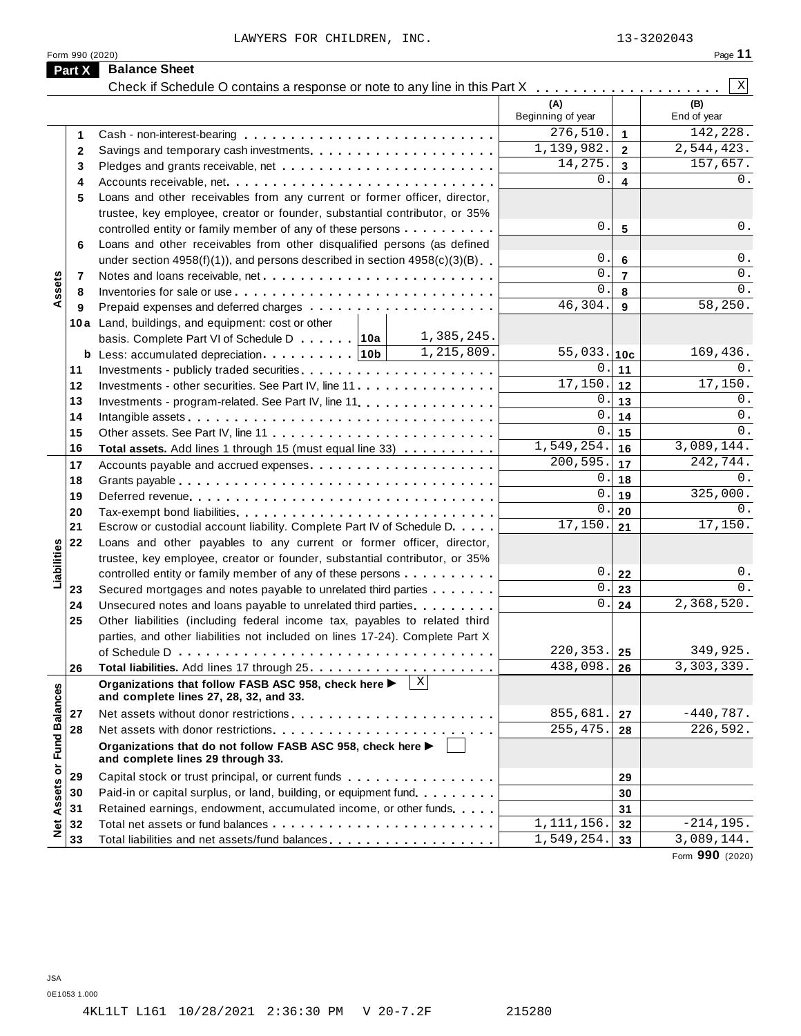LAWYERS FOR CHILDREN, INC. 13-3202043

|--|--|--|

|                             | Form 990 (2020)<br><b>Balance Sheet</b>                                                            |                          |                | Page 11            |
|-----------------------------|----------------------------------------------------------------------------------------------------|--------------------------|----------------|--------------------|
| Part X                      |                                                                                                    |                          |                | X                  |
|                             | Check if Schedule O contains a response or note to any line in this Part X                         | (A)<br>Beginning of year |                | (B)<br>End of year |
| 1                           |                                                                                                    | 276,510.                 | $\mathbf{1}$   | 142,228.           |
| 2                           |                                                                                                    | 1,139,982.               | $\mathbf{2}$   | 2,544,423.         |
| 3                           |                                                                                                    | 14,275.                  | $\mathbf{3}$   | 157,657.           |
| 4                           |                                                                                                    | $0$ .                    | 4              | 0.                 |
| 5                           | Loans and other receivables from any current or former officer, director,                          |                          |                |                    |
|                             | trustee, key employee, creator or founder, substantial contributor, or 35%                         |                          |                |                    |
|                             | controlled entity or family member of any of these persons                                         | $\mathsf{0}$ .           | 5              | 0.                 |
| 6                           | Loans and other receivables from other disqualified persons (as defined                            |                          |                |                    |
|                             | under section $4958(f)(1)$ , and persons described in section $4958(c)(3)(B)$                      | 0.                       | $\bf 6$        | 0.                 |
| 7                           |                                                                                                    | $\mathsf{O}$             | $\overline{7}$ | 0.                 |
| Assets<br>8                 |                                                                                                    | $\Omega$                 | 8              | 0.                 |
| 9                           |                                                                                                    | 46,304.                  | 9              | 58, 250.           |
|                             | 10a Land, buildings, and equipment: cost or other                                                  |                          |                |                    |
|                             | 1,385,245.<br>basis. Complete Part VI of Schedule D 10a                                            |                          |                |                    |
|                             | 1,215,809.<br><b>b</b> Less: accumulated depreciation 10b                                          | 55,033. 10c              |                | 169,436.           |
| 11                          |                                                                                                    | 0.                       | 11             | 0.                 |
| 12                          | Investments - other securities. See Part IV, line 11                                               | 17,150.                  | $12$           | 17,150.            |
| 13                          | Investments - program-related. See Part IV, line 11.                                               | 0.                       | 13             | 0.                 |
| 14                          |                                                                                                    | $\mathbf{0}$ .           | 14             | 0.                 |
| 15                          |                                                                                                    | $\mathbf 0$ .            | 15             | 0.                 |
| 16                          | Total assets. Add lines 1 through 15 (must equal line 33)                                          | 1,549,254.               | 16             | 3,089,144.         |
| 17                          |                                                                                                    | 200,595.                 | 17             | 242,744.           |
| 18                          |                                                                                                    | 0.                       | 18             | 0.                 |
| 19                          |                                                                                                    | $\mathbf{0}$ .           | 19             | 325,000.           |
| 20                          |                                                                                                    | $\mathbf{0}$ .           | 20             | 0.                 |
| 21                          | Escrow or custodial account liability. Complete Part IV of Schedule D.                             | 17,150.                  | 21             | 17,150.            |
| 22                          | Loans and other payables to any current or former officer, director,                               |                          |                |                    |
|                             | trustee, key employee, creator or founder, substantial contributor, or 35%                         |                          |                |                    |
|                             | controlled entity or family member of any of these persons                                         | 0.                       | 22             | 0.                 |
| 23                          | Secured mortgages and notes payable to unrelated third parties                                     | $\mathsf{0}$ .           | 23             | $0$ .              |
| 24                          | Unsecured notes and loans payable to unrelated third parties                                       | 0.                       | 24             | 2,368,520.         |
| 25                          | Other liabilities (including federal income tax, payables to related third                         |                          |                |                    |
|                             | parties, and other liabilities not included on lines 17-24). Complete Part X                       |                          |                |                    |
|                             |                                                                                                    | 220, 353.                | 25             | 349,925.           |
| 26                          |                                                                                                    | 438,098.                 | 26             | 3,303,339.         |
|                             | X <br>Organizations that follow FASB ASC 958, check here<br>and complete lines 27, 28, 32, and 33. |                          |                |                    |
| 27                          |                                                                                                    | 855,681.                 | 27             | $-440,787.$        |
| 28                          |                                                                                                    | 255, 475.                | 28             | 226, 592.          |
| Net Assets or Fund Balances | Organizations that do not follow FASB ASC 958, check here ▶<br>and complete lines 29 through 33.   |                          |                |                    |
| 29                          | Capital stock or trust principal, or current funds                                                 |                          | 29             |                    |
| 30                          | Paid-in or capital surplus, or land, building, or equipment fund.                                  |                          | 30             |                    |
| 31                          | Retained earnings, endowment, accumulated income, or other funds                                   |                          | 31             |                    |
| 32                          |                                                                                                    | 1,111,156.               | 32             | $-214, 195.$       |
|                             | Total liabilities and net assets/fund balances                                                     | 1,549,254.               | 33             | 3,089,144.         |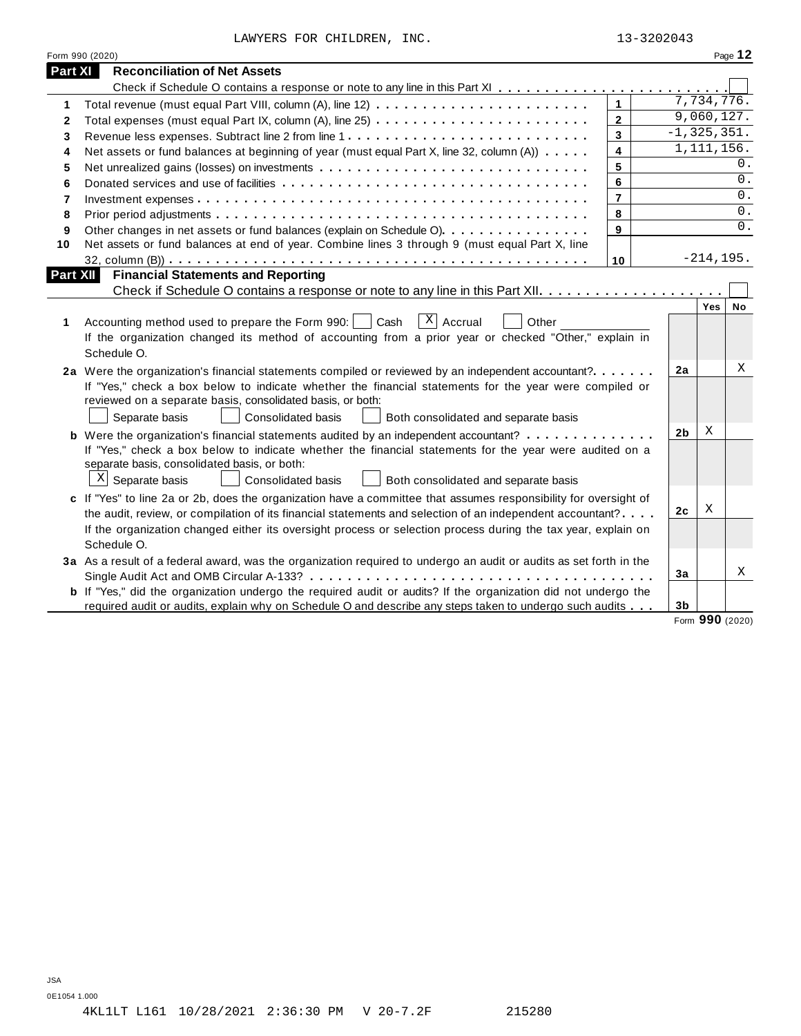LAWYERS FOR CHILDREN, INC. 13-3202043

|          | Form 990 (2020)                                                                                                                                                                                                                                                                                                                                                   |                 |              | Page 12         |
|----------|-------------------------------------------------------------------------------------------------------------------------------------------------------------------------------------------------------------------------------------------------------------------------------------------------------------------------------------------------------------------|-----------------|--------------|-----------------|
| Part XI  | <b>Reconciliation of Net Assets</b>                                                                                                                                                                                                                                                                                                                               |                 |              |                 |
|          |                                                                                                                                                                                                                                                                                                                                                                   |                 |              |                 |
| 1        | $\mathbf{1}$                                                                                                                                                                                                                                                                                                                                                      |                 | 7,734,776.   |                 |
| 2        | $\mathbf{2}$                                                                                                                                                                                                                                                                                                                                                      |                 | 9,060,127.   |                 |
| 3        | $\overline{3}$                                                                                                                                                                                                                                                                                                                                                    | $-1, 325, 351.$ |              |                 |
| 4        | $\overline{\mathbf{4}}$<br>Net assets or fund balances at beginning of year (must equal Part X, line 32, column (A))                                                                                                                                                                                                                                              |                 | 1, 111, 156. |                 |
| 5        | 5                                                                                                                                                                                                                                                                                                                                                                 |                 |              | $0$ .           |
| 6        | 6                                                                                                                                                                                                                                                                                                                                                                 |                 |              | $0$ .           |
| 7        | $\overline{7}$                                                                                                                                                                                                                                                                                                                                                    |                 |              | 0.              |
| 8        | 8                                                                                                                                                                                                                                                                                                                                                                 |                 |              | 0.              |
| 9        | 9<br>Other changes in net assets or fund balances (explain on Schedule O)                                                                                                                                                                                                                                                                                         |                 |              | 0.              |
| 10       | Net assets or fund balances at end of year. Combine lines 3 through 9 (must equal Part X, line                                                                                                                                                                                                                                                                    |                 |              |                 |
|          | 10                                                                                                                                                                                                                                                                                                                                                                |                 | $-214, 195.$ |                 |
| Part XII | <b>Financial Statements and Reporting</b>                                                                                                                                                                                                                                                                                                                         |                 |              |                 |
|          |                                                                                                                                                                                                                                                                                                                                                                   |                 |              |                 |
| 1        | $X$ Accrual<br>Accounting method used to prepare the Form 990:     Cash<br>Other<br>If the organization changed its method of accounting from a prior year or checked "Other," explain in<br>Schedule O.                                                                                                                                                          |                 | Yes          | No              |
|          | 2a Were the organization's financial statements compiled or reviewed by an independent accountant?<br>If "Yes," check a box below to indicate whether the financial statements for the year were compiled or<br>reviewed on a separate basis, consolidated basis, or both:<br>Separate basis<br><b>Consolidated basis</b><br>Both consolidated and separate basis | 2a              |              | Χ               |
|          |                                                                                                                                                                                                                                                                                                                                                                   | 2 <sub>b</sub>  | X            |                 |
|          | <b>b</b> Were the organization's financial statements audited by an independent accountant?<br>If "Yes," check a box below to indicate whether the financial statements for the year were audited on a<br>separate basis, consolidated basis, or both:<br>$\mathbf{x}$<br>Separate basis<br><b>Consolidated basis</b><br>Both consolidated and separate basis     |                 |              |                 |
|          | c If "Yes" to line 2a or 2b, does the organization have a committee that assumes responsibility for oversight of                                                                                                                                                                                                                                                  |                 |              |                 |
|          | the audit, review, or compilation of its financial statements and selection of an independent accountant?                                                                                                                                                                                                                                                         | 2c              | Χ            |                 |
|          | If the organization changed either its oversight process or selection process during the tax year, explain on                                                                                                                                                                                                                                                     |                 |              |                 |
|          | Schedule O.                                                                                                                                                                                                                                                                                                                                                       |                 |              |                 |
|          | 3a As a result of a federal award, was the organization required to undergo an audit or audits as set forth in the                                                                                                                                                                                                                                                |                 |              |                 |
|          |                                                                                                                                                                                                                                                                                                                                                                   | 3a              |              | X               |
|          | <b>b</b> If "Yes," did the organization undergo the required audit or audits? If the organization did not undergo the                                                                                                                                                                                                                                             |                 |              |                 |
|          | required audit or audits, explain why on Schedule O and describe any steps taken to undergo such audits                                                                                                                                                                                                                                                           | 3 <sub>b</sub>  |              |                 |
|          |                                                                                                                                                                                                                                                                                                                                                                   |                 |              | Form 990 (2020) |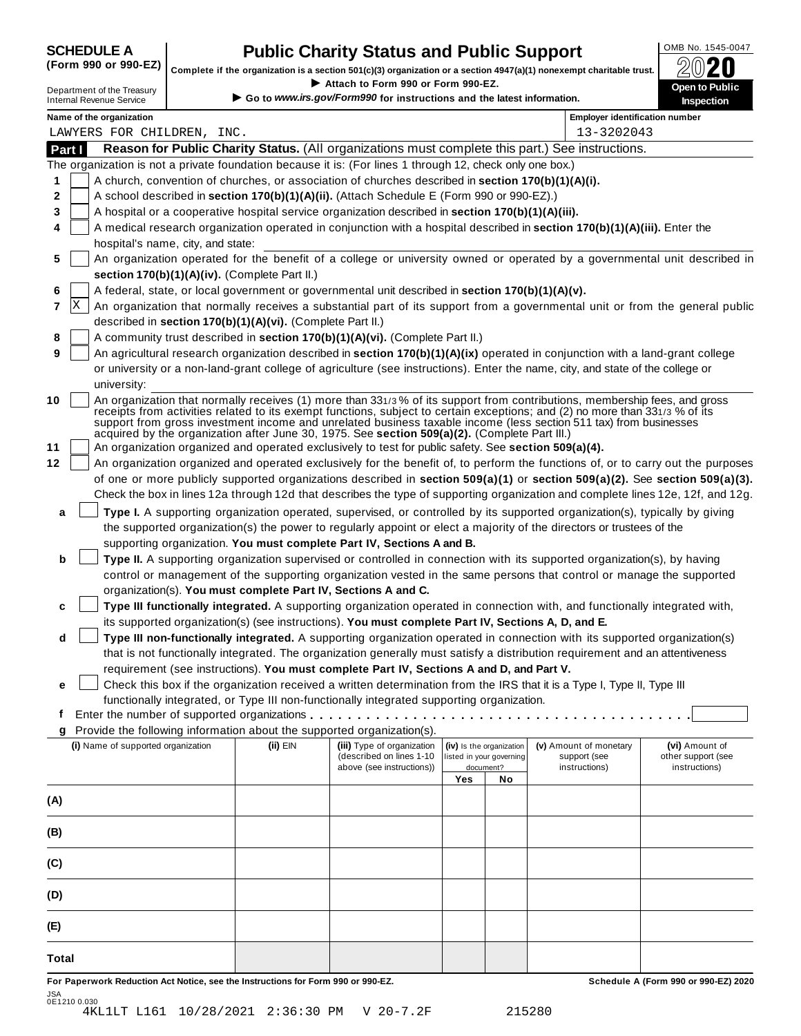JSA 0E1210 0.030

# **SCHEDULE A Public Charity Status and Public Support**<br>(Form 990 or 990-EZ) complete if the organization is a section 501(c)(3) organization or a section 4947(a)(1) popeyempt charitable trust  $\mathcal{D}(\mathbf{Q})$

(Form 990 or 990-EZ) complete if the organization is a section 501(c)(3) organization or a section 4947(a)(1) nonexempt charitable trust.  $2020$ 

|        |                                                                                  |                                                            | Complete if the organization is a section 501(c)(3) organization or a section 4947(a)(1) nonexempt charitable trust. |     |                          |                                                                                                                                                                                                                                                                                                                                                                                | ZWŁU                                                                                                                             |
|--------|----------------------------------------------------------------------------------|------------------------------------------------------------|----------------------------------------------------------------------------------------------------------------------|-----|--------------------------|--------------------------------------------------------------------------------------------------------------------------------------------------------------------------------------------------------------------------------------------------------------------------------------------------------------------------------------------------------------------------------|----------------------------------------------------------------------------------------------------------------------------------|
|        | Department of the Treasury<br><b>Internal Revenue Service</b>                    |                                                            | Attach to Form 990 or Form 990-EZ.<br>Go to www.irs.gov/Form990 for instructions and the latest information.         |     |                          |                                                                                                                                                                                                                                                                                                                                                                                | Open to Public<br><b>Inspection</b>                                                                                              |
|        | Name of the organization                                                         |                                                            |                                                                                                                      |     |                          | <b>Employer identification number</b>                                                                                                                                                                                                                                                                                                                                          |                                                                                                                                  |
|        | LAWYERS FOR CHILDREN, INC.                                                       |                                                            |                                                                                                                      |     |                          | 13-3202043                                                                                                                                                                                                                                                                                                                                                                     |                                                                                                                                  |
| Part I |                                                                                  |                                                            |                                                                                                                      |     |                          | Reason for Public Charity Status. (All organizations must complete this part.) See instructions.                                                                                                                                                                                                                                                                               |                                                                                                                                  |
|        |                                                                                  |                                                            | The organization is not a private foundation because it is: (For lines 1 through 12, check only one box.)            |     |                          |                                                                                                                                                                                                                                                                                                                                                                                |                                                                                                                                  |
| 1      |                                                                                  |                                                            | A church, convention of churches, or association of churches described in section 170(b)(1)(A)(i).                   |     |                          |                                                                                                                                                                                                                                                                                                                                                                                |                                                                                                                                  |
| 2      |                                                                                  |                                                            | A school described in section 170(b)(1)(A)(ii). (Attach Schedule E (Form 990 or 990-EZ).)                            |     |                          |                                                                                                                                                                                                                                                                                                                                                                                |                                                                                                                                  |
| 3      |                                                                                  |                                                            | A hospital or a cooperative hospital service organization described in section 170(b)(1)(A)(iii).                    |     |                          |                                                                                                                                                                                                                                                                                                                                                                                |                                                                                                                                  |
| 4      |                                                                                  |                                                            |                                                                                                                      |     |                          | A medical research organization operated in conjunction with a hospital described in section 170(b)(1)(A)(iii). Enter the                                                                                                                                                                                                                                                      |                                                                                                                                  |
|        | hospital's name, city, and state:                                                |                                                            |                                                                                                                      |     |                          |                                                                                                                                                                                                                                                                                                                                                                                |                                                                                                                                  |
| 5      |                                                                                  |                                                            |                                                                                                                      |     |                          |                                                                                                                                                                                                                                                                                                                                                                                | An organization operated for the benefit of a college or university owned or operated by a governmental unit described in        |
|        |                                                                                  | section 170(b)(1)(A)(iv). (Complete Part II.)              |                                                                                                                      |     |                          |                                                                                                                                                                                                                                                                                                                                                                                |                                                                                                                                  |
| 6<br>7 | x                                                                                |                                                            | A federal, state, or local government or governmental unit described in section 170(b)(1)(A)(v).                     |     |                          |                                                                                                                                                                                                                                                                                                                                                                                | An organization that normally receives a substantial part of its support from a governmental unit or from the general public     |
|        |                                                                                  | described in section 170(b)(1)(A)(vi). (Complete Part II.) |                                                                                                                      |     |                          |                                                                                                                                                                                                                                                                                                                                                                                |                                                                                                                                  |
| 8      |                                                                                  |                                                            | A community trust described in section 170(b)(1)(A)(vi). (Complete Part II.)                                         |     |                          |                                                                                                                                                                                                                                                                                                                                                                                |                                                                                                                                  |
| 9      |                                                                                  |                                                            |                                                                                                                      |     |                          | An agricultural research organization described in section 170(b)(1)(A)(ix) operated in conjunction with a land-grant college                                                                                                                                                                                                                                                  |                                                                                                                                  |
|        |                                                                                  |                                                            |                                                                                                                      |     |                          | or university or a non-land-grant college of agriculture (see instructions). Enter the name, city, and state of the college or                                                                                                                                                                                                                                                 |                                                                                                                                  |
|        | university:                                                                      |                                                            |                                                                                                                      |     |                          |                                                                                                                                                                                                                                                                                                                                                                                |                                                                                                                                  |
| 10     |                                                                                  |                                                            | acquired by the organization after June 30, 1975. See section 509(a)(2). (Complete Part III.)                        |     |                          | An organization that normally receives (1) more than 331/3% of its support from contributions, membership fees, and gross<br>receipts from activities related to its exempt functions, subject to certain exceptions; and (2) no more than 331/3 % of its<br>support from gross investment income and unrelated business taxable income (less section 511 tax) from businesses |                                                                                                                                  |
| 11     |                                                                                  |                                                            | An organization organized and operated exclusively to test for public safety. See section 509(a)(4).                 |     |                          |                                                                                                                                                                                                                                                                                                                                                                                |                                                                                                                                  |
| 12     |                                                                                  |                                                            |                                                                                                                      |     |                          |                                                                                                                                                                                                                                                                                                                                                                                | An organization organized and operated exclusively for the benefit of, to perform the functions of, or to carry out the purposes |
|        |                                                                                  |                                                            |                                                                                                                      |     |                          |                                                                                                                                                                                                                                                                                                                                                                                | of one or more publicly supported organizations described in section 509(a)(1) or section 509(a)(2). See section 509(a)(3).      |
|        |                                                                                  |                                                            |                                                                                                                      |     |                          |                                                                                                                                                                                                                                                                                                                                                                                | Check the box in lines 12a through 12d that describes the type of supporting organization and complete lines 12e, 12f, and 12g.  |
| a      |                                                                                  |                                                            |                                                                                                                      |     |                          | Type I. A supporting organization operated, supervised, or controlled by its supported organization(s), typically by giving                                                                                                                                                                                                                                                    |                                                                                                                                  |
|        |                                                                                  |                                                            |                                                                                                                      |     |                          | the supported organization(s) the power to regularly appoint or elect a majority of the directors or trustees of the                                                                                                                                                                                                                                                           |                                                                                                                                  |
| b      |                                                                                  |                                                            | supporting organization. You must complete Part IV, Sections A and B.                                                |     |                          | Type II. A supporting organization supervised or controlled in connection with its supported organization(s), by having                                                                                                                                                                                                                                                        |                                                                                                                                  |
|        |                                                                                  |                                                            |                                                                                                                      |     |                          | control or management of the supporting organization vested in the same persons that control or manage the supported                                                                                                                                                                                                                                                           |                                                                                                                                  |
|        |                                                                                  |                                                            | organization(s). You must complete Part IV, Sections A and C.                                                        |     |                          |                                                                                                                                                                                                                                                                                                                                                                                |                                                                                                                                  |
| c      |                                                                                  |                                                            |                                                                                                                      |     |                          | Type III functionally integrated. A supporting organization operated in connection with, and functionally integrated with,                                                                                                                                                                                                                                                     |                                                                                                                                  |
|        |                                                                                  |                                                            | its supported organization(s) (see instructions). You must complete Part IV, Sections A, D, and E.                   |     |                          |                                                                                                                                                                                                                                                                                                                                                                                |                                                                                                                                  |
| d      |                                                                                  |                                                            |                                                                                                                      |     |                          | Type III non-functionally integrated. A supporting organization operated in connection with its supported organization(s)                                                                                                                                                                                                                                                      |                                                                                                                                  |
|        |                                                                                  |                                                            |                                                                                                                      |     |                          | that is not functionally integrated. The organization generally must satisfy a distribution requirement and an attentiveness                                                                                                                                                                                                                                                   |                                                                                                                                  |
|        |                                                                                  |                                                            | requirement (see instructions). You must complete Part IV, Sections A and D, and Part V.                             |     |                          |                                                                                                                                                                                                                                                                                                                                                                                |                                                                                                                                  |
| е      |                                                                                  |                                                            |                                                                                                                      |     |                          | Check this box if the organization received a written determination from the IRS that it is a Type I, Type II, Type III                                                                                                                                                                                                                                                        |                                                                                                                                  |
|        |                                                                                  |                                                            | functionally integrated, or Type III non-functionally integrated supporting organization.                            |     |                          |                                                                                                                                                                                                                                                                                                                                                                                |                                                                                                                                  |
| f      |                                                                                  |                                                            |                                                                                                                      |     |                          |                                                                                                                                                                                                                                                                                                                                                                                |                                                                                                                                  |
| g      | (i) Name of supported organization                                               | (ii) EIN                                                   | Provide the following information about the supported organization(s).<br>(iii) Type of organization                 |     | (iv) Is the organization | (v) Amount of monetary                                                                                                                                                                                                                                                                                                                                                         | (vi) Amount of                                                                                                                   |
|        |                                                                                  |                                                            | (described on lines 1-10                                                                                             |     | listed in your governing | support (see                                                                                                                                                                                                                                                                                                                                                                   | other support (see                                                                                                               |
|        |                                                                                  |                                                            | above (see instructions))                                                                                            | Yes | document?<br>No          | instructions)                                                                                                                                                                                                                                                                                                                                                                  | instructions)                                                                                                                    |
|        |                                                                                  |                                                            |                                                                                                                      |     |                          |                                                                                                                                                                                                                                                                                                                                                                                |                                                                                                                                  |
| (A)    |                                                                                  |                                                            |                                                                                                                      |     |                          |                                                                                                                                                                                                                                                                                                                                                                                |                                                                                                                                  |
| (B)    |                                                                                  |                                                            |                                                                                                                      |     |                          |                                                                                                                                                                                                                                                                                                                                                                                |                                                                                                                                  |
| (C)    |                                                                                  |                                                            |                                                                                                                      |     |                          |                                                                                                                                                                                                                                                                                                                                                                                |                                                                                                                                  |
| (D)    |                                                                                  |                                                            |                                                                                                                      |     |                          |                                                                                                                                                                                                                                                                                                                                                                                |                                                                                                                                  |
| (E)    |                                                                                  |                                                            |                                                                                                                      |     |                          |                                                                                                                                                                                                                                                                                                                                                                                |                                                                                                                                  |
| Total  |                                                                                  |                                                            |                                                                                                                      |     |                          |                                                                                                                                                                                                                                                                                                                                                                                |                                                                                                                                  |
|        | For Paperwork Reduction Act Notice, see the Instructions for Form 990 or 990-EZ. |                                                            |                                                                                                                      |     |                          |                                                                                                                                                                                                                                                                                                                                                                                | Schedule A (Form 990 or 990-EZ) 2020                                                                                             |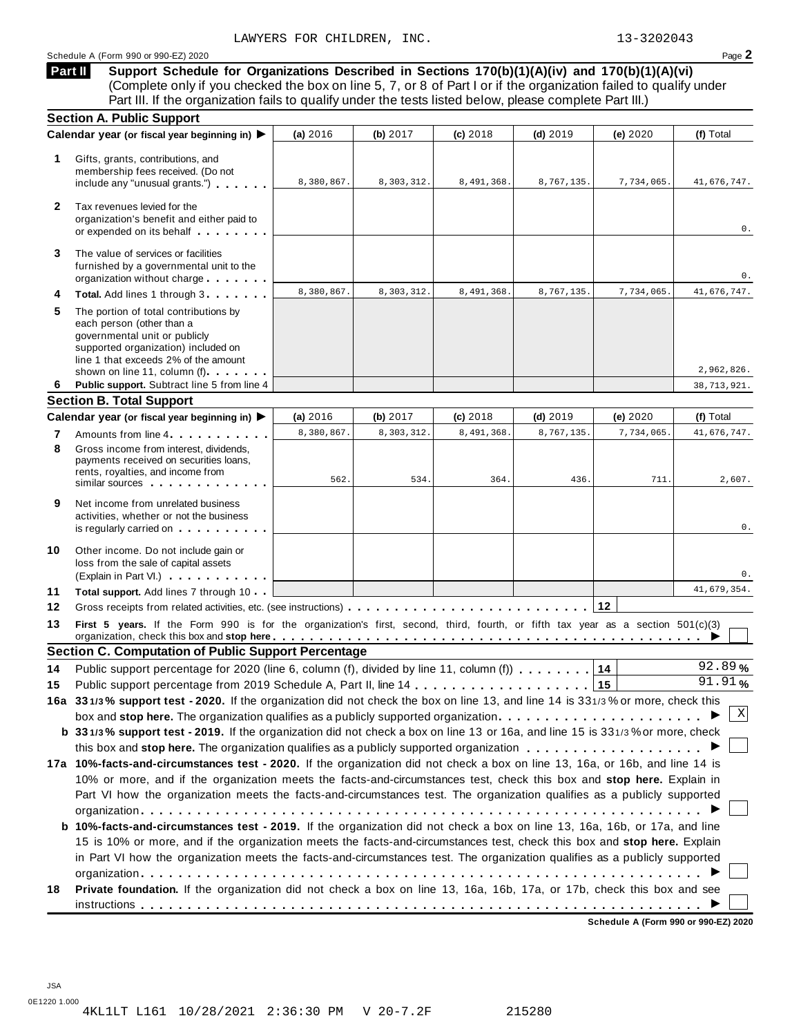# Schedule <sup>A</sup> (Form <sup>990</sup> or 990-EZ) <sup>2020</sup> Page **2**

**Support Schedule for Organizations Described in Sections 170(b)(1)(A)(iv) and 170(b)(1)(A)(vi)** (Complete only if you checked the box on line 5, 7, or 8 of Part I or if the organization failed to qualify under Part III. If the organization fails to qualify under the tests listed below, please complete Part III.) **Part II**

| <b>Section A. Public Support</b>                                                                                                                                                                |                                                                                                                                                                   |            |                                                            |            |                                                                                        |                                                                                                                                                                                                                                                                                                                                                                                                                                                                                                                                                                                                                                                                                                                                                                                                                                                                                                                                              |
|-------------------------------------------------------------------------------------------------------------------------------------------------------------------------------------------------|-------------------------------------------------------------------------------------------------------------------------------------------------------------------|------------|------------------------------------------------------------|------------|----------------------------------------------------------------------------------------|----------------------------------------------------------------------------------------------------------------------------------------------------------------------------------------------------------------------------------------------------------------------------------------------------------------------------------------------------------------------------------------------------------------------------------------------------------------------------------------------------------------------------------------------------------------------------------------------------------------------------------------------------------------------------------------------------------------------------------------------------------------------------------------------------------------------------------------------------------------------------------------------------------------------------------------------|
|                                                                                                                                                                                                 | (a) 2016                                                                                                                                                          | (b) 2017   | (c) 2018                                                   | $(d)$ 2019 | (e) 2020                                                                               | (f) Total                                                                                                                                                                                                                                                                                                                                                                                                                                                                                                                                                                                                                                                                                                                                                                                                                                                                                                                                    |
| Gifts, grants, contributions, and<br>membership fees received. (Do not<br>include any "unusual grants.")                                                                                        | 8,380,867.                                                                                                                                                        | 8,303,312. | 8,491,368.                                                 | 8,767,135. | 7,734,065.                                                                             | 41,676,747.                                                                                                                                                                                                                                                                                                                                                                                                                                                                                                                                                                                                                                                                                                                                                                                                                                                                                                                                  |
| Tax revenues levied for the<br>organization's benefit and either paid to<br>or expended on its behalf                                                                                           |                                                                                                                                                                   |            |                                                            |            |                                                                                        | 0.                                                                                                                                                                                                                                                                                                                                                                                                                                                                                                                                                                                                                                                                                                                                                                                                                                                                                                                                           |
| The value of services or facilities<br>furnished by a governmental unit to the<br>organization without charge                                                                                   |                                                                                                                                                                   |            |                                                            |            |                                                                                        | 0.                                                                                                                                                                                                                                                                                                                                                                                                                                                                                                                                                                                                                                                                                                                                                                                                                                                                                                                                           |
| Total. Add lines 1 through 3                                                                                                                                                                    | 8,380,867.                                                                                                                                                        | 8,303,312. | 8,491,368.                                                 | 8,767,135  | 7,734,065.                                                                             | 41,676,747.                                                                                                                                                                                                                                                                                                                                                                                                                                                                                                                                                                                                                                                                                                                                                                                                                                                                                                                                  |
| The portion of total contributions by<br>each person (other than a<br>governmental unit or publicly<br>supported organization) included on<br>line 1 that exceeds 2% of the amount              |                                                                                                                                                                   |            |                                                            |            |                                                                                        | 2,962,826.                                                                                                                                                                                                                                                                                                                                                                                                                                                                                                                                                                                                                                                                                                                                                                                                                                                                                                                                   |
| Public support. Subtract line 5 from line 4                                                                                                                                                     |                                                                                                                                                                   |            |                                                            |            |                                                                                        | 38,713,921.                                                                                                                                                                                                                                                                                                                                                                                                                                                                                                                                                                                                                                                                                                                                                                                                                                                                                                                                  |
|                                                                                                                                                                                                 |                                                                                                                                                                   |            |                                                            |            |                                                                                        |                                                                                                                                                                                                                                                                                                                                                                                                                                                                                                                                                                                                                                                                                                                                                                                                                                                                                                                                              |
|                                                                                                                                                                                                 | (a) 2016                                                                                                                                                          | (b) 2017   | $(c)$ 2018                                                 | $(d)$ 2019 | (e) 2020                                                                               | (f) Total                                                                                                                                                                                                                                                                                                                                                                                                                                                                                                                                                                                                                                                                                                                                                                                                                                                                                                                                    |
| Amounts from line 4                                                                                                                                                                             | 8,380,867.                                                                                                                                                        | 8,303,312. | 8,491,368.                                                 | 8,767,135  | 7,734,065.                                                                             | 41,676,747.                                                                                                                                                                                                                                                                                                                                                                                                                                                                                                                                                                                                                                                                                                                                                                                                                                                                                                                                  |
| Gross income from interest, dividends,<br>payments received on securities loans,<br>rents, royalties, and income from<br>similar sources experiences                                            | 562.                                                                                                                                                              | 534.       | 364.                                                       | 436        | 711.                                                                                   | 2,607.                                                                                                                                                                                                                                                                                                                                                                                                                                                                                                                                                                                                                                                                                                                                                                                                                                                                                                                                       |
| Net income from unrelated business<br>activities, whether or not the business<br>is regularly carried on the control of the set of the set of the set of the set of the set of the set of the s |                                                                                                                                                                   |            |                                                            |            |                                                                                        | 0.                                                                                                                                                                                                                                                                                                                                                                                                                                                                                                                                                                                                                                                                                                                                                                                                                                                                                                                                           |
| Other income. Do not include gain or<br>loss from the sale of capital assets<br>(Explain in Part VI.)                                                                                           |                                                                                                                                                                   |            |                                                            |            |                                                                                        | 0.                                                                                                                                                                                                                                                                                                                                                                                                                                                                                                                                                                                                                                                                                                                                                                                                                                                                                                                                           |
| Total support. Add lines 7 through 10                                                                                                                                                           |                                                                                                                                                                   |            |                                                            |            |                                                                                        | 41,679,354.                                                                                                                                                                                                                                                                                                                                                                                                                                                                                                                                                                                                                                                                                                                                                                                                                                                                                                                                  |
|                                                                                                                                                                                                 |                                                                                                                                                                   |            |                                                            |            |                                                                                        |                                                                                                                                                                                                                                                                                                                                                                                                                                                                                                                                                                                                                                                                                                                                                                                                                                                                                                                                              |
|                                                                                                                                                                                                 |                                                                                                                                                                   |            |                                                            |            |                                                                                        |                                                                                                                                                                                                                                                                                                                                                                                                                                                                                                                                                                                                                                                                                                                                                                                                                                                                                                                                              |
|                                                                                                                                                                                                 |                                                                                                                                                                   |            |                                                            |            |                                                                                        |                                                                                                                                                                                                                                                                                                                                                                                                                                                                                                                                                                                                                                                                                                                                                                                                                                                                                                                                              |
|                                                                                                                                                                                                 |                                                                                                                                                                   |            |                                                            |            |                                                                                        | 92.89%                                                                                                                                                                                                                                                                                                                                                                                                                                                                                                                                                                                                                                                                                                                                                                                                                                                                                                                                       |
|                                                                                                                                                                                                 |                                                                                                                                                                   |            |                                                            |            |                                                                                        | 91.91%                                                                                                                                                                                                                                                                                                                                                                                                                                                                                                                                                                                                                                                                                                                                                                                                                                                                                                                                       |
|                                                                                                                                                                                                 |                                                                                                                                                                   |            |                                                            |            |                                                                                        |                                                                                                                                                                                                                                                                                                                                                                                                                                                                                                                                                                                                                                                                                                                                                                                                                                                                                                                                              |
|                                                                                                                                                                                                 |                                                                                                                                                                   |            |                                                            |            |                                                                                        | Χ                                                                                                                                                                                                                                                                                                                                                                                                                                                                                                                                                                                                                                                                                                                                                                                                                                                                                                                                            |
|                                                                                                                                                                                                 |                                                                                                                                                                   |            |                                                            |            |                                                                                        |                                                                                                                                                                                                                                                                                                                                                                                                                                                                                                                                                                                                                                                                                                                                                                                                                                                                                                                                              |
|                                                                                                                                                                                                 |                                                                                                                                                                   |            |                                                            |            |                                                                                        |                                                                                                                                                                                                                                                                                                                                                                                                                                                                                                                                                                                                                                                                                                                                                                                                                                                                                                                                              |
|                                                                                                                                                                                                 |                                                                                                                                                                   |            |                                                            |            |                                                                                        |                                                                                                                                                                                                                                                                                                                                                                                                                                                                                                                                                                                                                                                                                                                                                                                                                                                                                                                                              |
|                                                                                                                                                                                                 |                                                                                                                                                                   |            |                                                            |            |                                                                                        |                                                                                                                                                                                                                                                                                                                                                                                                                                                                                                                                                                                                                                                                                                                                                                                                                                                                                                                                              |
|                                                                                                                                                                                                 |                                                                                                                                                                   |            |                                                            |            |                                                                                        |                                                                                                                                                                                                                                                                                                                                                                                                                                                                                                                                                                                                                                                                                                                                                                                                                                                                                                                                              |
|                                                                                                                                                                                                 |                                                                                                                                                                   |            |                                                            |            |                                                                                        |                                                                                                                                                                                                                                                                                                                                                                                                                                                                                                                                                                                                                                                                                                                                                                                                                                                                                                                                              |
|                                                                                                                                                                                                 |                                                                                                                                                                   |            |                                                            |            |                                                                                        |                                                                                                                                                                                                                                                                                                                                                                                                                                                                                                                                                                                                                                                                                                                                                                                                                                                                                                                                              |
| b 10%-facts-and-circumstances test - 2019. If the organization did not check a box on line 13, 16a, 16b, or 17a, and line                                                                       |                                                                                                                                                                   |            |                                                            |            |                                                                                        |                                                                                                                                                                                                                                                                                                                                                                                                                                                                                                                                                                                                                                                                                                                                                                                                                                                                                                                                              |
| 15 is 10% or more, and if the organization meets the facts-and-circumstances test, check this box and stop here. Explain                                                                        |                                                                                                                                                                   |            |                                                            |            |                                                                                        |                                                                                                                                                                                                                                                                                                                                                                                                                                                                                                                                                                                                                                                                                                                                                                                                                                                                                                                                              |
| in Part VI how the organization meets the facts-and-circumstances test. The organization qualifies as a publicly supported                                                                      |                                                                                                                                                                   |            |                                                            |            |                                                                                        |                                                                                                                                                                                                                                                                                                                                                                                                                                                                                                                                                                                                                                                                                                                                                                                                                                                                                                                                              |
| Private foundation. If the organization did not check a box on line 13, 16a, 16b, 17a, or 17b, check this box and see                                                                           |                                                                                                                                                                   |            |                                                            |            |                                                                                        |                                                                                                                                                                                                                                                                                                                                                                                                                                                                                                                                                                                                                                                                                                                                                                                                                                                                                                                                              |
|                                                                                                                                                                                                 | Calendar year (or fiscal year beginning in) ▶<br>shown on line 11, column (f)<br><b>Section B. Total Support</b><br>Calendar year (or fiscal year beginning in) ▶ |            | <b>Section C. Computation of Public Support Percentage</b> |            | Public support percentage for 2020 (line 6, column (f), divided by line 11, column (f) | First 5 years. If the Form 990 is for the organization's first, second, third, fourth, or fifth tax year as a section 501(c)(3)<br>14<br>15<br>16a 331/3% support test - 2020. If the organization did not check the box on line 13, and line 14 is 331/3% or more, check this<br>box and stop here. The organization qualifies as a publicly supported organization $\ldots \ldots \ldots \ldots \ldots \ldots \ldots$<br>b 331/3% support test - 2019. If the organization did not check a box on line 13 or 16a, and line 15 is 331/3% or more, check<br>17a 10%-facts-and-circumstances test - 2020. If the organization did not check a box on line 13, 16a, or 16b, and line 14 is<br>10% or more, and if the organization meets the facts-and-circumstances test, check this box and stop here. Explain in<br>Part VI how the organization meets the facts-and-circumstances test. The organization qualifies as a publicly supported |

**Schedule A (Form 990 or 990-EZ) 2020**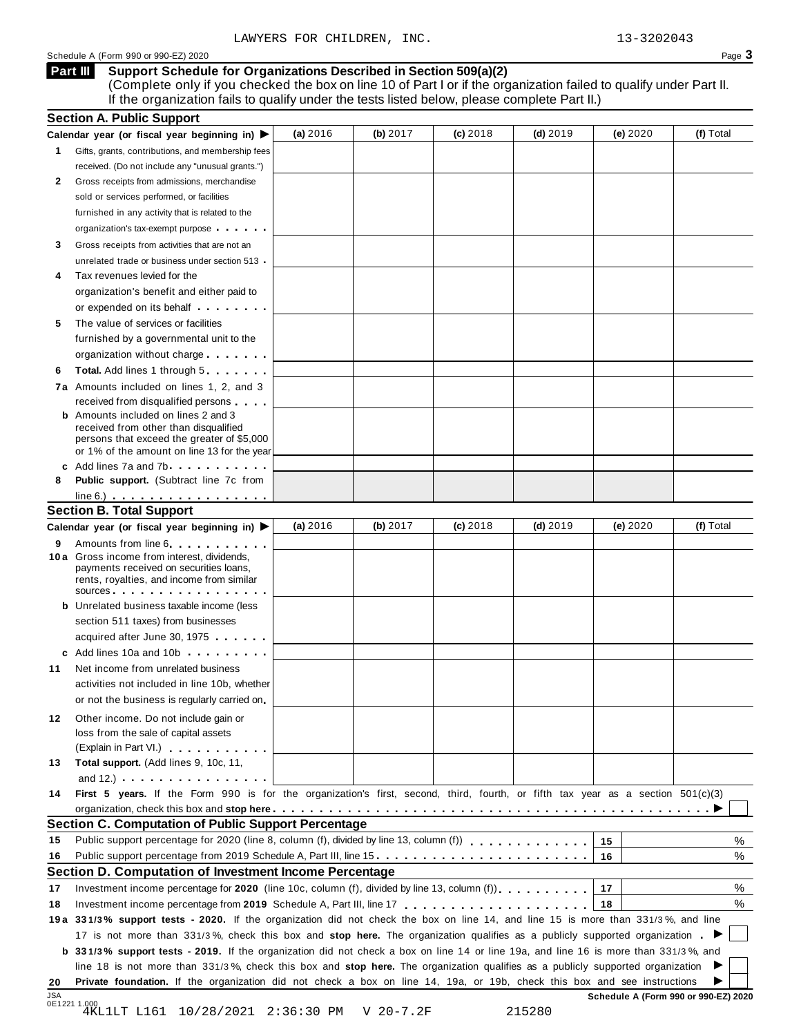# Schedule A (Form 990 or 990-EZ) 2020 Page 3

### **Support Schedule for Organizations Described in Section 509(a)(2) Part III**

(Complete only if you checked the box on line 10 of Part I or if the organization failed to qualify under Part II. If the organization fails to qualify under the tests listed below, please complete Part II.)

|           | <b>Section A. Public Support</b>                                                                                                                                                                                                     |            |             |            |            |                                      |           |
|-----------|--------------------------------------------------------------------------------------------------------------------------------------------------------------------------------------------------------------------------------------|------------|-------------|------------|------------|--------------------------------------|-----------|
|           | Calendar year (or fiscal year beginning in)                                                                                                                                                                                          | (a) $2016$ | (b) $2017$  | $(c)$ 2018 | (d) $2019$ | (e) 2020                             | (f) Total |
| 1.        | Gifts, grants, contributions, and membership fees                                                                                                                                                                                    |            |             |            |            |                                      |           |
|           | received. (Do not include any "unusual grants.")                                                                                                                                                                                     |            |             |            |            |                                      |           |
| 2         | Gross receipts from admissions, merchandise                                                                                                                                                                                          |            |             |            |            |                                      |           |
|           | sold or services performed, or facilities                                                                                                                                                                                            |            |             |            |            |                                      |           |
|           | furnished in any activity that is related to the                                                                                                                                                                                     |            |             |            |            |                                      |           |
|           | organization's tax-exempt purpose                                                                                                                                                                                                    |            |             |            |            |                                      |           |
| 3         | Gross receipts from activities that are not an                                                                                                                                                                                       |            |             |            |            |                                      |           |
|           | unrelated trade or business under section 513 .                                                                                                                                                                                      |            |             |            |            |                                      |           |
|           | Tax revenues levied for the                                                                                                                                                                                                          |            |             |            |            |                                      |           |
|           | organization's benefit and either paid to                                                                                                                                                                                            |            |             |            |            |                                      |           |
|           | or expended on its behalf <b>contains the set of the set of the set of the set of the set of the set of the set of the set of the set of the set of the set of the set of the set of the set of the set of the set of the set of</b> |            |             |            |            |                                      |           |
| 5         | The value of services or facilities                                                                                                                                                                                                  |            |             |            |            |                                      |           |
|           | furnished by a governmental unit to the                                                                                                                                                                                              |            |             |            |            |                                      |           |
|           | organization without charge                                                                                                                                                                                                          |            |             |            |            |                                      |           |
| 6         | <b>Total.</b> Add lines 1 through 5                                                                                                                                                                                                  |            |             |            |            |                                      |           |
|           | 7a Amounts included on lines 1, 2, and 3                                                                                                                                                                                             |            |             |            |            |                                      |           |
|           | received from disqualified persons                                                                                                                                                                                                   |            |             |            |            |                                      |           |
|           | <b>b</b> Amounts included on lines 2 and 3                                                                                                                                                                                           |            |             |            |            |                                      |           |
|           | received from other than disqualified                                                                                                                                                                                                |            |             |            |            |                                      |           |
|           | persons that exceed the greater of \$5,000<br>or 1% of the amount on line 13 for the year                                                                                                                                            |            |             |            |            |                                      |           |
|           | c Add lines 7a and 7b entitled and the same in the same of the same of the same of the same of the same of the same of the same of the same of the same of the same of the same of the same of the same of the same of the sam       |            |             |            |            |                                      |           |
| 8         | Public support. (Subtract line 7c from                                                                                                                                                                                               |            |             |            |            |                                      |           |
|           | $line 6.)$                                                                                                                                                                                                                           |            |             |            |            |                                      |           |
|           | <b>Section B. Total Support</b>                                                                                                                                                                                                      |            |             |            |            |                                      |           |
|           | Calendar year (or fiscal year beginning in)                                                                                                                                                                                          | (a) 2016   | (b) 2017    | $(c)$ 2018 | (d) $2019$ | (e) $2020$                           | (f) Total |
| 9         | Amounts from line 6                                                                                                                                                                                                                  |            |             |            |            |                                      |           |
|           | 10 a Gross income from interest, dividends,<br>payments received on securities loans,                                                                                                                                                |            |             |            |            |                                      |           |
|           | rents, royalties, and income from similar                                                                                                                                                                                            |            |             |            |            |                                      |           |
|           | SOUICES                                                                                                                                                                                                                              |            |             |            |            |                                      |           |
|           | <b>b</b> Unrelated business taxable income (less                                                                                                                                                                                     |            |             |            |            |                                      |           |
|           | section 511 taxes) from businesses                                                                                                                                                                                                   |            |             |            |            |                                      |           |
|           | acquired after June 30, 1975                                                                                                                                                                                                         |            |             |            |            |                                      |           |
|           | c Add lines 10a and 10b                                                                                                                                                                                                              |            |             |            |            |                                      |           |
| 11        | Net income from unrelated business                                                                                                                                                                                                   |            |             |            |            |                                      |           |
|           | activities not included in line 10b, whether                                                                                                                                                                                         |            |             |            |            |                                      |           |
|           | or not the business is regularly carried on.                                                                                                                                                                                         |            |             |            |            |                                      |           |
| 12        | Other income. Do not include gain or                                                                                                                                                                                                 |            |             |            |            |                                      |           |
|           | loss from the sale of capital assets                                                                                                                                                                                                 |            |             |            |            |                                      |           |
|           | (Explain in Part VI.)                                                                                                                                                                                                                |            |             |            |            |                                      |           |
| 13        | Total support. (Add lines 9, 10c, 11,                                                                                                                                                                                                |            |             |            |            |                                      |           |
|           | and 12.) $\cdots$ $\cdots$ $\cdots$ $\cdots$                                                                                                                                                                                         |            |             |            |            |                                      |           |
| 14        | First 5 years. If the Form 990 is for the organization's first, second, third, fourth, or fifth tax year as a section 501(c)(3)                                                                                                      |            |             |            |            |                                      |           |
|           |                                                                                                                                                                                                                                      |            |             |            |            |                                      |           |
|           | <b>Section C. Computation of Public Support Percentage</b>                                                                                                                                                                           |            |             |            |            |                                      |           |
| 15        |                                                                                                                                                                                                                                      |            |             |            |            | 15                                   | %         |
| 16        | Public support percentage from 2019 Schedule A, Part III, line 15.                                                                                                                                                                   |            |             |            |            | 16                                   | %         |
|           | Section D. Computation of Investment Income Percentage                                                                                                                                                                               |            |             |            |            |                                      |           |
| 17        | Investment income percentage for 2020 (line 10c, column (f), divided by line 13, column (f)), $\ldots$ , , , , , , ,                                                                                                                 |            |             |            |            | 17                                   | %         |
| 18        |                                                                                                                                                                                                                                      |            |             |            |            | 18                                   | %         |
|           | 19a 331/3% support tests - 2020. If the organization did not check the box on line 14, and line 15 is more than 331/3%, and line                                                                                                     |            |             |            |            |                                      |           |
|           | 17 is not more than 331/3%, check this box and stop here. The organization qualifies as a publicly supported organization.                                                                                                           |            |             |            |            |                                      |           |
|           | b 331/3% support tests - 2019. If the organization did not check a box on line 14 or line 19a, and line 16 is more than 331/3%, and                                                                                                  |            |             |            |            |                                      |           |
|           | line 18 is not more than 331/3%, check this box and stop here. The organization qualifies as a publicly supported organization                                                                                                       |            |             |            |            |                                      |           |
|           | Private foundation. If the organization did not check a box on line 14, 19a, or 19b, check this box and see instructions                                                                                                             |            |             |            |            |                                      |           |
| 20<br>JSA |                                                                                                                                                                                                                                      |            |             |            |            | Schedule A (Form 990 or 990-EZ) 2020 |           |
|           | 0E1221 1.000<br>10/28/2021 2:36:30 PM<br>4KL1LT L161                                                                                                                                                                                 |            | $V$ 20-7.2F |            | 215280     |                                      |           |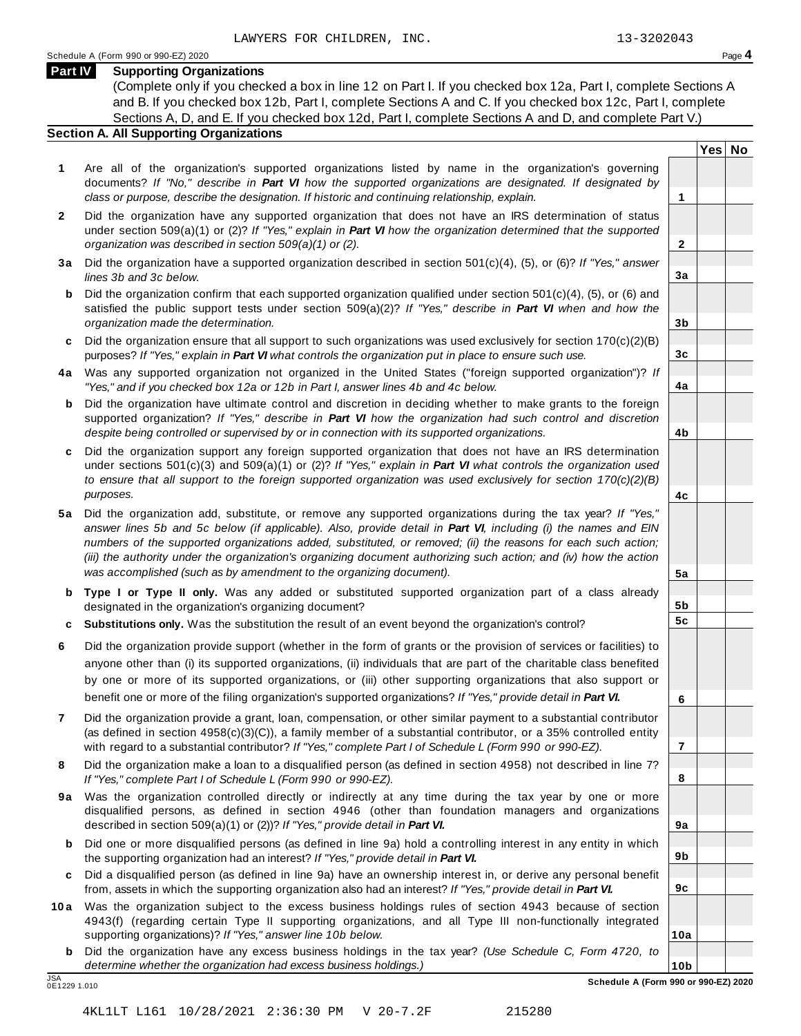**Yes No**

**2**

**3a**

**3b**

**3c**

**4a**

**4b**

**4c**

**5a**

**5b 5c**

**6**

**7**

**8**

**9a**

**9b**

**9c**

**10a**

# **Part IV Supporting Organizations**

(Complete only if you checked a box in line 12 on Part I. If you checked box 12a, Part I, complete Sections A and B. If you checked box 12b, Part I, complete Sections A and C. If you checked box 12c, Part I, complete Sections A, D, and E. If you checked box 12d, Part I, complete Sections A and D, and complete Part V.)

# **Section A. All Supporting Organizations**

- **1** Are all of the organization's supported organizations listed by name in the organization's governing documents? *If "No," describe in Part VI how the supported organizations are designated. If designated by class or purpose, describe the designation. If historic and continuing relationship, explain.* **1**
- **2** Did the organization have any supported organization that does not have an IRS determination of status under section 509(a)(1) or (2)? *If"Yes," explain in Part VI how the organization determined that the supported organization was described in section 509(a)(1) or (2).*
- **3 a** Did the organization have a supported organization described in section 501(c)(4), (5), or (6)? *If "Yes," answer lines 3b and 3c below.*
- **b** Did the organization confirm that each supported organization qualified under section 501(c)(4), (5), or (6) and | satisfied the public support tests under section 509(a)(2)? *If "Yes," describe in Part VI when and how the organization made the determination.*
- **c** Did the organization ensure that all support to such organizations was used exclusively for section 170(c)(2)(B) purposes? *If"Yes," explain in Part VI what controls the organization put in place to ensure such use.*
- **4 a** Was any supported organization not organized in the United States ("foreign supported organization")? *If "Yes," and if you checked box 12a or 12b in Part I, answer lines 4b and 4c below.*
- **b** Did the organization have ultimate control and discretion in deciding whether to make grants to the foreign | supported organization? *If "Yes," describe in Part VI how the organization had such control and discretion despite being controlled or supervised by or in connection with its supported organizations.*
- **c** Did the organization support any foreign supported organization that does not have an IRS determination | under sections 501(c)(3) and 509(a)(1) or (2)? *If "Yes," explain in Part VI what controls the organization used to ensure that all support to the foreign supported organization was used exclusively for section 170(c)(2)(B) purposes.*
- **5 a** Did the organization add, substitute, or remove any supported organizations during the tax year? *If "Yes,"* answer lines 5b and 5c below (if applicable). Also, provide detail in Part VI, including (i) the names and EIN *numbers of the supported organizations added, substituted, or removed; (ii) the reasons for each such action;* (iii) the authority under the organization's organizing document authorizing such action; and (iv) how the action *was accomplished (such as by amendment to the organizing document).*
- **b Type I or Type II only.** Was any added or substituted supported organization part of a class already designated in the organization's organizing document?
- **c Substitutions only.** Was the substitution the result of an event beyond the organization's control?
- **6** Did the organization provide support (whether in the form of grants or the provision of services or facilities) to anyone other than (i) its supported organizations, (ii) individuals that are part of the charitable class benefited by one or more of its supported organizations, or (iii) other supporting organizations that also support or benefit one or more of the filing organization's supported organizations? *If"Yes," provide detail in Part VI.*
- **7** Did the organization provide a grant, loan, compensation, or other similar payment to a substantial contributor (as defined in section 4958(c)(3)(C)), a family member of a substantial contributor, or a 35% controlled entity with regard to a substantial contributor? *If"Yes," complete Part I of Schedule L (Form 990 or 990-EZ).*
- **8** Did the organization make a loan to a disqualified person (as defined in section 4958) not described in line 7? *If "Yes," complete Part I of Schedule L (Form 990 or 990-EZ).*
- **9a** Was the organization controlled directly or indirectly at any time during the tax year by one or more | disqualified persons, as defined in section 4946 (other than foundation managers and organizations described in section 509(a)(1) or (2))? *If"Yes," provide detail in Part VI.*
- **b** Did one or more disqualified persons (as defined in line 9a) hold a controlling interest in any entity in which | the supporting organization had an interest? *If"Yes," provide detail in Part VI.*
- **c** Did a disqualified person (as defined in line 9a) have an ownership interest in, or derive any personal benefit from, assets in which the supporting organization also had an interest? *If"Yes," provide detail in Part VI.*
- **10a** Was the organization subject to the excess business holdings rules of section 4943 because of section | 4943(f) (regarding certain Type II supporting organizations, and all Type III non-functionally integrated supporting organizations)? *If"Yes," answer line 10b below.*
	- **b** Did the organization have any excess business holdings in the tax year? *(Use Schedule C, Form 4720, to determine whether the organization had excess business holdings.)*

0E1229 1.010

**10b** JSA **Schedule A (Form 990 or 990-EZ) 2020**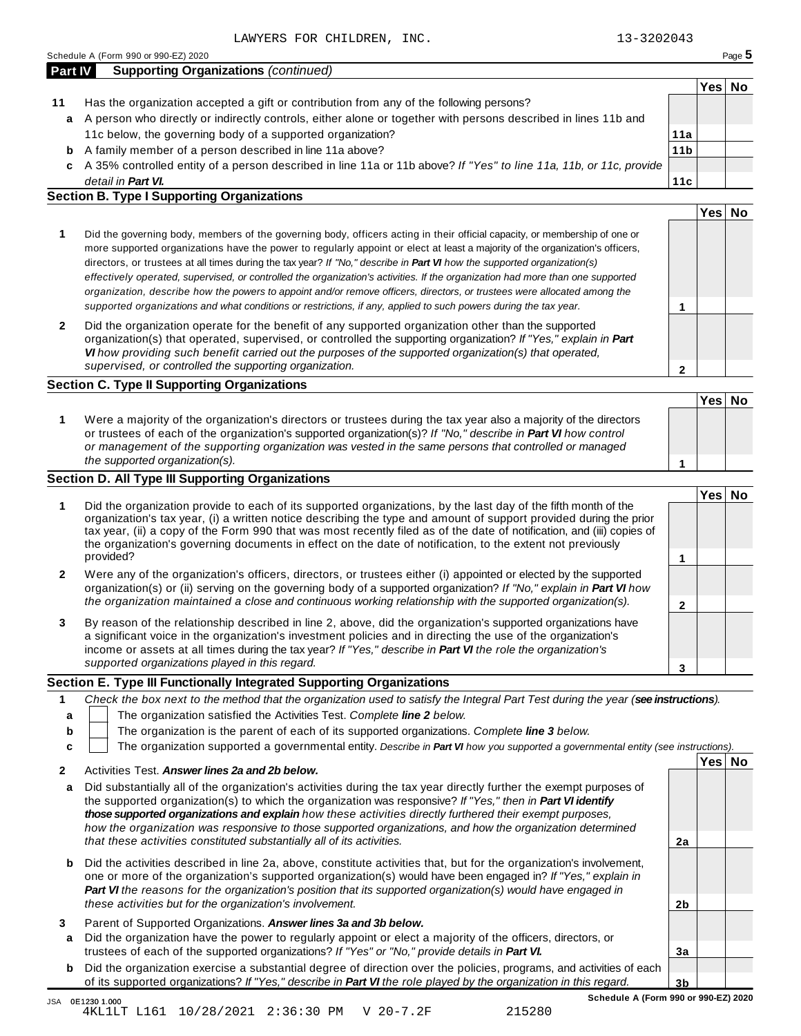| <b>Part IV</b> | <b>Supporting Organizations (continued)</b>                                                                        |                 |      |    |
|----------------|--------------------------------------------------------------------------------------------------------------------|-----------------|------|----|
|                |                                                                                                                    |                 | Yes⊺ | Nο |
| 11             | Has the organization accepted a gift or contribution from any of the following persons?                            |                 |      |    |
| a              | A person who directly or indirectly controls, either alone or together with persons described in lines 11b and     |                 |      |    |
|                | 11c below, the governing body of a supported organization?                                                         | 11a             |      |    |
| b              | A family member of a person described in line 11a above?                                                           | 11 <sub>b</sub> |      |    |
| C.             | A 35% controlled entity of a person described in line 11a or 11b above? If "Yes" to line 11a, 11b, or 11c, provide |                 |      |    |
|                | detail in <b>Part VI.</b>                                                                                          | 11c             |      |    |

| <b>Section B. Type I Supporting Organizations</b> |
|---------------------------------------------------|
|---------------------------------------------------|

|                                                                                                                                                                                                                                                                                                                                                                                                                                                                                                                                                                                                                                                                                                                                                                                 |   | Yes⊺ |  |
|---------------------------------------------------------------------------------------------------------------------------------------------------------------------------------------------------------------------------------------------------------------------------------------------------------------------------------------------------------------------------------------------------------------------------------------------------------------------------------------------------------------------------------------------------------------------------------------------------------------------------------------------------------------------------------------------------------------------------------------------------------------------------------|---|------|--|
| Did the governing body, members of the governing body, officers acting in their official capacity, or membership of one or<br>more supported organizations have the power to regularly appoint or elect at least a majority of the organization's officers,<br>directors, or trustees at all times during the tax year? If "No," describe in <b>Part VI</b> how the supported organization(s)<br>effectively operated, supervised, or controlled the organization's activities. If the organization had more than one supported<br>organization, describe how the powers to appoint and/or remove officers, directors, or trustees were allocated among the<br>supported organizations and what conditions or restrictions, if any, applied to such powers during the tax year. |   |      |  |
| Did the organization operate for the benefit of any supported organization other than the supported<br>organization(s) that operated, supervised, or controlled the supporting organization? If "Yes," explain in Part<br>VI how providing such benefit carried out the purposes of the supported organization(s) that operated,<br>supervised, or controlled the supporting organization.                                                                                                                                                                                                                                                                                                                                                                                      | າ |      |  |

# **Section C. Type II Supporting Organizations**

|                                                                                                                                                                                                                                                                                                                                             | Yes No |  |
|---------------------------------------------------------------------------------------------------------------------------------------------------------------------------------------------------------------------------------------------------------------------------------------------------------------------------------------------|--------|--|
| Were a majority of the organization's directors or trustees during the tax year also a majority of the directors<br>or trustees of each of the organization's supported organization(s)? If "No," describe in Part VI how control<br>or management of the supporting organization was vested in the same persons that controlled or managed |        |  |
| the supported organization(s).                                                                                                                                                                                                                                                                                                              |        |  |

# **Section D. All Type III Supporting Organizations**

|   |                                                                                                                                                                                                                                                                                                                                                                                                                                                                                          |  | Yes⊺ |  |
|---|------------------------------------------------------------------------------------------------------------------------------------------------------------------------------------------------------------------------------------------------------------------------------------------------------------------------------------------------------------------------------------------------------------------------------------------------------------------------------------------|--|------|--|
|   | Did the organization provide to each of its supported organizations, by the last day of the fifth month of the<br>organization's tax year, (i) a written notice describing the type and amount of support provided during the prior<br>tax year, (ii) a copy of the Form 990 that was most recently filed as of the date of notification, and (iii) copies of<br>the organization's governing documents in effect on the date of notification, to the extent not previously<br>provided? |  |      |  |
| 2 | Were any of the organization's officers, directors, or trustees either (i) appointed or elected by the supported<br>organization(s) or (ii) serving on the governing body of a supported organization? If "No," explain in <b>Part VI</b> how<br>the organization maintained a close and continuous working relationship with the supported organization(s).                                                                                                                             |  |      |  |
| 3 | By reason of the relationship described in line 2, above, did the organization's supported organizations have<br>a significant voice in the organization's investment policies and in directing the use of the organization's<br>income or assets at all times during the tax year? If "Yes," describe in Part VI the role the organization's                                                                                                                                            |  |      |  |
|   | supported organizations played in this regard.                                                                                                                                                                                                                                                                                                                                                                                                                                           |  |      |  |

# **Section E. Type III Functionally Integrated Supporting Organizations**

|   | Check the box next to the method that the organization used to satisfy the Integral Part Test during the year (see instructions). |  |                  |    |  |  |  |
|---|-----------------------------------------------------------------------------------------------------------------------------------|--|------------------|----|--|--|--|
| a | The organization satisfied the Activities Test. Complete line 2 below.                                                            |  |                  |    |  |  |  |
| b | The organization is the parent of each of its supported organizations. Complete line 3 below.                                     |  |                  |    |  |  |  |
|   | The organization supported a governmental entity. Describe in Part VI how you supported a governmental entity (see instructions). |  |                  |    |  |  |  |
|   |                                                                                                                                   |  | Yes <sub>1</sub> | No |  |  |  |
|   | Activities Test. Answer lines 2a and 2b below.                                                                                    |  |                  |    |  |  |  |

| a      | Did substantially all of the organization's activities during the tax year directly further the exempt purposes of<br>the supported organization(s) to which the organization was responsive? If "Yes," then in Part VI identify<br>those supported organizations and explain how these activities directly furthered their exempt purposes.<br>how the organization was responsive to those supported organizations, and how the organization determined<br>that these activities constituted substantially all of its activities. | 2a |  |
|--------|-------------------------------------------------------------------------------------------------------------------------------------------------------------------------------------------------------------------------------------------------------------------------------------------------------------------------------------------------------------------------------------------------------------------------------------------------------------------------------------------------------------------------------------|----|--|
|        | <b>b</b> Did the activities described in line 2a, above, constitute activities that, but for the organization's involvement,<br>one or more of the organization's supported organization(s) would have been engaged in? If "Yes," explain in<br>Part VI the reasons for the organization's position that its supported organization(s) would have engaged in<br>these activities but for the organization's involvement.                                                                                                            | 2b |  |
| 3<br>a | Parent of Supported Organizations. Answer lines 3a and 3b below.<br>Did the organization have the power to regularly appoint or elect a majority of the officers, directors, or<br>trustees of each of the supported organizations? If "Yes" or "No," provide details in Part VI.                                                                                                                                                                                                                                                   | Зa |  |
|        | <b>b</b> Did the organization exercise a substantial degree of direction over the policies, programs, and activities of each<br>of its supported organizations? If "Yes," describe in Part VI the role played by the organization in this regard.                                                                                                                                                                                                                                                                                   | 3b |  |

**Schedule A (Form 990 or 990-EZ) 2020**

**Yes No**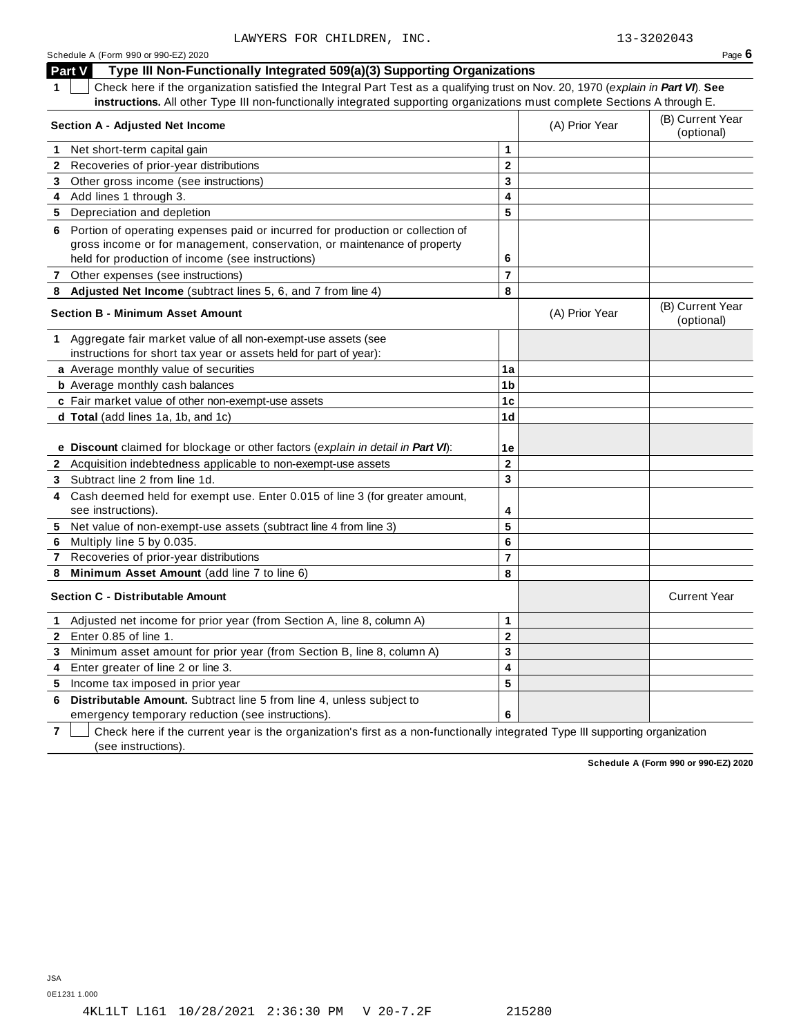| Schedule A (Form 990 or 990-EZ) 2020 |  |  |  |  |
|--------------------------------------|--|--|--|--|
|--------------------------------------|--|--|--|--|

Schedule A (Form 990 or 990-EZ) 2020  $\rho$  **Page 6**  $\rho$ **Part V Type III Non-Functionally Integrated 509(a)(3) Supporting Organizations 1** Check here if the organization satisfied the Integral Part Test as a qualifying trust on Nov. 20, 1970 (*explain in Part VI*). **See instructions.** All other Type III non-functionally integrated supporting organizations must complete Sections A through E. (B) Current Year **Section <sup>A</sup> - Adjusted Net Income** (A) Prior Year (optional) **1** Net short-term capital gain **1 1 2 3 4 5 2** Recoveries of prior-year distributions **3** Other gross income (see instructions) **4** Add lines 1 through 3. **5** Depreciation and depletion **6** Portion of operating expenses paid or incurred for production or collection of gross income or for management, conservation, or maintenance of property held for production of income (see instructions) **6 7** Other expenses (see instructions) **7 8 Adjusted Net Income** (subtract lines 5, 6, and 7 from line 4) **8** (B) Current Year **Section <sup>B</sup> - Minimum Asset Amount** (A) Prior Year (optional) **1** Aggregate fair market value of all non-exempt-use assets (see instructions for short tax year or assets held for part of year): **a** Average monthly value of securities **1a 1b 1c 1d 1e b** Average monthly cash balances **c** Fair market value of other non-exempt-use assets **d Total** (add lines 1a, 1b, and 1c) **e Discount** claimed for blockage or other factors (*explain in detail in Part VI*): **2** Acquisition indebtedness applicable to non-exempt-use assets **2 3 4 5 6 7 8 3** Subtract line 2 from line 1d. **4** Cash deemed held for exempt use. Enter 0.015 of line 3 (for greater amount, see instructions). **5** Net value of non-exempt-use assets (subtract line 4 from line 3) **6** Multiply line 5 by 0.035. **7** Recoveries of prior-year distributions **8 Minimum Asset Amount** (add line 7 to line 6) **Section C -** Distributable Amount **Current Year** Current Year **Current Year** Current Year **Current Year 1** Adjusted net income for prior year (from Section A, line 8, column A) **1 2 3 4 5 2** Enter 0.85 of line 1. **3** Minimum asset amount for prior year (from Section B, line 8, column A) **4** Enter greater of line 2 or line 3. **5** Income tax imposed in prior year **6 Distributable Amount.** Subtract line 5 from line 4, unless subject to

emergency temporary reduction (see instructions).

**7** Check here if the current year is the organization's first as a non-functionally integrated Type III supporting organization (see instructions).

**Schedule A (Form 990 or 990-EZ) 2020**

0E1231 1.000

**6**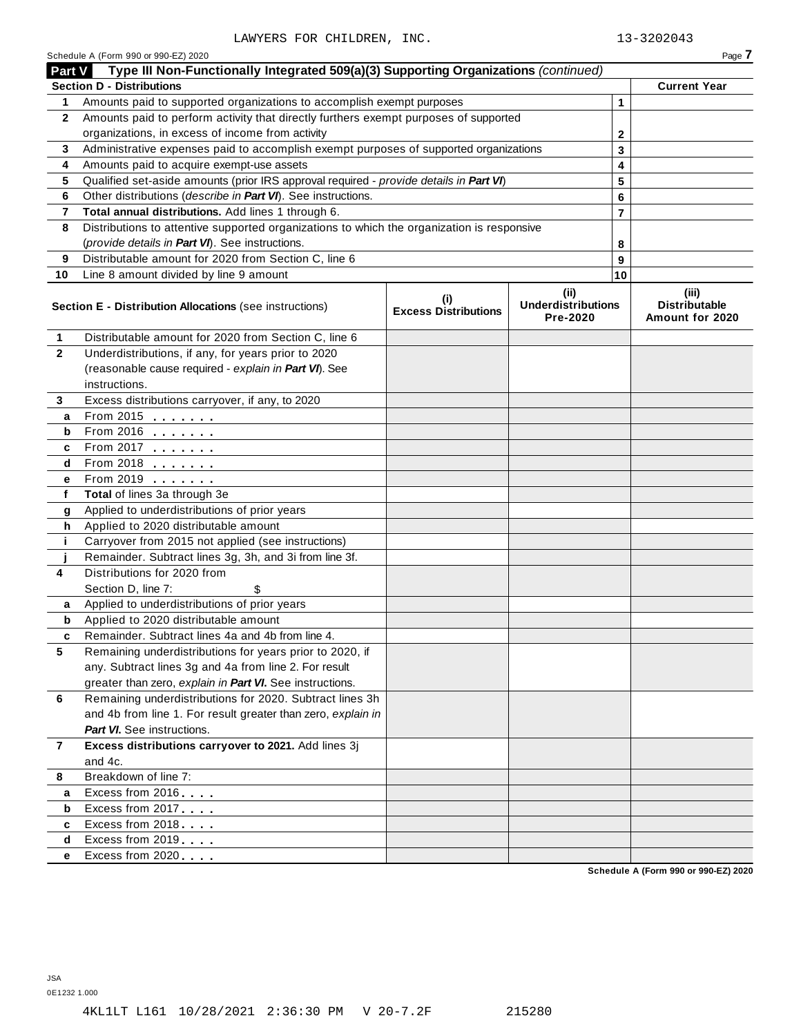Schedule <sup>A</sup> (Form <sup>990</sup> or 990-EZ) <sup>2020</sup> Page **7**

| Part V       | Type III Non-Functionally Integrated 509(a)(3) Supporting Organizations (continued)        |                                    |                                                      |                |                                                  |
|--------------|--------------------------------------------------------------------------------------------|------------------------------------|------------------------------------------------------|----------------|--------------------------------------------------|
|              | <b>Section D - Distributions</b>                                                           |                                    |                                                      |                | <b>Current Year</b>                              |
| 1            | Amounts paid to supported organizations to accomplish exempt purposes                      |                                    |                                                      | $\mathbf{1}$   |                                                  |
| $\mathbf{2}$ | Amounts paid to perform activity that directly furthers exempt purposes of supported       |                                    |                                                      |                |                                                  |
|              | organizations, in excess of income from activity                                           | 2                                  |                                                      |                |                                                  |
| 3            | Administrative expenses paid to accomplish exempt purposes of supported organizations      |                                    |                                                      | 3              |                                                  |
| 4            | Amounts paid to acquire exempt-use assets                                                  |                                    |                                                      | 4              |                                                  |
| 5            | Qualified set-aside amounts (prior IRS approval required - provide details in Part VI)     |                                    |                                                      | 5              |                                                  |
| 6            | Other distributions (describe in Part VI). See instructions.                               |                                    |                                                      | 6              |                                                  |
| 7            | Total annual distributions. Add lines 1 through 6.                                         |                                    |                                                      | $\overline{7}$ |                                                  |
| 8            | Distributions to attentive supported organizations to which the organization is responsive |                                    |                                                      |                |                                                  |
|              | (provide details in Part VI). See instructions.                                            |                                    |                                                      | 8              |                                                  |
| 9            | Distributable amount for 2020 from Section C, line 6                                       |                                    |                                                      | 9              |                                                  |
| 10           | Line 8 amount divided by line 9 amount                                                     |                                    |                                                      | 10             |                                                  |
|              | Section E - Distribution Allocations (see instructions)                                    | (i)<br><b>Excess Distributions</b> | (ii)<br><b>Underdistributions</b><br><b>Pre-2020</b> |                | (iii)<br><b>Distributable</b><br>Amount for 2020 |
| 1            | Distributable amount for 2020 from Section C, line 6                                       |                                    |                                                      |                |                                                  |
| $\mathbf{2}$ | Underdistributions, if any, for years prior to 2020                                        |                                    |                                                      |                |                                                  |
|              | (reasonable cause required - explain in Part VI). See                                      |                                    |                                                      |                |                                                  |
|              | instructions.                                                                              |                                    |                                                      |                |                                                  |
| 3            | Excess distributions carryover, if any, to 2020                                            |                                    |                                                      |                |                                                  |
| a            | From 2015 $\frac{1}{2}$                                                                    |                                    |                                                      |                |                                                  |
| b            | From 2016 $\frac{2016}{200}$                                                               |                                    |                                                      |                |                                                  |
| c            | From 2017 $\frac{1}{2}$                                                                    |                                    |                                                      |                |                                                  |
| d            | From 2018 $\frac{2018}{200}$                                                               |                                    |                                                      |                |                                                  |
| e            | From 2019 <b>Figure 1.1 Figure 1.1</b>                                                     |                                    |                                                      |                |                                                  |
| f            | Total of lines 3a through 3e                                                               |                                    |                                                      |                |                                                  |
| g            | Applied to underdistributions of prior years                                               |                                    |                                                      |                |                                                  |
| h            | Applied to 2020 distributable amount                                                       |                                    |                                                      |                |                                                  |
| j.           | Carryover from 2015 not applied (see instructions)                                         |                                    |                                                      |                |                                                  |
|              | Remainder. Subtract lines 3g, 3h, and 3i from line 3f.                                     |                                    |                                                      |                |                                                  |
| 4            | Distributions for 2020 from                                                                |                                    |                                                      |                |                                                  |
|              | Section D, line 7:<br>\$                                                                   |                                    |                                                      |                |                                                  |
| a            | Applied to underdistributions of prior years                                               |                                    |                                                      |                |                                                  |
| b            | Applied to 2020 distributable amount<br>Remainder. Subtract lines 4a and 4b from line 4.   |                                    |                                                      |                |                                                  |
| c            | Remaining underdistributions for years prior to 2020, if                                   |                                    |                                                      |                |                                                  |
| 5            | any. Subtract lines 3g and 4a from line 2. For result                                      |                                    |                                                      |                |                                                  |
|              | greater than zero, explain in Part VI. See instructions.                                   |                                    |                                                      |                |                                                  |
| 6            | Remaining underdistributions for 2020. Subtract lines 3h                                   |                                    |                                                      |                |                                                  |
|              | and 4b from line 1. For result greater than zero, explain in                               |                                    |                                                      |                |                                                  |
|              | <b>Part VI.</b> See instructions.                                                          |                                    |                                                      |                |                                                  |
| 7            | Excess distributions carryover to 2021. Add lines 3j                                       |                                    |                                                      |                |                                                  |
|              | and 4c.                                                                                    |                                    |                                                      |                |                                                  |
| 8            | Breakdown of line 7:                                                                       |                                    |                                                      |                |                                                  |
| а            | Excess from 2016                                                                           |                                    |                                                      |                |                                                  |
| b            | Excess from 2017                                                                           |                                    |                                                      |                |                                                  |
| c            | Excess from 2018                                                                           |                                    |                                                      |                |                                                  |
| d            | Excess from 2019                                                                           |                                    |                                                      |                |                                                  |
| е            | Excess from 2020                                                                           |                                    |                                                      |                |                                                  |
|              |                                                                                            |                                    |                                                      |                | Schodule A (Form 990 or 990-F7) 2020             |

**Schedule A (Form 990 or 990-EZ) 2020**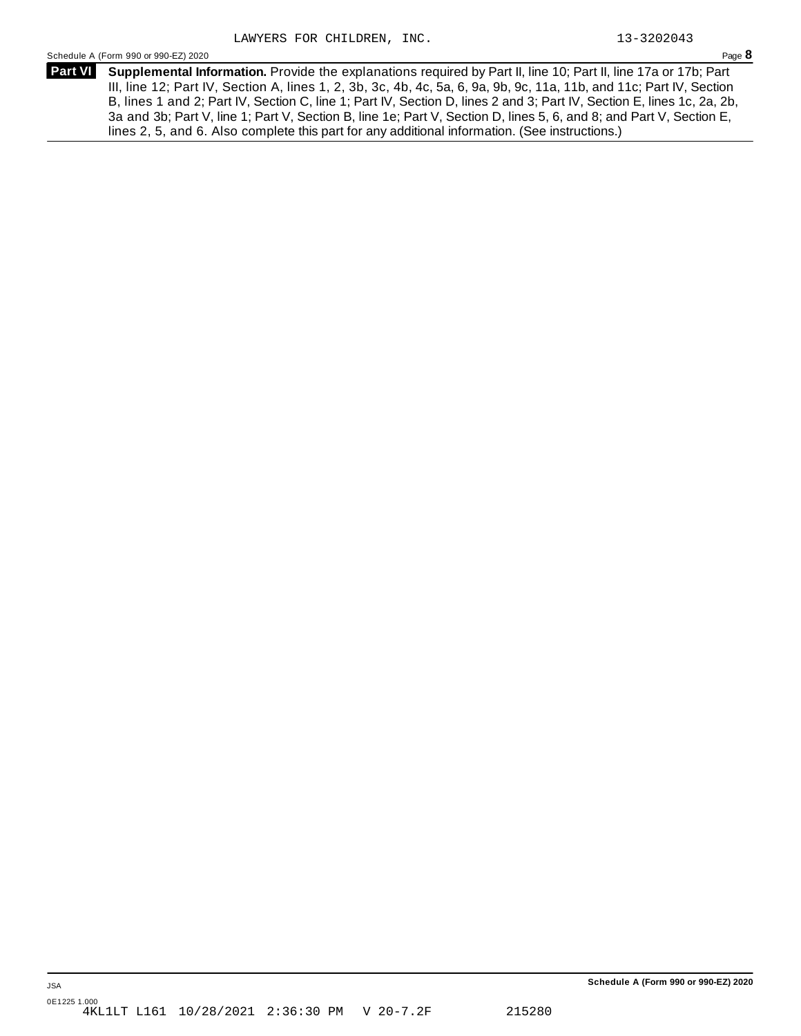Schedule <sup>A</sup> (Form <sup>990</sup> or 990-EZ) <sup>2020</sup> Page **8**

**Supplemental Information.** Provide the explanations required by Part II, line 10; Part II, line 17a or 17b; Part **Part VI** III, line 12; Part IV, Section A, lines 1, 2, 3b, 3c, 4b, 4c, 5a, 6, 9a, 9b, 9c, 11a, 11b, and 11c; Part IV, Section B, lines 1 and 2; Part IV, Section C, line 1; Part IV, Section D, lines 2 and 3; Part IV, Section E, lines 1c, 2a, 2b, 3a and 3b; Part V, line 1; Part V, Section B, line 1e; Part V, Section D, lines 5, 6, and 8; and Part V, Section E, lines 2, 5, and 6. Also complete this part for any additional information. (See instructions.)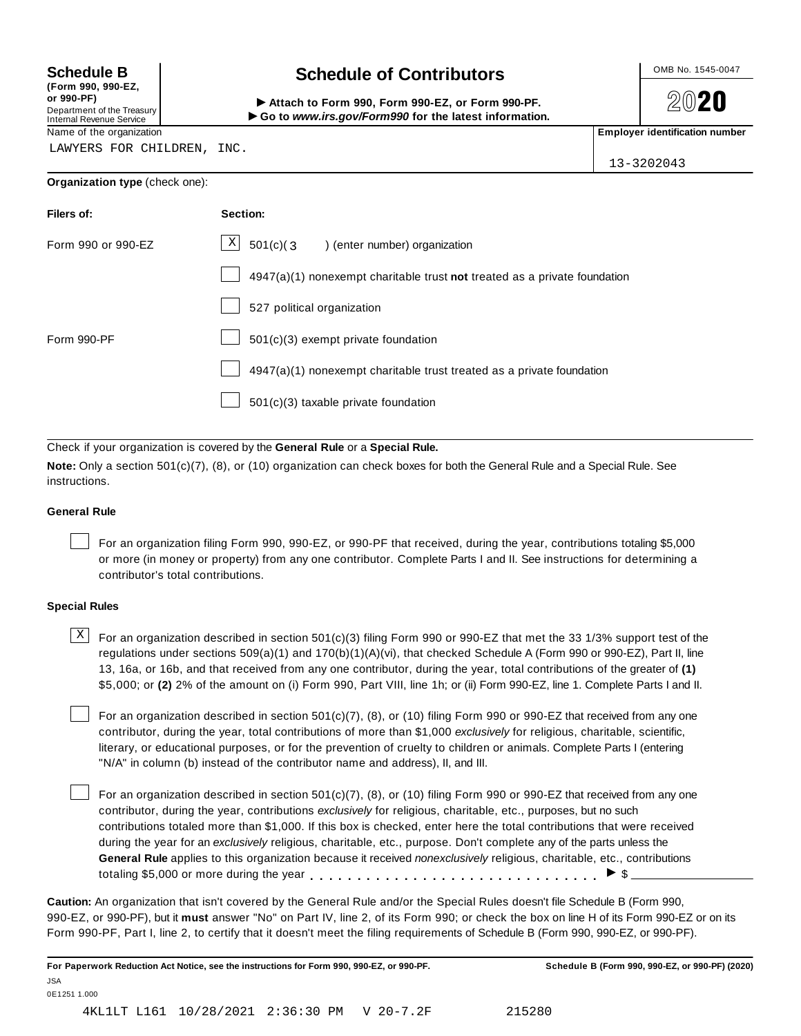**(Form 990, 990-EZ, or 990-PF)** Department of the Treasury<br>Internal Revenue Service

# **Schedule B chedule of Contributors**

(Form 990, 990-EZ,<br>
or 990-PF,<br>
Department of the Treasury **COLOCY**<br>
Internal Revenue Service **COLOCY**<br>
Name of the organization<br>
Name of the organization

**2020** 

LAWYERS FOR CHILDREN, INC.

13-3202043

| Organization type (check one): |  |
|--------------------------------|--|
|--------------------------------|--|

| Filers of:         | Section:                                                                    |
|--------------------|-----------------------------------------------------------------------------|
| Form 990 or 990-EZ | $\lfloor x \rfloor$ 501(c)(3) (enter number) organization                   |
|                    | $4947(a)(1)$ nonexempt charitable trust not treated as a private foundation |
|                    | 527 political organization                                                  |
| Form 990-PF        | 501(c)(3) exempt private foundation                                         |
|                    | 4947(a)(1) nonexempt charitable trust treated as a private foundation       |
|                    | $501(c)(3)$ taxable private foundation                                      |

Check if your organization is covered by the **General Rule** or a **Special Rule.**

**Note:** Only a section 501(c)(7), (8), or (10) organization can check boxes for both the General Rule and a Special Rule. See instructions.

## **General Rule**

For an organization filing Form 990, 990-EZ, or 990-PF that received, during the year, contributions totaling \$5,000 or more (in money or property) from any one contributor. Complete Parts I and II. See instructions for determining a contributor's total contributions.

# **Special Rules**

 $\text{X}$  For an organization described in section 501(c)(3) filing Form 990 or 990-EZ that met the 33 1/3% support test of the regulations under sections 509(a)(1) and 170(b)(1)(A)(vi), that checked Schedule A (Form 990 or 990-EZ), Part II, line 13, 16a, or 16b, and that received from any one contributor, during the year, total contributions of the greater of **(1)** \$5,000; or **(2)** 2% of the amount on (i) Form 990, Part VIII, line 1h; or (ii) Form 990-EZ, line 1. Complete Parts I and II.

For an organization described in section 501(c)(7), (8), or (10) filing Form 990 or 990-EZ that received from any one contributor, during the year, total contributions of more than \$1,000 *exclusively* for religious, charitable, scientific, literary, or educational purposes, or for the prevention of cruelty to children or animals. Complete Parts I (entering "N/A" in column (b) instead of the contributor name and address), II, and III.

For an organization described in section 501(c)(7), (8), or (10) filing Form 990 or 990-EZ that received from any one contributor, during the year, contributions *exclusively* for religious, charitable, etc., purposes, but no such contributions totaled more than \$1,000. If this box is checked, enter here the total contributions that were received during the year for an *exclusively* religious, charitable, etc., purpose. Don't complete any of the parts unless the **General Rule** applies to this organization because it received *nonexclusively* religious, charitable, etc., contributions totaling \$5,000 or more during the year  $\ldots \ldots \ldots \ldots \ldots \ldots \ldots \ldots \ldots \vdots$ 

**Caution:** An organization that isn't covered by the General Rule and/or the Special Rules doesn't file Schedule B (Form 990, 990-EZ, or 990-PF), but it **must** answer "No" on Part IV, line 2, of its Form 990; or check the box on line H of its Form 990-EZ or on its Form 990-PF, Part I, line 2, to certify that it doesn't meet the filing requirements of Schedule B (Form 990, 990-EZ, or 990-PF).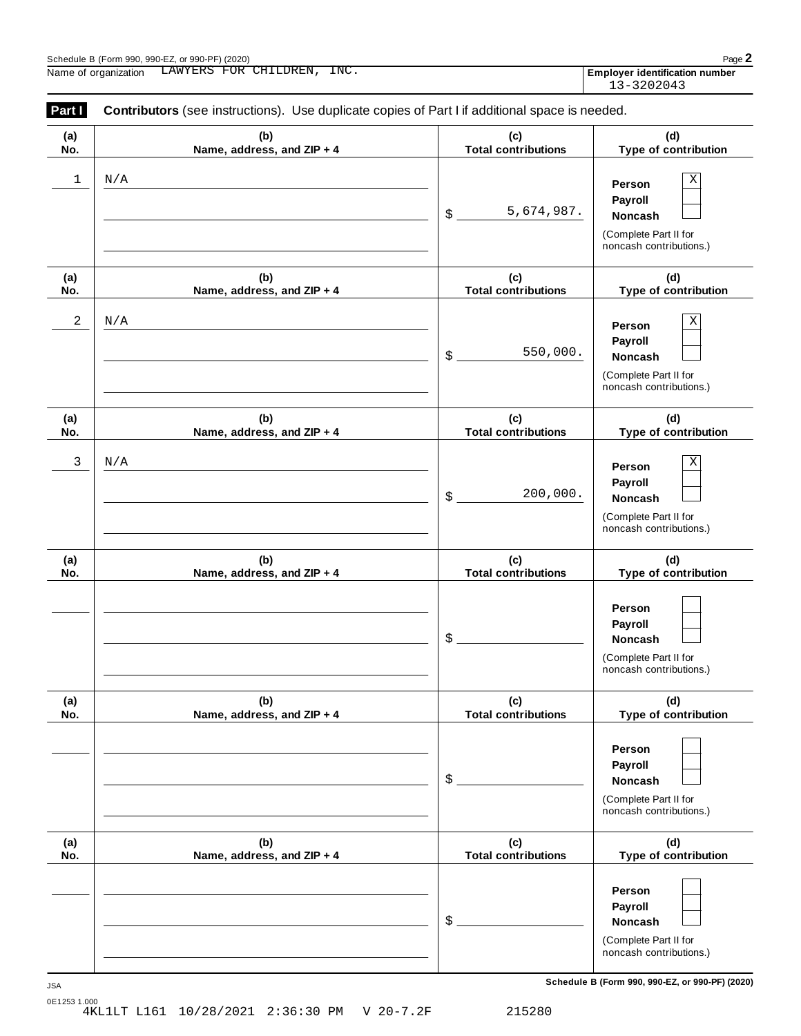| Schedule B (Form 990, 990-EZ, or 990-PF) (2020) |               |                    |       | $Page$ .                                               |
|-------------------------------------------------|---------------|--------------------|-------|--------------------------------------------------------|
| Name<br>organization                            | 'ERS<br>I AW' | LDREN<br>FOR<br>CН | ENC . | $\cdots$<br><b>Emplover</b><br>r identification number |

|                                       | . . |
|---------------------------------------|-----|
| <b>Employer identification number</b> |     |
| 13-3202043                            |     |

| Part I     | Contributors (see instructions). Use duplicate copies of Part I if additional space is needed. |                                   |                                                                                                                                     |  |  |  |  |  |  |
|------------|------------------------------------------------------------------------------------------------|-----------------------------------|-------------------------------------------------------------------------------------------------------------------------------------|--|--|--|--|--|--|
| (a)<br>No. | (b)<br>Name, address, and ZIP + 4                                                              | (c)<br><b>Total contributions</b> | (d)<br>Type of contribution                                                                                                         |  |  |  |  |  |  |
| 1          | N/A                                                                                            | 5,674,987.<br>$\mathsf{\$}$       | Χ<br>Person<br>Payroll<br>Noncash<br>(Complete Part II for<br>noncash contributions.)                                               |  |  |  |  |  |  |
| (a)<br>No. | (b)<br>Name, address, and ZIP + 4                                                              | (c)<br><b>Total contributions</b> | (d)<br>Type of contribution                                                                                                         |  |  |  |  |  |  |
| 2          | N/A                                                                                            | 550,000.<br>\$                    | Χ<br>Person<br>Payroll<br>Noncash<br>(Complete Part II for<br>noncash contributions.)                                               |  |  |  |  |  |  |
| (a)<br>No. | (b)<br>Name, address, and ZIP + 4                                                              | (c)<br><b>Total contributions</b> | (d)<br>Type of contribution                                                                                                         |  |  |  |  |  |  |
| 3          | N/A                                                                                            | 200,000.<br>$\frac{1}{2}$         | Χ<br>Person<br>Payroll<br>Noncash<br>(Complete Part II for<br>noncash contributions.)                                               |  |  |  |  |  |  |
| (a)<br>No. | (b)<br>Name, address, and ZIP + 4                                                              | (c)<br><b>Total contributions</b> | (d)<br>Type of contribution                                                                                                         |  |  |  |  |  |  |
|            |                                                                                                | \$                                | Person<br>Payroll<br>Noncash<br>(Complete Part II for<br>noncash contributions.)                                                    |  |  |  |  |  |  |
| (a)<br>No. | (b)<br>Name, address, and ZIP + 4                                                              | (c)<br><b>Total contributions</b> | (d)<br>Type of contribution                                                                                                         |  |  |  |  |  |  |
|            |                                                                                                | \$                                | Person<br>Payroll<br><b>Noncash</b><br>(Complete Part II for<br>noncash contributions.)                                             |  |  |  |  |  |  |
| (a)<br>No. | (b)<br>Name, address, and ZIP + 4                                                              | (c)<br><b>Total contributions</b> | (d)<br>Type of contribution                                                                                                         |  |  |  |  |  |  |
|            |                                                                                                | \$                                | Person<br>Payroll<br>Noncash<br>(Complete Part II for<br>noncash contributions.)<br>Schedule B (Form 990, 990-EZ, or 990-PF) (2020) |  |  |  |  |  |  |

0E1253 1.000 4KL1LT L161 10/28/2021 2:36:30 PM V 20-7.2F 215280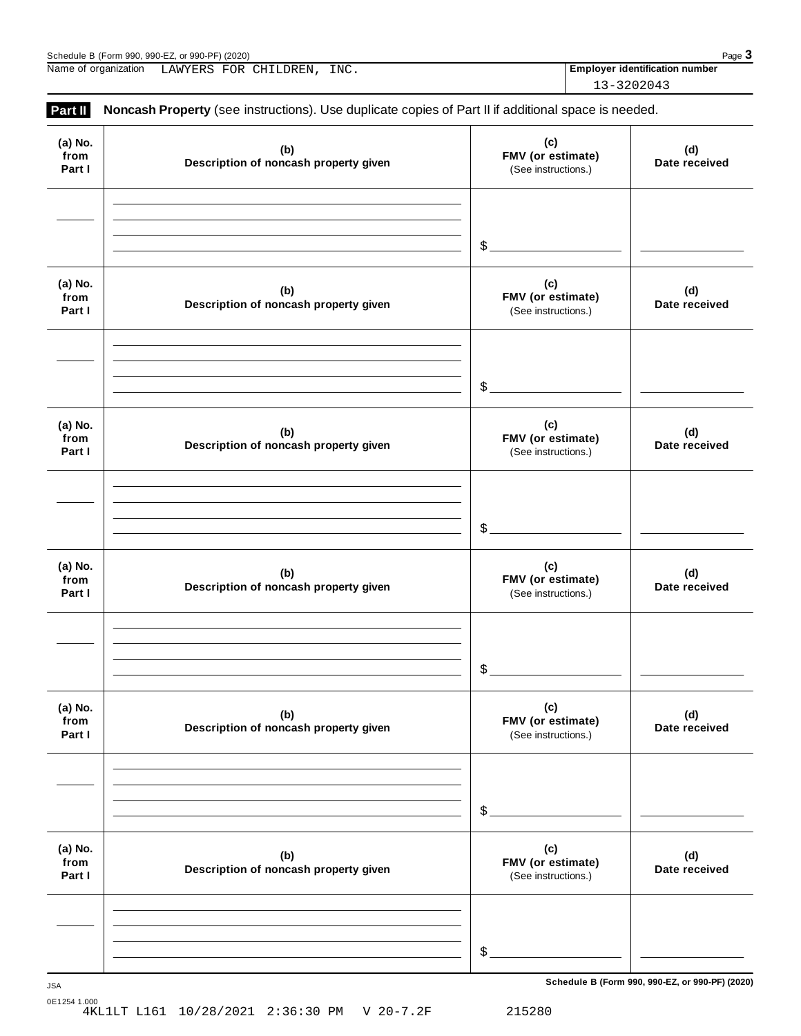| 990.990-EZ.<br>. or 990-PF <sup><math>\prime</math></sup><br>(2020)<br>Schedule<br>. ರ (Form 990 ´ | Page<br>- 1 |
|----------------------------------------------------------------------------------------------------|-------------|
|----------------------------------------------------------------------------------------------------|-------------|

Name of organization **Employer identification number** LAWYERS FOR CHILDREN, INC.

13-3202043

| (a) No.<br>from<br>Part I | (b)<br>Description of noncash property given | (c)<br>FMV (or estimate)<br>(See instructions.) | (d)<br>Date received |
|---------------------------|----------------------------------------------|-------------------------------------------------|----------------------|
|                           |                                              | $\frac{1}{2}$                                   |                      |
| (a) No.<br>from<br>Part I | (b)<br>Description of noncash property given | (c)<br>FMV (or estimate)<br>(See instructions.) | (d)<br>Date received |
|                           |                                              | $\frac{1}{2}$                                   |                      |
| (a) No.<br>from<br>Part I | (b)<br>Description of noncash property given | (c)<br>FMV (or estimate)<br>(See instructions.) | (d)<br>Date received |
|                           |                                              | $\frac{1}{2}$                                   |                      |
| (a) No.<br>from<br>Part I | (b)<br>Description of noncash property given | (c)<br>FMV (or estimate)<br>(See instructions.) | (d)<br>Date received |
|                           |                                              | \$                                              |                      |
| (a) No.<br>from<br>Part I | (b)<br>Description of noncash property given | (c)<br>FMV (or estimate)<br>(See instructions.) | (d)<br>Date received |
|                           |                                              | \$                                              |                      |
| (a) No.<br>from<br>Part I | (b)<br>Description of noncash property given | (c)<br>FMV (or estimate)<br>(See instructions.) | (d)<br>Date received |
|                           |                                              |                                                 |                      |

**Schedule B (Form 990, 990-EZ, or 990-PF) (2020)** JSA

0E1254 1.000 4KL1LT L161 10/28/2021 2:36:30 PM V 20-7.2F 215280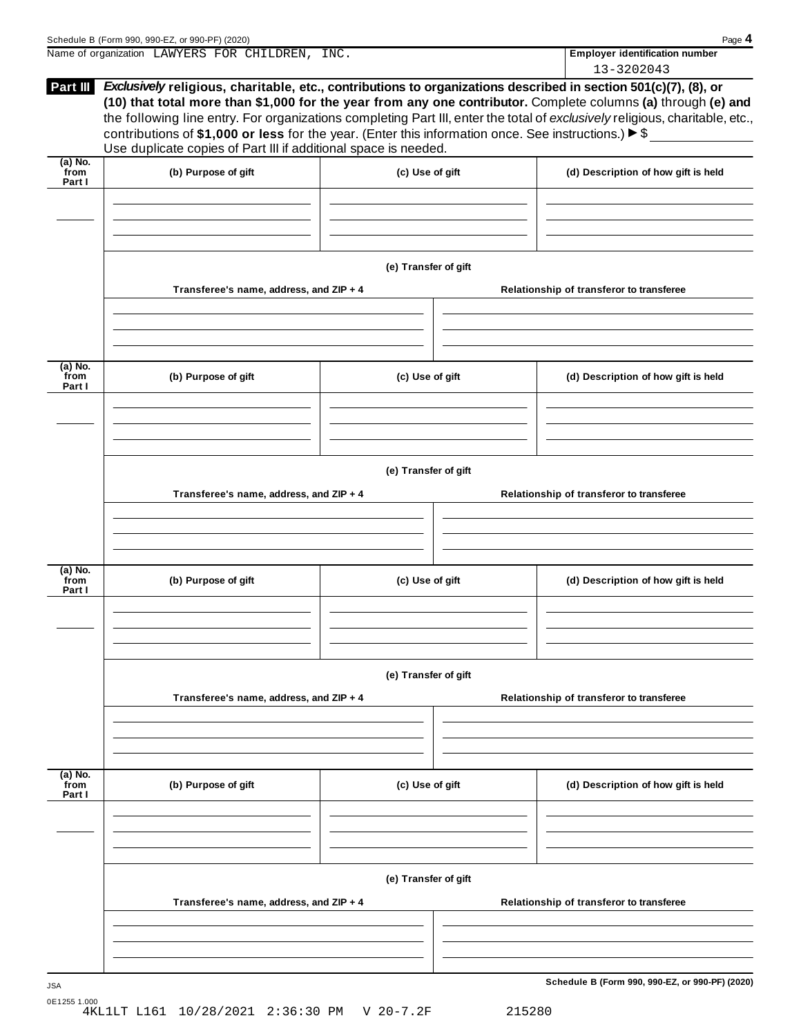| Name of organization LAWYERS FOR CHILDREN, INC. |                                                                                                                                                                          | <b>Employer identification number</b><br>13-3202043                                                                                                                                                                                                                                                                                                                                                                                                                                                |
|-------------------------------------------------|--------------------------------------------------------------------------------------------------------------------------------------------------------------------------|----------------------------------------------------------------------------------------------------------------------------------------------------------------------------------------------------------------------------------------------------------------------------------------------------------------------------------------------------------------------------------------------------------------------------------------------------------------------------------------------------|
|                                                 |                                                                                                                                                                          |                                                                                                                                                                                                                                                                                                                                                                                                                                                                                                    |
|                                                 |                                                                                                                                                                          | Exclusively religious, charitable, etc., contributions to organizations described in section 501(c)(7), (8), or<br>(10) that total more than \$1,000 for the year from any one contributor. Complete columns (a) through (e) and                                                                                                                                                                                                                                                                   |
| (b) Purpose of gift                             |                                                                                                                                                                          | (d) Description of how gift is held                                                                                                                                                                                                                                                                                                                                                                                                                                                                |
|                                                 |                                                                                                                                                                          |                                                                                                                                                                                                                                                                                                                                                                                                                                                                                                    |
|                                                 |                                                                                                                                                                          | Relationship of transferor to transferee                                                                                                                                                                                                                                                                                                                                                                                                                                                           |
|                                                 |                                                                                                                                                                          |                                                                                                                                                                                                                                                                                                                                                                                                                                                                                                    |
| (b) Purpose of gift                             |                                                                                                                                                                          | (d) Description of how gift is held                                                                                                                                                                                                                                                                                                                                                                                                                                                                |
|                                                 |                                                                                                                                                                          |                                                                                                                                                                                                                                                                                                                                                                                                                                                                                                    |
|                                                 |                                                                                                                                                                          | Relationship of transferor to transferee                                                                                                                                                                                                                                                                                                                                                                                                                                                           |
| (b) Purpose of gift                             |                                                                                                                                                                          | (d) Description of how gift is held                                                                                                                                                                                                                                                                                                                                                                                                                                                                |
|                                                 |                                                                                                                                                                          | Relationship of transferor to transferee                                                                                                                                                                                                                                                                                                                                                                                                                                                           |
|                                                 |                                                                                                                                                                          |                                                                                                                                                                                                                                                                                                                                                                                                                                                                                                    |
| (b) Purpose of gift                             |                                                                                                                                                                          | (d) Description of how gift is held                                                                                                                                                                                                                                                                                                                                                                                                                                                                |
|                                                 |                                                                                                                                                                          |                                                                                                                                                                                                                                                                                                                                                                                                                                                                                                    |
|                                                 |                                                                                                                                                                          | Relationship of transferor to transferee                                                                                                                                                                                                                                                                                                                                                                                                                                                           |
|                                                 |                                                                                                                                                                          |                                                                                                                                                                                                                                                                                                                                                                                                                                                                                                    |
|                                                 | Transferee's name, address, and ZIP + 4<br>Transferee's name, address, and ZIP + 4<br>Transferee's name, address, and ZIP + 4<br>Transferee's name, address, and ZIP + 4 | the following line entry. For organizations completing Part III, enter the total of exclusively religious, charitable, etc.,<br>contributions of \$1,000 or less for the year. (Enter this information once. See instructions.) $\triangleright$ \$<br>Use duplicate copies of Part III if additional space is needed.<br>(c) Use of gift<br>(e) Transfer of gift<br>(c) Use of gift<br>(e) Transfer of gift<br>(c) Use of gift<br>(e) Transfer of gift<br>(c) Use of gift<br>(e) Transfer of gift |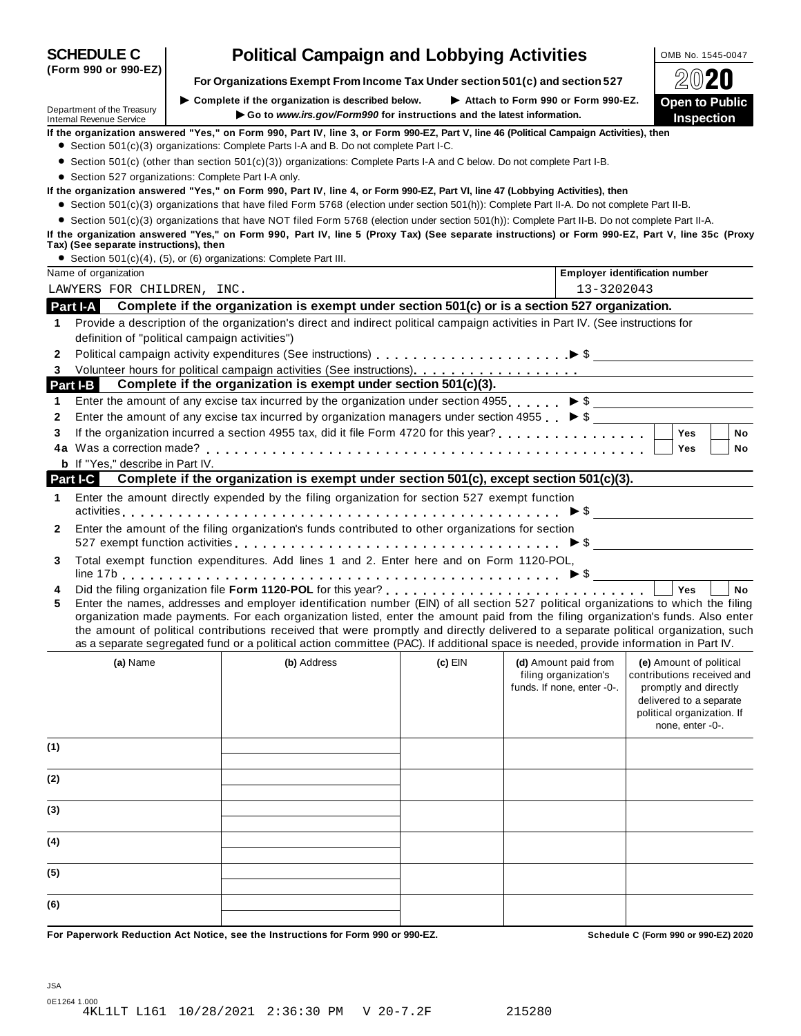| (Form 990 or 990-EZ)                                 | For Organizations Exempt From Income Tax Under section 501(c) and section 527                                                                                                                                                                                                                                                                                                                                                                                                                                                                        |         |                                                                             |                                                                                                                                                             |
|------------------------------------------------------|------------------------------------------------------------------------------------------------------------------------------------------------------------------------------------------------------------------------------------------------------------------------------------------------------------------------------------------------------------------------------------------------------------------------------------------------------------------------------------------------------------------------------------------------------|---------|-----------------------------------------------------------------------------|-------------------------------------------------------------------------------------------------------------------------------------------------------------|
|                                                      | $\triangleright$ Complete if the organization is described below.                                                                                                                                                                                                                                                                                                                                                                                                                                                                                    |         | Attach to Form 990 or Form 990-EZ.                                          |                                                                                                                                                             |
| Department of the Treasury                           | Go to www.irs.gov/Form990 for instructions and the latest information.                                                                                                                                                                                                                                                                                                                                                                                                                                                                               |         |                                                                             | <b>Open to Public</b><br><b>Inspection</b>                                                                                                                  |
| <b>Internal Revenue Service</b>                      | If the organization answered "Yes," on Form 990, Part IV, line 3, or Form 990-EZ, Part V, line 46 (Political Campaign Activities), then                                                                                                                                                                                                                                                                                                                                                                                                              |         |                                                                             |                                                                                                                                                             |
|                                                      | • Section 501(c)(3) organizations: Complete Parts I-A and B. Do not complete Part I-C.                                                                                                                                                                                                                                                                                                                                                                                                                                                               |         |                                                                             |                                                                                                                                                             |
|                                                      | ● Section 501(c) (other than section 501(c)(3)) organizations: Complete Parts I-A and C below. Do not complete Part I-B.                                                                                                                                                                                                                                                                                                                                                                                                                             |         |                                                                             |                                                                                                                                                             |
| • Section 527 organizations: Complete Part I-A only. |                                                                                                                                                                                                                                                                                                                                                                                                                                                                                                                                                      |         |                                                                             |                                                                                                                                                             |
|                                                      | If the organization answered "Yes," on Form 990, Part IV, line 4, or Form 990-EZ, Part VI, line 47 (Lobbying Activities), then                                                                                                                                                                                                                                                                                                                                                                                                                       |         |                                                                             |                                                                                                                                                             |
|                                                      | • Section 501(c)(3) organizations that have filed Form 5768 (election under section 501(h)): Complete Part II-A. Do not complete Part II-B.<br>• Section 501(c)(3) organizations that have NOT filed Form 5768 (election under section 501(h)): Complete Part II-B. Do not complete Part II-A.                                                                                                                                                                                                                                                       |         |                                                                             |                                                                                                                                                             |
| Tax) (See separate instructions), then               | If the organization answered "Yes," on Form 990, Part IV, line 5 (Proxy Tax) (See separate instructions) or Form 990-EZ, Part V, line 35c (Proxy                                                                                                                                                                                                                                                                                                                                                                                                     |         |                                                                             |                                                                                                                                                             |
|                                                      | • Section 501(c)(4), (5), or (6) organizations: Complete Part III.                                                                                                                                                                                                                                                                                                                                                                                                                                                                                   |         |                                                                             |                                                                                                                                                             |
| Name of organization                                 |                                                                                                                                                                                                                                                                                                                                                                                                                                                                                                                                                      |         |                                                                             | <b>Employer identification number</b>                                                                                                                       |
| LAWYERS FOR CHILDREN, INC.                           |                                                                                                                                                                                                                                                                                                                                                                                                                                                                                                                                                      |         | 13-3202043                                                                  |                                                                                                                                                             |
| <b>Part I-A</b>                                      | Complete if the organization is exempt under section 501(c) or is a section 527 organization.                                                                                                                                                                                                                                                                                                                                                                                                                                                        |         |                                                                             |                                                                                                                                                             |
| 1                                                    | Provide a description of the organization's direct and indirect political campaign activities in Part IV. (See instructions for                                                                                                                                                                                                                                                                                                                                                                                                                      |         |                                                                             |                                                                                                                                                             |
| definition of "political campaign activities")       |                                                                                                                                                                                                                                                                                                                                                                                                                                                                                                                                                      |         |                                                                             |                                                                                                                                                             |
| 2                                                    | Political campaign activity expenditures (See instructions)<br>entangleries and entangleries and the \$                                                                                                                                                                                                                                                                                                                                                                                                                                              |         |                                                                             |                                                                                                                                                             |
| 3<br>Part I-B                                        | Complete if the organization is exempt under section 501(c)(3).                                                                                                                                                                                                                                                                                                                                                                                                                                                                                      |         |                                                                             |                                                                                                                                                             |
| 1                                                    | Enter the amount of any excise tax incurred by the organization under section 4955. $\triangleright$ \$                                                                                                                                                                                                                                                                                                                                                                                                                                              |         |                                                                             |                                                                                                                                                             |
| 2                                                    | Enter the amount of any excise tax incurred by organization managers under section 4955 $\triangleright$ \$                                                                                                                                                                                                                                                                                                                                                                                                                                          |         |                                                                             |                                                                                                                                                             |
| 3                                                    |                                                                                                                                                                                                                                                                                                                                                                                                                                                                                                                                                      |         |                                                                             | <b>Yes</b><br><b>No</b>                                                                                                                                     |
|                                                      |                                                                                                                                                                                                                                                                                                                                                                                                                                                                                                                                                      |         |                                                                             | Yes<br>No                                                                                                                                                   |
| <b>b</b> If "Yes," describe in Part IV.              |                                                                                                                                                                                                                                                                                                                                                                                                                                                                                                                                                      |         |                                                                             |                                                                                                                                                             |
| Part I-C                                             | Complete if the organization is exempt under section 501(c), except section 501(c)(3).                                                                                                                                                                                                                                                                                                                                                                                                                                                               |         |                                                                             |                                                                                                                                                             |
| 1                                                    | Enter the amount directly expended by the filing organization for section 527 exempt function                                                                                                                                                                                                                                                                                                                                                                                                                                                        |         |                                                                             | $\triangleright$ \$                                                                                                                                         |
| 2                                                    | Enter the amount of the filing organization's funds contributed to other organizations for section                                                                                                                                                                                                                                                                                                                                                                                                                                                   |         |                                                                             |                                                                                                                                                             |
| 3                                                    | Total exempt function expenditures. Add lines 1 and 2. Enter here and on Form 1120-POL,                                                                                                                                                                                                                                                                                                                                                                                                                                                              |         |                                                                             |                                                                                                                                                             |
| 4<br>5                                               | Enter the names, addresses and employer identification number (EIN) of all section 527 political organizations to which the filing<br>organization made payments. For each organization listed, enter the amount paid from the filing organization's funds. Also enter<br>the amount of political contributions received that were promptly and directly delivered to a separate political organization, such<br>as a separate segregated fund or a political action committee (PAC). If additional space is needed, provide information in Part IV. |         |                                                                             | Yes<br><b>No</b>                                                                                                                                            |
| (a) Name                                             | (b) Address                                                                                                                                                                                                                                                                                                                                                                                                                                                                                                                                          | (c) EIN | (d) Amount paid from<br>filing organization's<br>funds. If none, enter -0-. | (e) Amount of political<br>contributions received and<br>promptly and directly<br>delivered to a separate<br>political organization. If<br>none, enter -0-. |
| (1)                                                  |                                                                                                                                                                                                                                                                                                                                                                                                                                                                                                                                                      |         |                                                                             |                                                                                                                                                             |
| (2)                                                  |                                                                                                                                                                                                                                                                                                                                                                                                                                                                                                                                                      |         |                                                                             |                                                                                                                                                             |
| (3)                                                  |                                                                                                                                                                                                                                                                                                                                                                                                                                                                                                                                                      |         |                                                                             |                                                                                                                                                             |
| (4)                                                  |                                                                                                                                                                                                                                                                                                                                                                                                                                                                                                                                                      |         |                                                                             |                                                                                                                                                             |
| (5)                                                  |                                                                                                                                                                                                                                                                                                                                                                                                                                                                                                                                                      |         |                                                                             |                                                                                                                                                             |
| (6)                                                  |                                                                                                                                                                                                                                                                                                                                                                                                                                                                                                                                                      |         |                                                                             |                                                                                                                                                             |
|                                                      |                                                                                                                                                                                                                                                                                                                                                                                                                                                                                                                                                      |         |                                                                             |                                                                                                                                                             |

# **SCHEDULE C Political Campaign and Lobbying Activities**  $\frac{|\text{OMB No. 1545-0047}|}{\frac{|\text{O MB No. 1545-0047}|}{\frac{|\text{O MB No. 1545-0047}|}{\frac{|\text{O MB No. 1545-0047}|}{\frac{|\text{O MB No. 1545-0047}|}{\frac{|\text{O MB No. 1545-0047}|}{\frac{|\text{O MB No. 1545-0047}|}{\frac{|\text{O MB No$

**(Form 990 or 990-EZ)**

For Paperwork Reduction Act Notice, see the Instructions for Form 990 or 990-EZ. Schedule C (Form 990 or 990-EZ) 2020

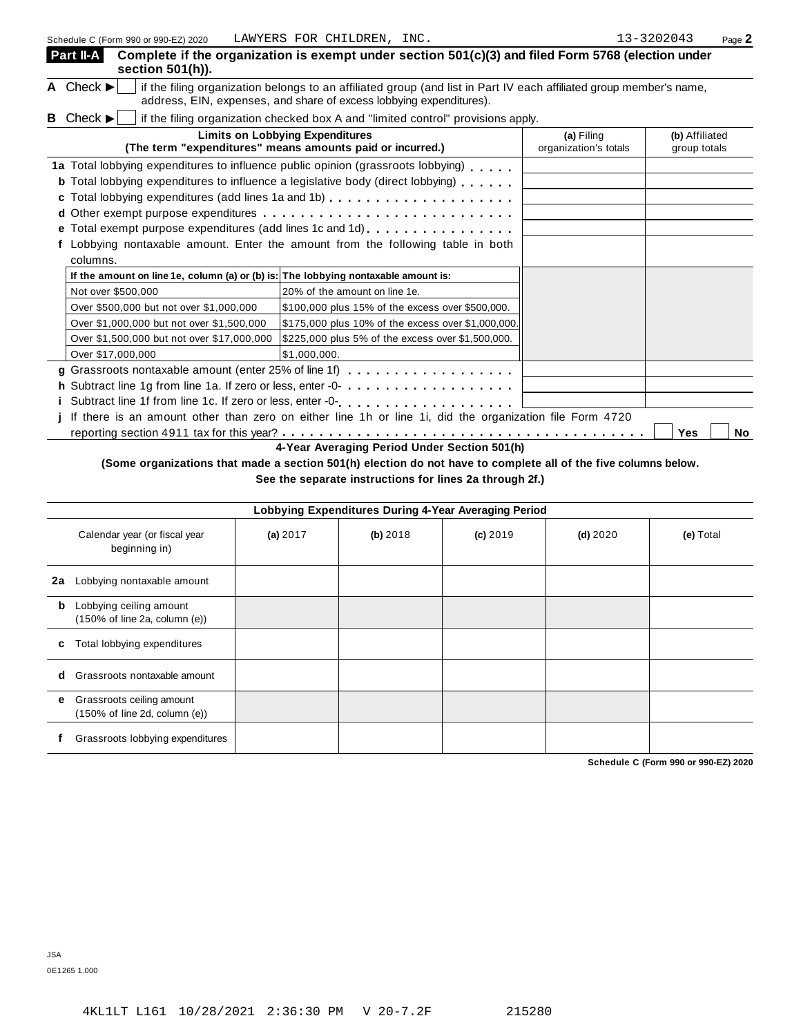| Part II-A<br>section 501(h)).                                                      | Complete if the organization is exempt under section 501(c)(3) and filed Form 5768 (election under                                                                                                                                                                                                                       |                                     |                                |
|------------------------------------------------------------------------------------|--------------------------------------------------------------------------------------------------------------------------------------------------------------------------------------------------------------------------------------------------------------------------------------------------------------------------|-------------------------------------|--------------------------------|
| A Check $\blacktriangleright$                                                      | if the filing organization belongs to an affiliated group (and list in Part IV each affiliated group member's name,<br>address, EIN, expenses, and share of excess lobbying expenditures).                                                                                                                               |                                     |                                |
| Check $\blacktriangleright$<br>В                                                   | if the filing organization checked box A and "limited control" provisions apply.                                                                                                                                                                                                                                         |                                     |                                |
|                                                                                    | <b>Limits on Lobbying Expenditures</b><br>(The term "expenditures" means amounts paid or incurred.)                                                                                                                                                                                                                      | (a) Filing<br>organization's totals | (b) Affiliated<br>group totals |
| columns.                                                                           | 1a Total lobbying expenditures to influence public opinion (grassroots lobbying)<br><b>b</b> Total lobbying expenditures to influence a legislative body (direct lobbying)<br>e Total exempt purpose expenditures (add lines 1c and 1d)<br>Lobbying nontaxable amount. Enter the amount from the following table in both |                                     |                                |
| If the amount on line 1e, column (a) or (b) is: The lobbying nontaxable amount is: |                                                                                                                                                                                                                                                                                                                          |                                     |                                |
| Not over \$500,000                                                                 | 20% of the amount on line 1e.                                                                                                                                                                                                                                                                                            |                                     |                                |
| Over \$500,000 but not over \$1,000,000                                            | \$100,000 plus 15% of the excess over \$500,000.                                                                                                                                                                                                                                                                         |                                     |                                |
| Over \$1,000,000 but not over \$1,500,000                                          | \$175,000 plus 10% of the excess over \$1,000,000.                                                                                                                                                                                                                                                                       |                                     |                                |
| Over \$1,500,000 but not over \$17,000,000                                         | \$225,000 plus 5% of the excess over \$1,500,000.                                                                                                                                                                                                                                                                        |                                     |                                |
| Over \$17,000,000                                                                  | \$1,000,000.                                                                                                                                                                                                                                                                                                             |                                     |                                |
|                                                                                    | g Grassroots nontaxable amount (enter 25% of line 1f)                                                                                                                                                                                                                                                                    |                                     |                                |
|                                                                                    |                                                                                                                                                                                                                                                                                                                          |                                     |                                |
|                                                                                    |                                                                                                                                                                                                                                                                                                                          |                                     |                                |
|                                                                                    | If there is an amount other than zero on either line 1h or line 1i, did the organization file Form 4720                                                                                                                                                                                                                  |                                     |                                |
|                                                                                    |                                                                                                                                                                                                                                                                                                                          |                                     | Yes<br><b>No</b>               |
|                                                                                    | 4-Year Averaging Period Under Section 501(h)                                                                                                                                                                                                                                                                             |                                     |                                |

# (Some organizations that made a section 501(h) election do not have to complete all of the five columns below.

**See the separate instructions for lines 2a through 2f.)**

|    | Lobbying Expenditures During 4-Year Averaging Period                            |            |          |            |            |           |  |
|----|---------------------------------------------------------------------------------|------------|----------|------------|------------|-----------|--|
|    | Calendar year (or fiscal year<br>beginning in)                                  | (a) $2017$ | (b) 2018 | $(c)$ 2019 | $(d)$ 2020 | (e) Total |  |
| 2a | Lobbying nontaxable amount                                                      |            |          |            |            |           |  |
| b  | Lobbying ceiling amount<br>$(150\% \text{ of line } 2a, \text{ column } (e))$   |            |          |            |            |           |  |
| c  | Total lobbying expenditures                                                     |            |          |            |            |           |  |
| d  | Grassroots nontaxable amount                                                    |            |          |            |            |           |  |
| е  | Grassroots ceiling amount<br>$(150\% \text{ of line } 2d, \text{ column } (e))$ |            |          |            |            |           |  |
|    | Grassroots lobbying expenditures                                                |            |          |            |            |           |  |

**Schedule C (Form 990 or 990-EZ) 2020**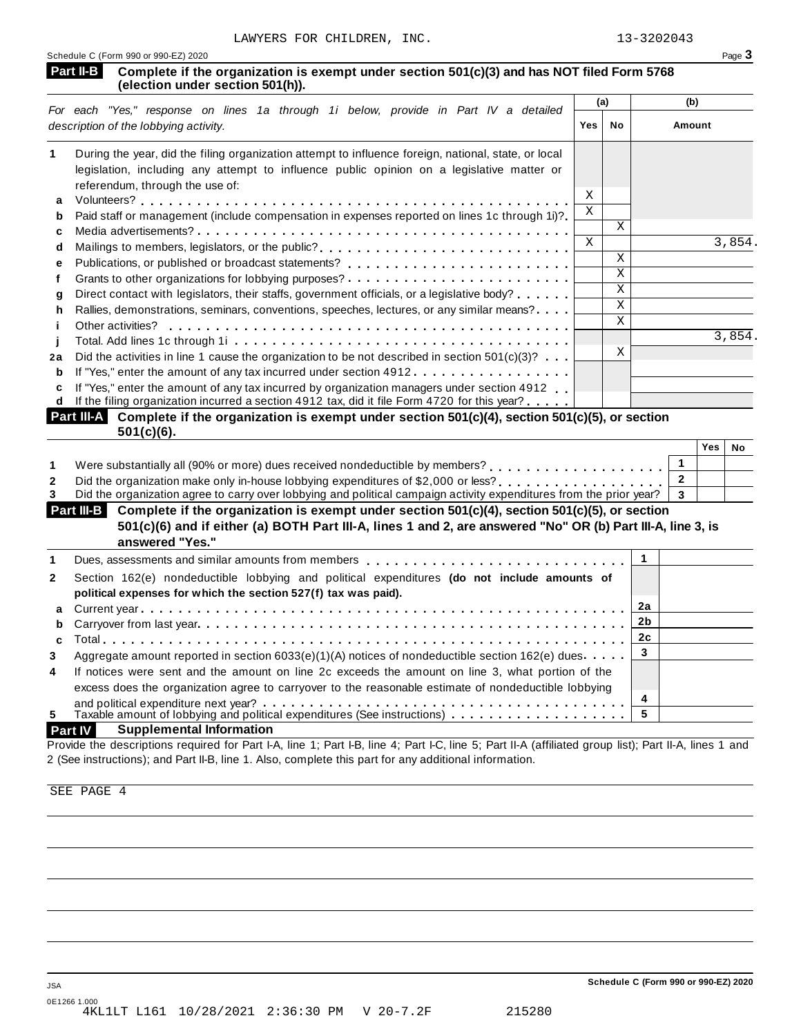| LAWYERS FOR CHILDREN, INC.<br>Schedule C (Form 990 or 990-EZ) 2020                                                                                                                                                       |              |                         | 13-3202043          | Page 3 |
|--------------------------------------------------------------------------------------------------------------------------------------------------------------------------------------------------------------------------|--------------|-------------------------|---------------------|--------|
| Part II-B<br>Complete if the organization is exempt under section 501(c)(3) and has NOT filed Form 5768<br>(election under section 501(h)).                                                                              |              |                         |                     |        |
|                                                                                                                                                                                                                          |              | (a)                     | (b)                 |        |
| For each "Yes," response on lines 1a through 1i below, provide in Part IV a detailed<br>description of the lobbying activity.                                                                                            | Yes          | <b>No</b>               | Amount              |        |
| During the year, did the filing organization attempt to influence foreign, national, state, or local<br>legislation, including any attempt to influence public opinion on a legislative matter or                        |              |                         |                     |        |
| referendum, through the use of:                                                                                                                                                                                          | X            |                         |                     |        |
| a                                                                                                                                                                                                                        | $\mathbf X$  |                         |                     |        |
| Paid staff or management (include compensation in expenses reported on lines 1c through 1i)?<br>b                                                                                                                        |              | $\mathbf{X}$            |                     |        |
| c                                                                                                                                                                                                                        | $\mathbf{X}$ |                         |                     | 3,854. |
| Mailings to members, legislators, or the public?<br>d                                                                                                                                                                    |              | $\mathbf{X}$            |                     |        |
| е<br>f                                                                                                                                                                                                                   |              | $\overline{\mathbf{x}}$ |                     |        |
| Direct contact with legislators, their staffs, government officials, or a legislative body?<br>g                                                                                                                         |              | $\overline{\mathbf{x}}$ |                     |        |
| Rallies, demonstrations, seminars, conventions, speeches, lectures, or any similar means?<br>h                                                                                                                           |              | $\mathbf{X}$            |                     |        |
| Other activities?<br>Ť                                                                                                                                                                                                   |              | $\mathbf{x}$            |                     |        |
| Ī                                                                                                                                                                                                                        |              |                         |                     | 3,854. |
| Did the activities in line 1 cause the organization to be not described in section $501(c)(3)$ ?<br>2a                                                                                                                   |              | X                       |                     |        |
| If "Yes," enter the amount of any tax incurred under section 4912.<br>b                                                                                                                                                  |              |                         |                     |        |
| If "Yes," enter the amount of any tax incurred by organization managers under section 4912<br>C                                                                                                                          |              |                         |                     |        |
| If the filing organization incurred a section 4912 tax, did it file Form 4720 for this year?<br>d                                                                                                                        |              |                         |                     |        |
| Complete if the organization is exempt under section 501(c)(4), section 501(c)(5), or section<br><b>Part III-A</b><br>$501(c)(6)$ .                                                                                      |              |                         |                     |        |
|                                                                                                                                                                                                                          |              |                         | <b>Yes</b>          | No     |
| Were substantially all (90% or more) dues received nondeductible by members?<br>Were substantially all (90% or more) dues received nondeductible by members?                                                             |              |                         | $\mathbf{1}$        |        |
| Did the organization make only in-house lobbying expenditures of \$2,000 or less?<br>$\mathbf{2}$<br>Did the organization agree to carry over lobbying and political campaign activity expenditures from the prior year? |              |                         | $\overline{2}$<br>3 |        |

|              | answered "Yes."                                                                                                                                                                                          |    |  |
|--------------|----------------------------------------------------------------------------------------------------------------------------------------------------------------------------------------------------------|----|--|
|              | Dues, assessments and similar amounts from members $\ldots \ldots \ldots \ldots \ldots \ldots \ldots \ldots \ldots \perp 1$                                                                              |    |  |
| $\mathbf{2}$ | Section 162(e) nondeductible lobbying and political expenditures (do not include amounts of<br>political expenses for which the section 527(f) tax was paid).                                            |    |  |
|              |                                                                                                                                                                                                          | 2a |  |
|              | b Carryover from last year enterchance research response to contact the contract of the carryover from last year.                                                                                        | 2b |  |
|              |                                                                                                                                                                                                          | 2с |  |
| 3            | Aggregate amount reported in section 6033(e)(1)(A) notices of nondeductible section 162(e) dues                                                                                                          |    |  |
| 4            | If notices were sent and the amount on line 2c exceeds the amount on line 3, what portion of the<br>excess does the organization agree to carryover to the reasonable estimate of nondeductible lobbying |    |  |
|              |                                                                                                                                                                                                          | 4  |  |
| 5            | Taxable amount of lobbying and political expenditures (See instructions) $\ldots \ldots \ldots \ldots$                                                                                                   |    |  |

# **Part IV Supplemental Information**

Provide the descriptions required for Part I-A, line 1; Part I-B, line 4; Part I-C, line 5; Part II-A (affiliated group list); Part II-A, lines 1 and 2 (See instructions); and Part II-B, line 1. Also, complete this part for any additional information.

SEE PAGE 4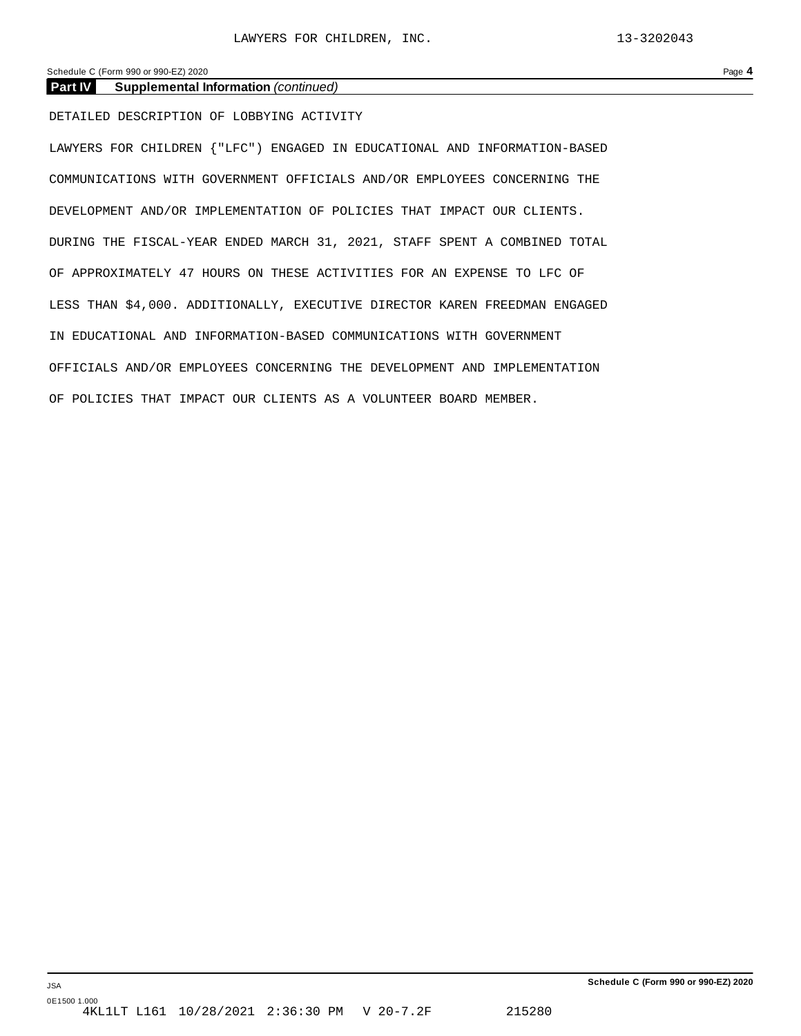Schedule C (Form 990 or 990-EZ) 2020 Page **4**

## **Part IV Supplemental Information** *(continued)*

DETAILED DESCRIPTION OF LOBBYING ACTIVITY

LAWYERS FOR CHILDREN {"LFC") ENGAGED IN EDUCATIONAL AND INFORMATION-BASED COMMUNICATIONS WITH GOVERNMENT OFFICIALS AND/OR EMPLOYEES CONCERNING THE DEVELOPMENT AND/OR IMPLEMENTATION OF POLICIES THAT IMPACT OUR CLIENTS. DURING THE FISCAL-YEAR ENDED MARCH 31, 2021, STAFF SPENT A COMBINED TOTAL OF APPROXIMATELY 47 HOURS ON THESE ACTIVITIES FOR AN EXPENSE TO LFC OF LESS THAN \$4,000. ADDITIONALLY, EXECUTIVE DIRECTOR KAREN FREEDMAN ENGAGED IN EDUCATIONAL AND INFORMATION-BASED COMMUNICATIONS WITH GOVERNMENT OFFICIALS AND/OR EMPLOYEES CONCERNING THE DEVELOPMENT AND IMPLEMENTATION OF POLICIES THAT IMPACT OUR CLIENTS AS A VOLUNTEER BOARD MEMBER.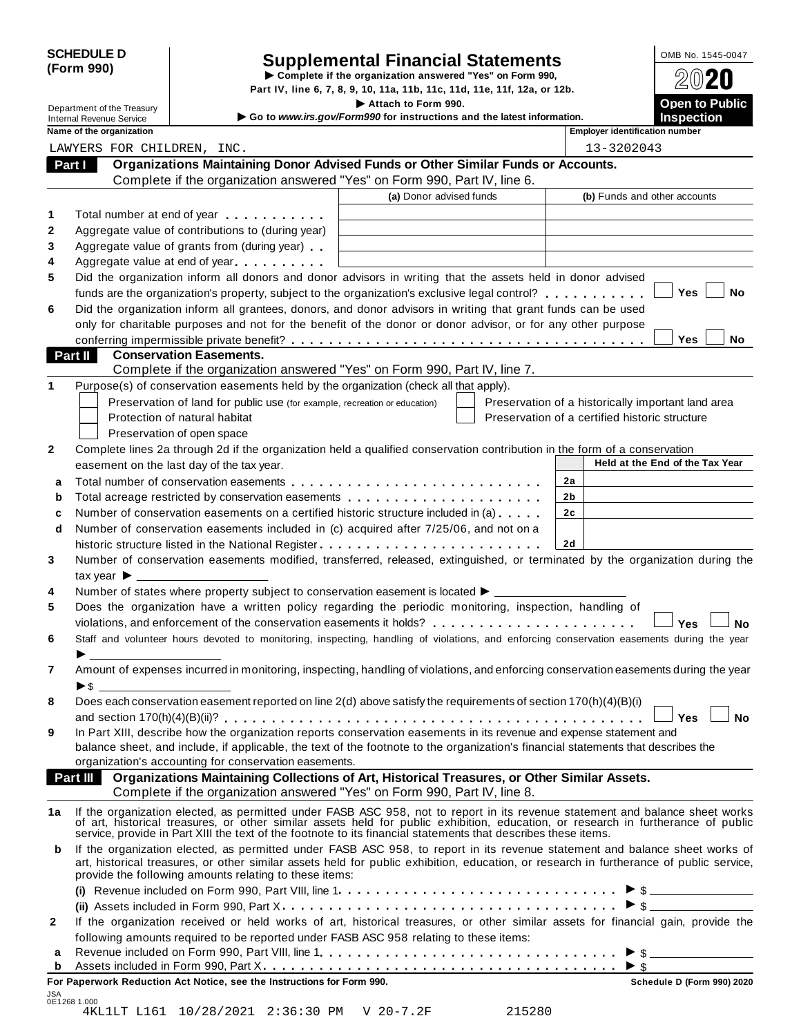|            | <b>SCHEDULE D</b> |
|------------|-------------------|
| (Form 990) |                   |

# SCHEDULE D<br>
Supplemental Financial Statements<br>
Form 990)<br>
Part IV, line 6, 7, 8, 9, 10, 11a, 11b, 11c, 11d, 11e, 11f, 12a, or 12b.<br>
Part IV, line 6, 7, 8, 9, 10, 11a, 11b, 11c, 11d, 11e, 11f, 12a, or 12b.

|                |                                                               |                                                                                                                                                                                                                                                                                                                                                  | Part IV, line 6, 7, 8, 9, 10, 11a, 11b, 11c, 11d, 11e, 11f, 12a, or 12b.                      |                                                |                                                    |
|----------------|---------------------------------------------------------------|--------------------------------------------------------------------------------------------------------------------------------------------------------------------------------------------------------------------------------------------------------------------------------------------------------------------------------------------------|-----------------------------------------------------------------------------------------------|------------------------------------------------|----------------------------------------------------|
|                | Department of the Treasury<br><b>Internal Revenue Service</b> |                                                                                                                                                                                                                                                                                                                                                  | Attach to Form 990.<br>Go to www.irs.gov/Form990 for instructions and the latest information. |                                                | <b>Open to Public</b><br><b>Inspection</b>         |
|                | Name of the organization                                      |                                                                                                                                                                                                                                                                                                                                                  |                                                                                               | <b>Employer identification number</b>          |                                                    |
|                | LAWYERS FOR CHILDREN, INC.                                    |                                                                                                                                                                                                                                                                                                                                                  |                                                                                               | 13-3202043                                     |                                                    |
|                | Part I                                                        | Organizations Maintaining Donor Advised Funds or Other Similar Funds or Accounts.                                                                                                                                                                                                                                                                |                                                                                               |                                                |                                                    |
|                |                                                               | Complete if the organization answered "Yes" on Form 990, Part IV, line 6.                                                                                                                                                                                                                                                                        |                                                                                               |                                                |                                                    |
|                |                                                               |                                                                                                                                                                                                                                                                                                                                                  | (a) Donor advised funds                                                                       |                                                | (b) Funds and other accounts                       |
| 1              |                                                               | Total number at end of year entitled as a set of the set of the set of the set of the set of the set of the set of the set of the set of the set of the set of the set of the set of the set of the set of the set of the set                                                                                                                    |                                                                                               |                                                |                                                    |
| 2              |                                                               | Aggregate value of contributions to (during year)                                                                                                                                                                                                                                                                                                |                                                                                               |                                                |                                                    |
| 3              |                                                               | Aggregate value of grants from (during year)                                                                                                                                                                                                                                                                                                     |                                                                                               |                                                |                                                    |
| 4              |                                                               | Aggregate value at end of year                                                                                                                                                                                                                                                                                                                   |                                                                                               |                                                |                                                    |
| 5              |                                                               | Did the organization inform all donors and donor advisors in writing that the assets held in donor advised                                                                                                                                                                                                                                       |                                                                                               |                                                |                                                    |
|                |                                                               | funds are the organization's property, subject to the organization's exclusive legal control?                                                                                                                                                                                                                                                    |                                                                                               |                                                | Yes<br>No                                          |
| 6              |                                                               | Did the organization inform all grantees, donors, and donor advisors in writing that grant funds can be used                                                                                                                                                                                                                                     |                                                                                               |                                                |                                                    |
|                |                                                               | only for charitable purposes and not for the benefit of the donor or donor advisor, or for any other purpose                                                                                                                                                                                                                                     |                                                                                               |                                                |                                                    |
|                |                                                               |                                                                                                                                                                                                                                                                                                                                                  |                                                                                               |                                                | Yes<br>No.                                         |
|                | Part II                                                       | <b>Conservation Easements.</b>                                                                                                                                                                                                                                                                                                                   |                                                                                               |                                                |                                                    |
|                |                                                               | Complete if the organization answered "Yes" on Form 990, Part IV, line 7.                                                                                                                                                                                                                                                                        |                                                                                               |                                                |                                                    |
| 1              |                                                               | Purpose(s) of conservation easements held by the organization (check all that apply).                                                                                                                                                                                                                                                            |                                                                                               |                                                |                                                    |
|                |                                                               | Preservation of land for public use (for example, recreation or education)                                                                                                                                                                                                                                                                       |                                                                                               |                                                | Preservation of a historically important land area |
|                |                                                               | Protection of natural habitat                                                                                                                                                                                                                                                                                                                    |                                                                                               | Preservation of a certified historic structure |                                                    |
|                |                                                               | Preservation of open space                                                                                                                                                                                                                                                                                                                       |                                                                                               |                                                |                                                    |
| 2              |                                                               | Complete lines 2a through 2d if the organization held a qualified conservation contribution in the form of a conservation                                                                                                                                                                                                                        |                                                                                               |                                                | Held at the End of the Tax Year                    |
|                |                                                               | easement on the last day of the tax year.                                                                                                                                                                                                                                                                                                        |                                                                                               |                                                |                                                    |
| a              |                                                               |                                                                                                                                                                                                                                                                                                                                                  |                                                                                               | 2a                                             |                                                    |
| b              |                                                               | Total acreage restricted by conservation easements                                                                                                                                                                                                                                                                                               |                                                                                               | 2b                                             |                                                    |
| c              |                                                               | Number of conservation easements on a certified historic structure included in (a)                                                                                                                                                                                                                                                               |                                                                                               | 2c                                             |                                                    |
| d              |                                                               | Number of conservation easements included in (c) acquired after 7/25/06, and not on a                                                                                                                                                                                                                                                            |                                                                                               |                                                |                                                    |
|                |                                                               |                                                                                                                                                                                                                                                                                                                                                  |                                                                                               | 2d                                             |                                                    |
| 3              |                                                               | Number of conservation easements modified, transferred, released, extinguished, or terminated by the organization during the                                                                                                                                                                                                                     |                                                                                               |                                                |                                                    |
|                | tax year $\blacktriangleright$                                |                                                                                                                                                                                                                                                                                                                                                  |                                                                                               |                                                |                                                    |
| 4              |                                                               | Number of states where property subject to conservation easement is located ▶ _________                                                                                                                                                                                                                                                          |                                                                                               |                                                |                                                    |
| 5              |                                                               | Does the organization have a written policy regarding the periodic monitoring, inspection, handling of                                                                                                                                                                                                                                           |                                                                                               |                                                |                                                    |
|                |                                                               | violations, and enforcement of the conservation easements it holds?                                                                                                                                                                                                                                                                              |                                                                                               |                                                | Yes<br><b>No</b>                                   |
| 6              |                                                               | Staff and volunteer hours devoted to monitoring, inspecting, handling of violations, and enforcing conservation easements during the year                                                                                                                                                                                                        |                                                                                               |                                                |                                                    |
|                |                                                               |                                                                                                                                                                                                                                                                                                                                                  |                                                                                               |                                                |                                                    |
| $\overline{7}$ |                                                               | Amount of expenses incurred in monitoring, inspecting, handling of violations, and enforcing conservation easements during the year                                                                                                                                                                                                              |                                                                                               |                                                |                                                    |
|                |                                                               |                                                                                                                                                                                                                                                                                                                                                  |                                                                                               |                                                |                                                    |
| 8              |                                                               | Does each conservation easement reported on line 2(d) above satisfy the requirements of section 170(h)(4)(B)(i)                                                                                                                                                                                                                                  |                                                                                               |                                                |                                                    |
|                |                                                               |                                                                                                                                                                                                                                                                                                                                                  |                                                                                               |                                                | <b>No</b><br>Yes                                   |
| 9              |                                                               | In Part XIII, describe how the organization reports conservation easements in its revenue and expense statement and<br>balance sheet, and include, if applicable, the text of the footnote to the organization's financial statements that describes the                                                                                         |                                                                                               |                                                |                                                    |
|                |                                                               | organization's accounting for conservation easements.                                                                                                                                                                                                                                                                                            |                                                                                               |                                                |                                                    |
|                | Part III                                                      | Organizations Maintaining Collections of Art, Historical Treasures, or Other Similar Assets.                                                                                                                                                                                                                                                     |                                                                                               |                                                |                                                    |
|                |                                                               | Complete if the organization answered "Yes" on Form 990, Part IV, line 8.                                                                                                                                                                                                                                                                        |                                                                                               |                                                |                                                    |
|                |                                                               |                                                                                                                                                                                                                                                                                                                                                  |                                                                                               |                                                |                                                    |
| 1a             |                                                               | If the organization elected, as permitted under FASB ASC 958, not to report in its revenue statement and balance sheet works of art, historical treasures, or other similar assets held for public exhibition, education, or r<br>service, provide in Part XIII the text of the footnote to its financial statements that describes these items. |                                                                                               |                                                |                                                    |
| b              |                                                               | If the organization elected, as permitted under FASB ASC 958, to report in its revenue statement and balance sheet works of<br>art, historical treasures, or other similar assets held for public exhibition, education, or research in furtherance of public service,<br>provide the following amounts relating to these items:                 |                                                                                               |                                                |                                                    |
|                |                                                               |                                                                                                                                                                                                                                                                                                                                                  |                                                                                               |                                                |                                                    |
|                |                                                               |                                                                                                                                                                                                                                                                                                                                                  |                                                                                               |                                                |                                                    |
| $\mathbf{2}$   |                                                               | If the organization received or held works of art, historical treasures, or other similar assets for financial gain, provide the                                                                                                                                                                                                                 |                                                                                               |                                                |                                                    |
|                |                                                               | following amounts required to be reported under FASB ASC 958 relating to these items:                                                                                                                                                                                                                                                            |                                                                                               |                                                |                                                    |
| а              |                                                               |                                                                                                                                                                                                                                                                                                                                                  |                                                                                               |                                                |                                                    |
| b              |                                                               |                                                                                                                                                                                                                                                                                                                                                  |                                                                                               |                                                |                                                    |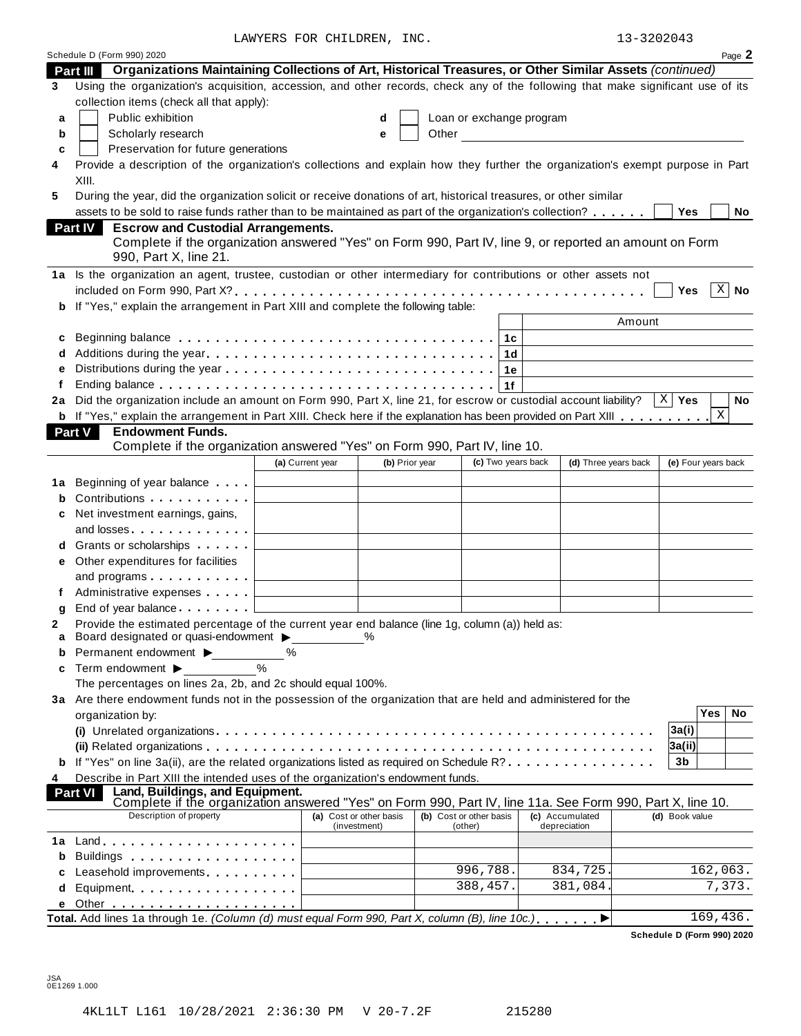LAWYERS FOR CHILDREN, INC. 13-3202043

| 13-3202043 |  |
|------------|--|
|------------|--|

|    |                                                                                                                                                                                                                              | LAWIERS FOR CHILDREN, INC. |                |       |                          |                    |                                                      | 13-3202043            |                     |              |
|----|------------------------------------------------------------------------------------------------------------------------------------------------------------------------------------------------------------------------------|----------------------------|----------------|-------|--------------------------|--------------------|------------------------------------------------------|-----------------------|---------------------|--------------|
|    | Schedule D (Form 990) 2020                                                                                                                                                                                                   |                            |                |       |                          |                    |                                                      |                       |                     | Page 2       |
|    | Part III Organizations Maintaining Collections of Art, Historical Treasures, or Other Similar Assets (continued)                                                                                                             |                            |                |       |                          |                    |                                                      |                       |                     |              |
| 3  | Using the organization's acquisition, accession, and other records, check any of the following that make significant use of its                                                                                              |                            |                |       |                          |                    |                                                      |                       |                     |              |
|    | collection items (check all that apply):                                                                                                                                                                                     |                            |                |       |                          |                    |                                                      |                       |                     |              |
| a  | Public exhibition                                                                                                                                                                                                            |                            | d              |       | Loan or exchange program |                    |                                                      |                       |                     |              |
| b  | Scholarly research                                                                                                                                                                                                           |                            | e              | Other |                          |                    | <u> 1980 - Jan Barnett, fransk politik (d. 1980)</u> |                       |                     |              |
| c  | Preservation for future generations                                                                                                                                                                                          |                            |                |       |                          |                    |                                                      |                       |                     |              |
| 4  | Provide a description of the organization's collections and explain how they further the organization's exempt purpose in Part                                                                                               |                            |                |       |                          |                    |                                                      |                       |                     |              |
|    | XIII.                                                                                                                                                                                                                        |                            |                |       |                          |                    |                                                      |                       |                     |              |
| 5  | During the year, did the organization solicit or receive donations of art, historical treasures, or other similar<br>assets to be sold to raise funds rather than to be maintained as part of the organization's collection? |                            |                |       |                          |                    |                                                      | Yes                   |                     | No           |
|    | Part IV<br><b>Escrow and Custodial Arrangements.</b>                                                                                                                                                                         |                            |                |       |                          |                    |                                                      |                       |                     |              |
|    | Complete if the organization answered "Yes" on Form 990, Part IV, line 9, or reported an amount on Form<br>990, Part X, line 21.                                                                                             |                            |                |       |                          |                    |                                                      |                       |                     |              |
|    | 1a Is the organization an agent, trustee, custodian or other intermediary for contributions or other assets not                                                                                                              |                            |                |       |                          |                    |                                                      |                       |                     |              |
|    |                                                                                                                                                                                                                              |                            |                |       |                          |                    |                                                      | <b>Yes</b>            |                     | $X \mid N$ o |
|    | b If "Yes," explain the arrangement in Part XIII and complete the following table:                                                                                                                                           |                            |                |       |                          |                    |                                                      |                       |                     |              |
|    |                                                                                                                                                                                                                              |                            |                |       |                          |                    |                                                      | Amount                |                     |              |
| c  |                                                                                                                                                                                                                              |                            |                |       |                          | 1c                 |                                                      |                       |                     |              |
| d  |                                                                                                                                                                                                                              |                            |                |       |                          | 1d                 |                                                      |                       |                     |              |
| е  |                                                                                                                                                                                                                              |                            |                |       |                          | 1е                 |                                                      |                       |                     |              |
|    |                                                                                                                                                                                                                              |                            |                |       |                          | 1f                 |                                                      |                       |                     |              |
| 2a | Did the organization include an amount on Form 990, Part X, line 21, for escrow or custodial account liability?                                                                                                              |                            |                |       |                          |                    |                                                      | $X \mid \mathsf{Yes}$ |                     | No           |
|    | <b>b</b> If "Yes," explain the arrangement in Part XIII. Check here if the explanation has been provided on Part XIII                                                                                                        |                            |                |       |                          |                    |                                                      |                       | X                   |              |
|    | Part V<br><b>Endowment Funds.</b>                                                                                                                                                                                            |                            |                |       |                          |                    |                                                      |                       |                     |              |
|    | Complete if the organization answered "Yes" on Form 990, Part IV, line 10.                                                                                                                                                   |                            |                |       |                          |                    |                                                      |                       |                     |              |
|    |                                                                                                                                                                                                                              | (a) Current year           | (b) Prior year |       |                          | (c) Two years back | (d) Three years back                                 |                       | (e) Four years back |              |
| 1а | Beginning of year balance                                                                                                                                                                                                    |                            |                |       |                          |                    |                                                      |                       |                     |              |
| b  | Contributions                                                                                                                                                                                                                |                            |                |       |                          |                    |                                                      |                       |                     |              |
| c  | Net investment earnings, gains,                                                                                                                                                                                              |                            |                |       |                          |                    |                                                      |                       |                     |              |
|    | and losses                                                                                                                                                                                                                   |                            |                |       |                          |                    |                                                      |                       |                     |              |
|    | <b>d</b> Grants or scholarships <b>contains</b>                                                                                                                                                                              |                            |                |       |                          |                    |                                                      |                       |                     |              |
| е  | Other expenditures for facilities                                                                                                                                                                                            |                            |                |       |                          |                    |                                                      |                       |                     |              |
|    | and programs                                                                                                                                                                                                                 |                            |                |       |                          |                    |                                                      |                       |                     |              |
|    | Administrative expenses                                                                                                                                                                                                      |                            |                |       |                          |                    |                                                      |                       |                     |              |
| g  | End of year balance I                                                                                                                                                                                                        |                            |                |       |                          |                    |                                                      |                       |                     |              |
|    | Provide the estimated percentage of the current year end balance (line 1g, column (a)) held as:<br>Board designated or quasi-endowment >                                                                                     |                            |                |       |                          |                    |                                                      |                       |                     |              |
| a  | Permanent endowment ▶<br>℅                                                                                                                                                                                                   |                            |                |       |                          |                    |                                                      |                       |                     |              |
| c  | Term endowment $\blacktriangleright$                                                                                                                                                                                         |                            |                |       |                          |                    |                                                      |                       |                     |              |
|    | The percentages on lines 2a, 2b, and 2c should equal 100%.                                                                                                                                                                   |                            |                |       |                          |                    |                                                      |                       |                     |              |
|    | 3a Are there endowment funds not in the possession of the organization that are held and administered for the                                                                                                                |                            |                |       |                          |                    |                                                      |                       |                     |              |
|    | organization by:                                                                                                                                                                                                             |                            |                |       |                          |                    |                                                      |                       | Yes                 | No           |
|    | (i) Unrelated organizations enterpresent research in the contract of the contract of the contract or contract o                                                                                                              |                            |                |       |                          |                    |                                                      | 3a(i)                 |                     |              |
|    |                                                                                                                                                                                                                              |                            |                |       |                          |                    |                                                      | 3a(ii)                |                     |              |
|    | <b>b</b> If "Yes" on line 3a(ii), are the related organizations listed as required on Schedule R?                                                                                                                            |                            |                |       |                          |                    |                                                      | 3b                    |                     |              |
| 4  | Describe in Part XIII the intended uses of the organization's endowment funds.                                                                                                                                               |                            |                |       |                          |                    |                                                      |                       |                     |              |
|    | Land, Buildings, and Equipment.<br><b>Part VI</b>                                                                                                                                                                            |                            |                |       |                          |                    |                                                      |                       |                     |              |
|    | Complete if the organization answered "Yes" on Form 990, Part IV, line 11a. See Form 990, Part X, line 10.<br>Description of property                                                                                        | (a) Cost or other basis    |                |       | (b) Cost or other basis  |                    | (c) Accumulated                                      | (d) Book value        |                     |              |
|    |                                                                                                                                                                                                                              | (investment)               |                |       | (other)                  |                    | depreciation                                         |                       |                     |              |
|    |                                                                                                                                                                                                                              |                            |                |       |                          |                    |                                                      |                       |                     |              |
| b  |                                                                                                                                                                                                                              |                            |                |       |                          |                    |                                                      |                       |                     |              |
|    | Leasehold improvements [19]                                                                                                                                                                                                  |                            |                |       | 996,788.                 |                    | 834,725.                                             |                       | 162,063.            |              |
| d  | Equipment                                                                                                                                                                                                                    |                            |                |       | 388,457.                 |                    | 381,084.                                             |                       |                     | 7,373.       |
|    |                                                                                                                                                                                                                              |                            |                |       |                          |                    |                                                      |                       |                     |              |
|    | Total. Add lines 1a through 1e. (Column (d) must equal Form 990, Part X, column (B), line 10c.)                                                                                                                              |                            |                |       |                          |                    |                                                      |                       | 169,436.            |              |

**Schedule D (Form 990) 2020**

JSA 0E1269 1.000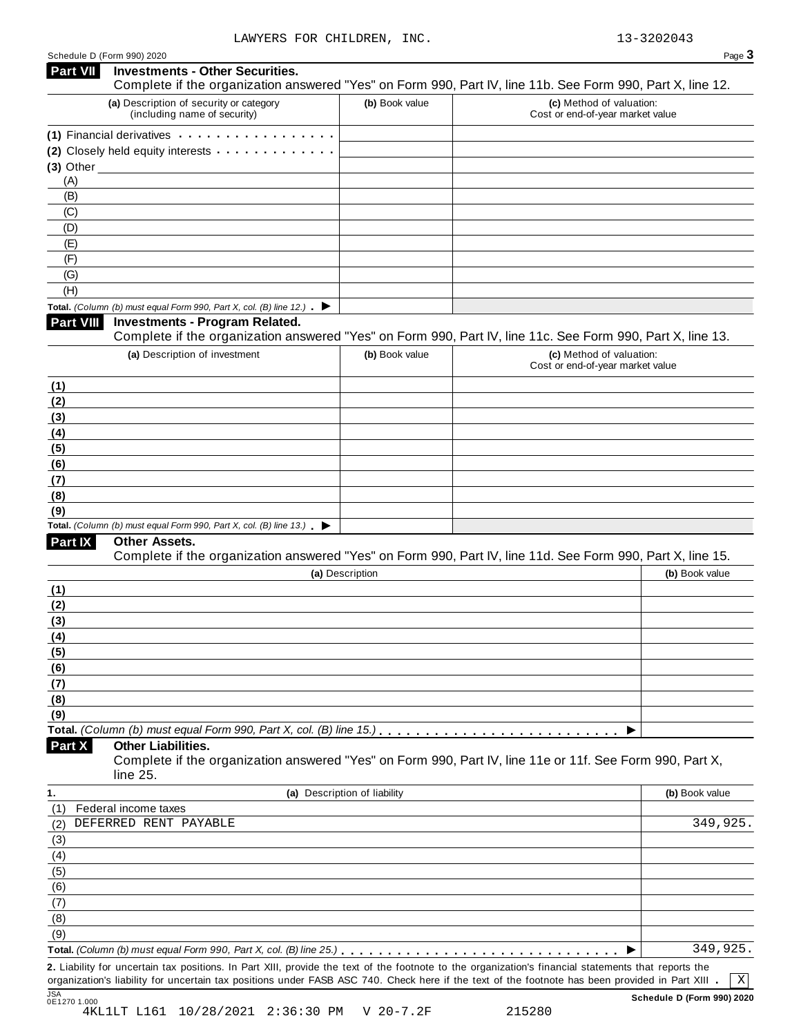|  | Schedule D (Form 990) 2020 |  |  |  |
|--|----------------------------|--|--|--|
|--|----------------------------|--|--|--|

|           | Schedule D (Form 990) 2020                                                                                             |                              | Page 3                                                                                                                                                                                                                                                                                                        |
|-----------|------------------------------------------------------------------------------------------------------------------------|------------------------------|---------------------------------------------------------------------------------------------------------------------------------------------------------------------------------------------------------------------------------------------------------------------------------------------------------------|
| Part VII  | <b>Investments - Other Securities.</b>                                                                                 |                              | Complete if the organization answered "Yes" on Form 990, Part IV, line 11b. See Form 990, Part X, line 12.                                                                                                                                                                                                    |
|           | (a) Description of security or category<br>(including name of security)                                                | (b) Book value               | (c) Method of valuation:<br>Cost or end-of-year market value                                                                                                                                                                                                                                                  |
|           | (1) Financial derivatives                                                                                              |                              |                                                                                                                                                                                                                                                                                                               |
|           | (2) Closely held equity interests                                                                                      |                              |                                                                                                                                                                                                                                                                                                               |
|           | $(3)$ Other                                                                                                            |                              |                                                                                                                                                                                                                                                                                                               |
| (A)       |                                                                                                                        |                              |                                                                                                                                                                                                                                                                                                               |
| (B)       |                                                                                                                        |                              |                                                                                                                                                                                                                                                                                                               |
| (C)       |                                                                                                                        |                              |                                                                                                                                                                                                                                                                                                               |
| (D)       |                                                                                                                        |                              |                                                                                                                                                                                                                                                                                                               |
| (E)       |                                                                                                                        |                              |                                                                                                                                                                                                                                                                                                               |
| (F)       |                                                                                                                        |                              |                                                                                                                                                                                                                                                                                                               |
| (G)       |                                                                                                                        |                              |                                                                                                                                                                                                                                                                                                               |
| (H)       |                                                                                                                        |                              |                                                                                                                                                                                                                                                                                                               |
|           | Total. (Column (b) must equal Form 990, Part X, col. (B) line 12.) $\blacktriangleright$                               |                              |                                                                                                                                                                                                                                                                                                               |
| Part VIII | <b>Investments - Program Related.</b>                                                                                  |                              | Complete if the organization answered "Yes" on Form 990, Part IV, line 11c. See Form 990, Part X, line 13.                                                                                                                                                                                                    |
|           | (a) Description of investment                                                                                          | (b) Book value               | (c) Method of valuation:                                                                                                                                                                                                                                                                                      |
|           |                                                                                                                        |                              | Cost or end-of-year market value                                                                                                                                                                                                                                                                              |
| (1)       |                                                                                                                        |                              |                                                                                                                                                                                                                                                                                                               |
| (2)       |                                                                                                                        |                              |                                                                                                                                                                                                                                                                                                               |
| (3)       |                                                                                                                        |                              |                                                                                                                                                                                                                                                                                                               |
| (4)       |                                                                                                                        |                              |                                                                                                                                                                                                                                                                                                               |
| (5)       |                                                                                                                        |                              |                                                                                                                                                                                                                                                                                                               |
| (6)       |                                                                                                                        |                              |                                                                                                                                                                                                                                                                                                               |
| (7)       |                                                                                                                        |                              |                                                                                                                                                                                                                                                                                                               |
| (8)       |                                                                                                                        |                              |                                                                                                                                                                                                                                                                                                               |
| (9)       |                                                                                                                        |                              |                                                                                                                                                                                                                                                                                                               |
|           | Total. (Column (b) must equal Form 990, Part X, col. (B) line $13$ .)                                                  |                              |                                                                                                                                                                                                                                                                                                               |
| Part IX   | Other Assets.                                                                                                          |                              | Complete if the organization answered "Yes" on Form 990, Part IV, line 11d. See Form 990, Part X, line 15.                                                                                                                                                                                                    |
|           |                                                                                                                        | (a) Description              | (b) Book value                                                                                                                                                                                                                                                                                                |
| (1)       |                                                                                                                        |                              |                                                                                                                                                                                                                                                                                                               |
| (2)       |                                                                                                                        |                              |                                                                                                                                                                                                                                                                                                               |
| (3)       |                                                                                                                        |                              |                                                                                                                                                                                                                                                                                                               |
| (4)       |                                                                                                                        |                              |                                                                                                                                                                                                                                                                                                               |
| (5)       |                                                                                                                        |                              |                                                                                                                                                                                                                                                                                                               |
| (6)       |                                                                                                                        |                              |                                                                                                                                                                                                                                                                                                               |
| (7)       |                                                                                                                        |                              |                                                                                                                                                                                                                                                                                                               |
| (8)       |                                                                                                                        |                              |                                                                                                                                                                                                                                                                                                               |
| (9)       |                                                                                                                        |                              |                                                                                                                                                                                                                                                                                                               |
|           | Total. (Column (b) must equal Form 990, Part X, col. (B) line 15.). $\ldots \ldots \ldots \ldots \ldots \ldots \ldots$ |                              |                                                                                                                                                                                                                                                                                                               |
| Part X    | <b>Other Liabilities.</b>                                                                                              |                              | Complete if the organization answered "Yes" on Form 990, Part IV, line 11e or 11f. See Form 990, Part X,                                                                                                                                                                                                      |
|           | line 25.                                                                                                               |                              |                                                                                                                                                                                                                                                                                                               |
| (1)       |                                                                                                                        | (a) Description of liability | (b) Book value                                                                                                                                                                                                                                                                                                |
|           | Federal income taxes<br>DEFERRED RENT PAYABLE                                                                          |                              | 349,925.                                                                                                                                                                                                                                                                                                      |
| (2)       |                                                                                                                        |                              |                                                                                                                                                                                                                                                                                                               |
| (3)       |                                                                                                                        |                              |                                                                                                                                                                                                                                                                                                               |
| (4)       |                                                                                                                        |                              |                                                                                                                                                                                                                                                                                                               |
| (5)       |                                                                                                                        |                              |                                                                                                                                                                                                                                                                                                               |
| (6)       |                                                                                                                        |                              |                                                                                                                                                                                                                                                                                                               |
| (7)       |                                                                                                                        |                              |                                                                                                                                                                                                                                                                                                               |
| (8)       |                                                                                                                        |                              |                                                                                                                                                                                                                                                                                                               |
| (9)       |                                                                                                                        |                              |                                                                                                                                                                                                                                                                                                               |
|           |                                                                                                                        |                              | 349,925.                                                                                                                                                                                                                                                                                                      |
|           |                                                                                                                        |                              | 2. Liability for uncertain tax positions. In Part XIII, provide the text of the footnote to the organization's financial statements that reports the<br>organization's liability for uncertain tax positions under FASB ASC 740. Check here if the text of the footnote has been provided in Part XIII .<br>Χ |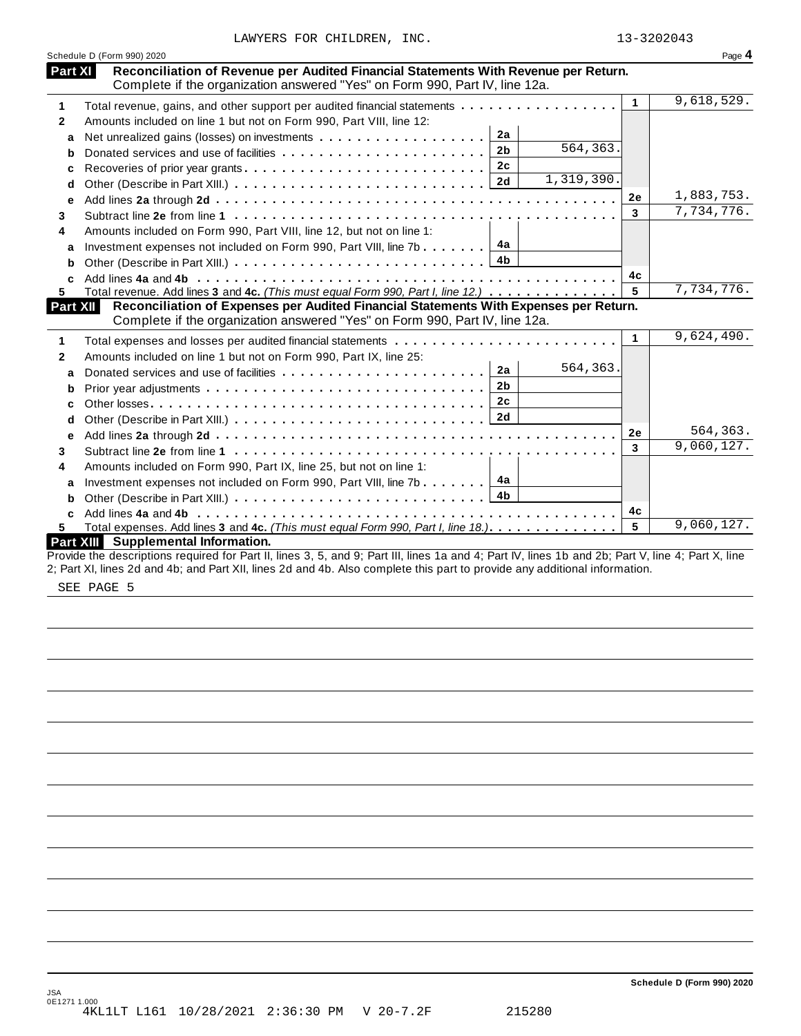|  |  | LAWYERS FOR CHILDREN, | INC. |
|--|--|-----------------------|------|
|--|--|-----------------------|------|

| Part XI<br>Reconciliation of Revenue per Audited Financial Statements With Revenue per Return.<br>Complete if the organization answered "Yes" on Form 990, Part IV, line 12a.    |    |            |
|----------------------------------------------------------------------------------------------------------------------------------------------------------------------------------|----|------------|
| Total revenue, gains, and other support per audited financial statements                                                                                                         | 1  | 9,618,529. |
| Amounts included on line 1 but not on Form 990, Part VIII, line 12:                                                                                                              |    |            |
| 2a<br>a                                                                                                                                                                          |    |            |
| $\overline{564}$ , 363.<br>2 <sub>b</sub><br>b                                                                                                                                   |    |            |
| 2c<br>c                                                                                                                                                                          |    |            |
| $\overline{1,319}$ , 390.<br>d                                                                                                                                                   |    |            |
| е                                                                                                                                                                                | 2e | 1,883,753. |
|                                                                                                                                                                                  | 3  | 7,734,776. |
| Amounts included on Form 990, Part VIII, line 12, but not on line 1:                                                                                                             |    |            |
| 4а<br>Investment expenses not included on Form 990, Part VIII, line 7b $\ldots$<br>a                                                                                             |    |            |
| 4b<br>b                                                                                                                                                                          |    |            |
|                                                                                                                                                                                  | 4c |            |
| Total revenue. Add lines 3 and 4c. (This must equal Form 990, Part I, line 12.)                                                                                                  | 5  | 7,734,776. |
| Reconciliation of Expenses per Audited Financial Statements With Expenses per Return.<br>Part XII<br>Complete if the organization answered "Yes" on Form 990, Part IV, line 12a. |    |            |
|                                                                                                                                                                                  | 1  | 9,624,490. |
| Amounts included on line 1 but not on Form 990, Part IX, line 25:                                                                                                                |    |            |
| 564,363.<br>2a<br>a                                                                                                                                                              |    |            |
| 2 <sub>b</sub><br>b                                                                                                                                                              |    |            |
| 2c<br>C                                                                                                                                                                          |    |            |
| 2d<br>d                                                                                                                                                                          |    |            |
| е                                                                                                                                                                                | 2e | 564,363.   |
|                                                                                                                                                                                  | 3  | 9,060,127. |
| Amounts included on Form 990, Part IX, line 25, but not on line 1:                                                                                                               |    |            |
| 4a<br>Investment expenses not included on Form 990, Part VIII, line 7b<br>a                                                                                                      |    |            |
|                                                                                                                                                                                  |    |            |
| C.                                                                                                                                                                               | 4c |            |
|                                                                                                                                                                                  | 5  | 9,060,127. |
| Total expenses. Add lines 3 and 4c. (This must equal Form 990, Part I, line 18.).                                                                                                |    |            |

SEE PAGE 5

**Schedule D (Form 990) 2020**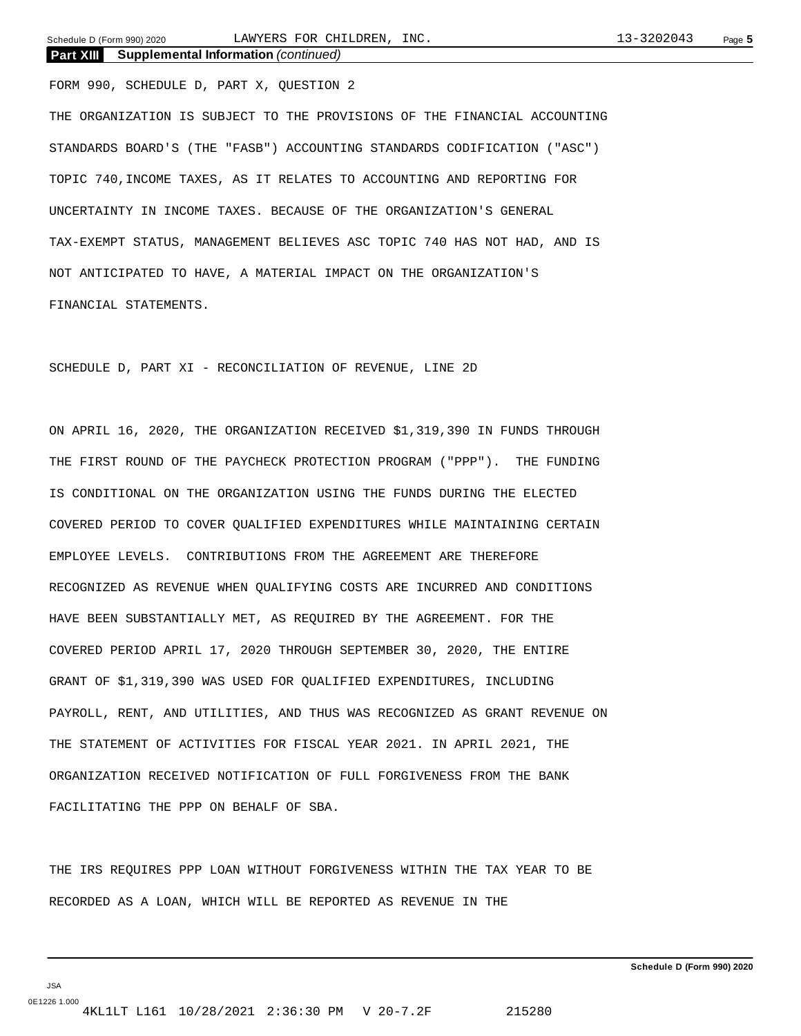Schedule D (Form 990) 2020 Page **5** LAWYERS FOR CHILDREN, INC. 13-3202043

**Part XIII Supplemental Information** *(continued)* FORM 990, SCHEDULE D, PART X, QUESTION 2 THE ORGANIZATION IS SUBJECT TO THE PROVISIONS OF THE FINANCIAL ACCOUNTING STANDARDS BOARD'S (THE "FASB") ACCOUNTING STANDARDS CODIFICATION ("ASC") TOPIC 740,INCOME TAXES, AS IT RELATES TO ACCOUNTING AND REPORTING FOR UNCERTAINTY IN INCOME TAXES. BECAUSE OF THE ORGANIZATION'S GENERAL TAX-EXEMPT STATUS, MANAGEMENT BELIEVES ASC TOPIC 740 HAS NOT HAD, AND IS NOT ANTICIPATED TO HAVE, A MATERIAL IMPACT ON THE ORGANIZATION'S FINANCIAL STATEMENTS.

SCHEDULE D, PART XI - RECONCILIATION OF REVENUE, LINE 2D

ON APRIL 16, 2020, THE ORGANIZATION RECEIVED \$1,319,390 IN FUNDS THROUGH THE FIRST ROUND OF THE PAYCHECK PROTECTION PROGRAM ("PPP"). THE FUNDING IS CONDITIONAL ON THE ORGANIZATION USING THE FUNDS DURING THE ELECTED COVERED PERIOD TO COVER QUALIFIED EXPENDITURES WHILE MAINTAINING CERTAIN EMPLOYEE LEVELS. CONTRIBUTIONS FROM THE AGREEMENT ARE THEREFORE RECOGNIZED AS REVENUE WHEN QUALIFYING COSTS ARE INCURRED AND CONDITIONS HAVE BEEN SUBSTANTIALLY MET, AS REQUIRED BY THE AGREEMENT. FOR THE COVERED PERIOD APRIL 17, 2020 THROUGH SEPTEMBER 30, 2020, THE ENTIRE GRANT OF \$1,319,390 WAS USED FOR QUALIFIED EXPENDITURES, INCLUDING PAYROLL, RENT, AND UTILITIES, AND THUS WAS RECOGNIZED AS GRANT REVENUE ON THE STATEMENT OF ACTIVITIES FOR FISCAL YEAR 2021. IN APRIL 2021, THE ORGANIZATION RECEIVED NOTIFICATION OF FULL FORGIVENESS FROM THE BANK FACILITATING THE PPP ON BEHALF OF SBA.

THE IRS REQUIRES PPP LOAN WITHOUT FORGIVENESS WITHIN THE TAX YEAR TO BE RECORDED AS A LOAN, WHICH WILL BE REPORTED AS REVENUE IN THE

JSA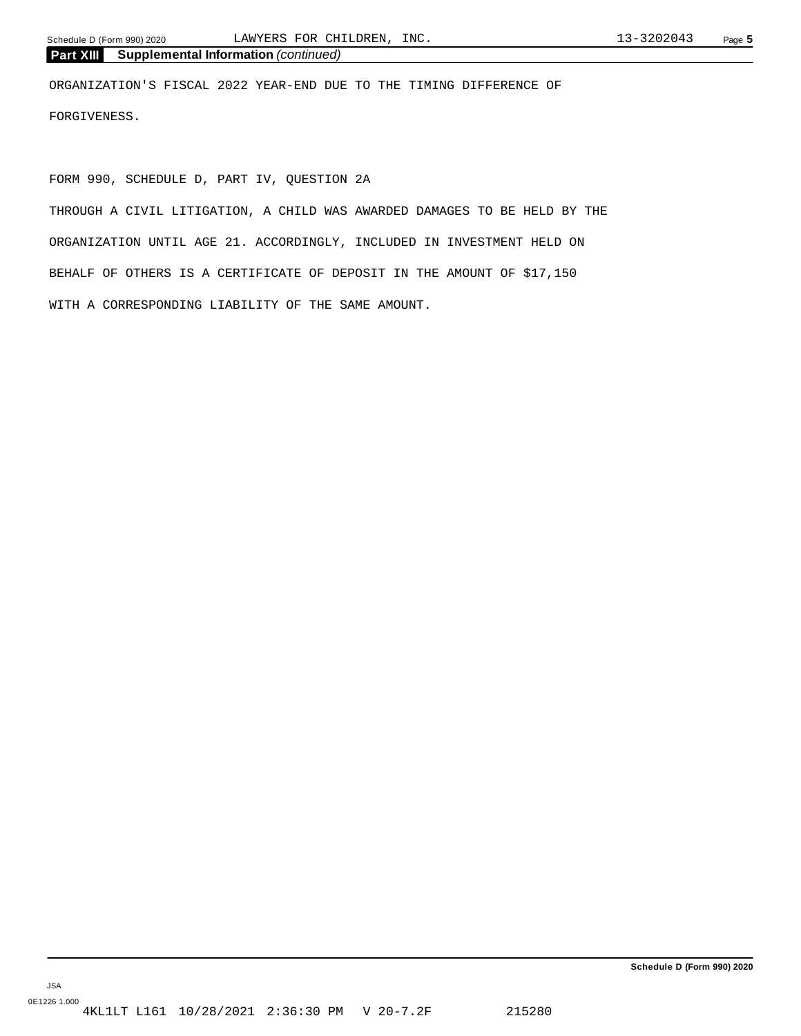ORGANIZATION'S FISCAL 2022 YEAR-END DUE TO THE TIMING DIFFERENCE OF FORGIVENESS.

FORM 990, SCHEDULE D, PART IV, QUESTION 2A

THROUGH A CIVIL LITIGATION, A CHILD WAS AWARDED DAMAGES TO BE HELD BY THE ORGANIZATION UNTIL AGE 21. ACCORDINGLY, INCLUDED IN INVESTMENT HELD ON BEHALF OF OTHERS IS A CERTIFICATE OF DEPOSIT IN THE AMOUNT OF \$17,150 WITH A CORRESPONDING LIABILITY OF THE SAME AMOUNT.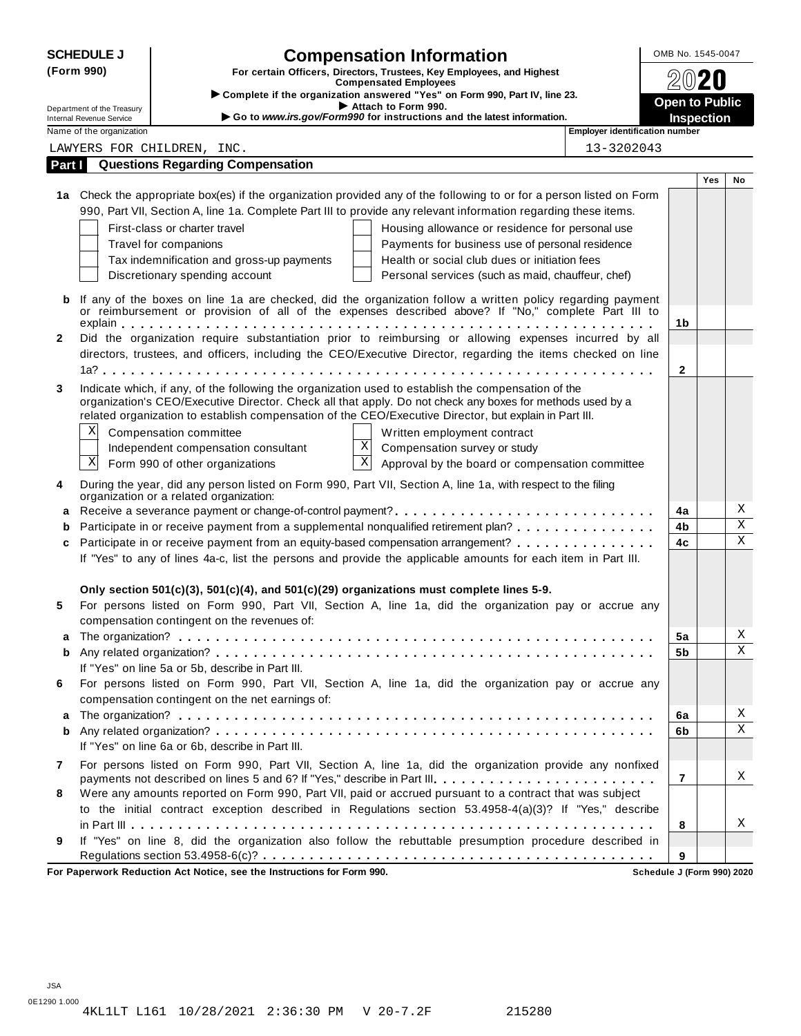| <b>SCHEDULE J</b>                                      | <b>Compensation Information</b>                                                                                                                                                                                                                                                                                            | OMB No. 1545-0047 |     |                         |  |  |  |  |
|--------------------------------------------------------|----------------------------------------------------------------------------------------------------------------------------------------------------------------------------------------------------------------------------------------------------------------------------------------------------------------------------|-------------------|-----|-------------------------|--|--|--|--|
| (Form 990)                                             | For certain Officers, Directors, Trustees, Key Employees, and Highest<br><b>Compensated Employees</b>                                                                                                                                                                                                                      |                   |     |                         |  |  |  |  |
|                                                        | Complete if the organization answered "Yes" on Form 990, Part IV, line 23.                                                                                                                                                                                                                                                 |                   |     |                         |  |  |  |  |
| Department of the Treasury<br>Internal Revenue Service | <b>Open to Public</b><br>Attach to Form 990.<br>Go to www.irs.gov/Form990 for instructions and the latest information.                                                                                                                                                                                                     |                   |     |                         |  |  |  |  |
| Name of the organization                               | Employer identification number                                                                                                                                                                                                                                                                                             | <b>Inspection</b> |     |                         |  |  |  |  |
|                                                        | 13-3202043<br>LAWYERS FOR CHILDREN, INC.                                                                                                                                                                                                                                                                                   |                   |     |                         |  |  |  |  |
| Part I                                                 | <b>Questions Regarding Compensation</b>                                                                                                                                                                                                                                                                                    |                   |     |                         |  |  |  |  |
|                                                        |                                                                                                                                                                                                                                                                                                                            |                   | Yes | No                      |  |  |  |  |
|                                                        | 1a Check the appropriate box(es) if the organization provided any of the following to or for a person listed on Form<br>990, Part VII, Section A, line 1a. Complete Part III to provide any relevant information regarding these items.                                                                                    |                   |     |                         |  |  |  |  |
|                                                        | First-class or charter travel<br>Housing allowance or residence for personal use                                                                                                                                                                                                                                           |                   |     |                         |  |  |  |  |
|                                                        | Travel for companions<br>Payments for business use of personal residence                                                                                                                                                                                                                                                   |                   |     |                         |  |  |  |  |
|                                                        | Tax indemnification and gross-up payments<br>Health or social club dues or initiation fees                                                                                                                                                                                                                                 |                   |     |                         |  |  |  |  |
|                                                        | Discretionary spending account<br>Personal services (such as maid, chauffeur, chef)                                                                                                                                                                                                                                        |                   |     |                         |  |  |  |  |
| b                                                      | If any of the boxes on line 1a are checked, did the organization follow a written policy regarding payment<br>or reimbursement or provision of all of the expenses described above? If "No," complete Part III to                                                                                                          |                   |     |                         |  |  |  |  |
|                                                        |                                                                                                                                                                                                                                                                                                                            | 1b                |     |                         |  |  |  |  |
| $\mathbf{2}$                                           | Did the organization require substantiation prior to reimbursing or allowing expenses incurred by all<br>directors, trustees, and officers, including the CEO/Executive Director, regarding the items checked on line                                                                                                      |                   |     |                         |  |  |  |  |
|                                                        |                                                                                                                                                                                                                                                                                                                            | 2                 |     |                         |  |  |  |  |
|                                                        |                                                                                                                                                                                                                                                                                                                            |                   |     |                         |  |  |  |  |
| 3                                                      | Indicate which, if any, of the following the organization used to establish the compensation of the<br>organization's CEO/Executive Director. Check all that apply. Do not check any boxes for methods used by a<br>related organization to establish compensation of the CEO/Executive Director, but explain in Part III. |                   |     |                         |  |  |  |  |
| Χ                                                      | Compensation committee<br>Written employment contract                                                                                                                                                                                                                                                                      |                   |     |                         |  |  |  |  |
|                                                        | Χ<br>Independent compensation consultant<br>Compensation survey or study                                                                                                                                                                                                                                                   |                   |     |                         |  |  |  |  |
| Χ                                                      | $\mathbf X$<br>Form 990 of other organizations<br>Approval by the board or compensation committee                                                                                                                                                                                                                          |                   |     |                         |  |  |  |  |
| 4                                                      | During the year, did any person listed on Form 990, Part VII, Section A, line 1a, with respect to the filing<br>organization or a related organization:                                                                                                                                                                    |                   |     |                         |  |  |  |  |
| a                                                      |                                                                                                                                                                                                                                                                                                                            | 4a                |     | Χ                       |  |  |  |  |
| b                                                      | Participate in or receive payment from a supplemental nonqualified retirement plan?                                                                                                                                                                                                                                        | 4b                |     | $\overline{\mathbf{x}}$ |  |  |  |  |
| c                                                      | Participate in or receive payment from an equity-based compensation arrangement?                                                                                                                                                                                                                                           | 4c                |     | $\mathbf X$             |  |  |  |  |
|                                                        | If "Yes" to any of lines 4a-c, list the persons and provide the applicable amounts for each item in Part III.                                                                                                                                                                                                              |                   |     |                         |  |  |  |  |
|                                                        | Only section 501(c)(3), 501(c)(4), and 501(c)(29) organizations must complete lines 5-9.                                                                                                                                                                                                                                   |                   |     |                         |  |  |  |  |
| 5                                                      | For persons listed on Form 990, Part VII, Section A, line 1a, did the organization pay or accrue any                                                                                                                                                                                                                       |                   |     |                         |  |  |  |  |
|                                                        | compensation contingent on the revenues of:                                                                                                                                                                                                                                                                                |                   |     |                         |  |  |  |  |
|                                                        |                                                                                                                                                                                                                                                                                                                            | 5a                |     | Χ                       |  |  |  |  |
| b                                                      |                                                                                                                                                                                                                                                                                                                            |                   |     |                         |  |  |  |  |
|                                                        | If "Yes" on line 5a or 5b, describe in Part III.                                                                                                                                                                                                                                                                           |                   |     |                         |  |  |  |  |
| 6                                                      | For persons listed on Form 990, Part VII, Section A, line 1a, did the organization pay or accrue any<br>compensation contingent on the net earnings of:                                                                                                                                                                    |                   |     |                         |  |  |  |  |
| a                                                      |                                                                                                                                                                                                                                                                                                                            | 6a                |     | Χ                       |  |  |  |  |
| b                                                      |                                                                                                                                                                                                                                                                                                                            | 6b                |     | $\mathbf X$             |  |  |  |  |
|                                                        | If "Yes" on line 6a or 6b, describe in Part III.                                                                                                                                                                                                                                                                           |                   |     |                         |  |  |  |  |
| 7                                                      | For persons listed on Form 990, Part VII, Section A, line 1a, did the organization provide any nonfixed                                                                                                                                                                                                                    |                   |     |                         |  |  |  |  |
|                                                        | payments not described on lines 5 and 6? If "Yes," describe in Part III.                                                                                                                                                                                                                                                   | $\overline{7}$    |     | Χ                       |  |  |  |  |
| 8                                                      | Were any amounts reported on Form 990, Part VII, paid or accrued pursuant to a contract that was subject<br>to the initial contract exception described in Regulations section 53.4958-4(a)(3)? If "Yes," describe                                                                                                         |                   |     |                         |  |  |  |  |
|                                                        |                                                                                                                                                                                                                                                                                                                            | 8                 |     | Χ                       |  |  |  |  |
| 9                                                      | If "Yes" on line 8, did the organization also follow the rebuttable presumption procedure described in                                                                                                                                                                                                                     |                   |     |                         |  |  |  |  |
|                                                        |                                                                                                                                                                                                                                                                                                                            | 9                 |     |                         |  |  |  |  |
|                                                        | $\overline{a}$ $\overline{b}$ $\overline{c}$ $\overline{c}$ $\overline{a}$                                                                                                                                                                                                                                                 |                   |     |                         |  |  |  |  |

**For Paperwork Reduction Act Notice, see the Instructions for Form 990. Schedule J (Form 990) 2020**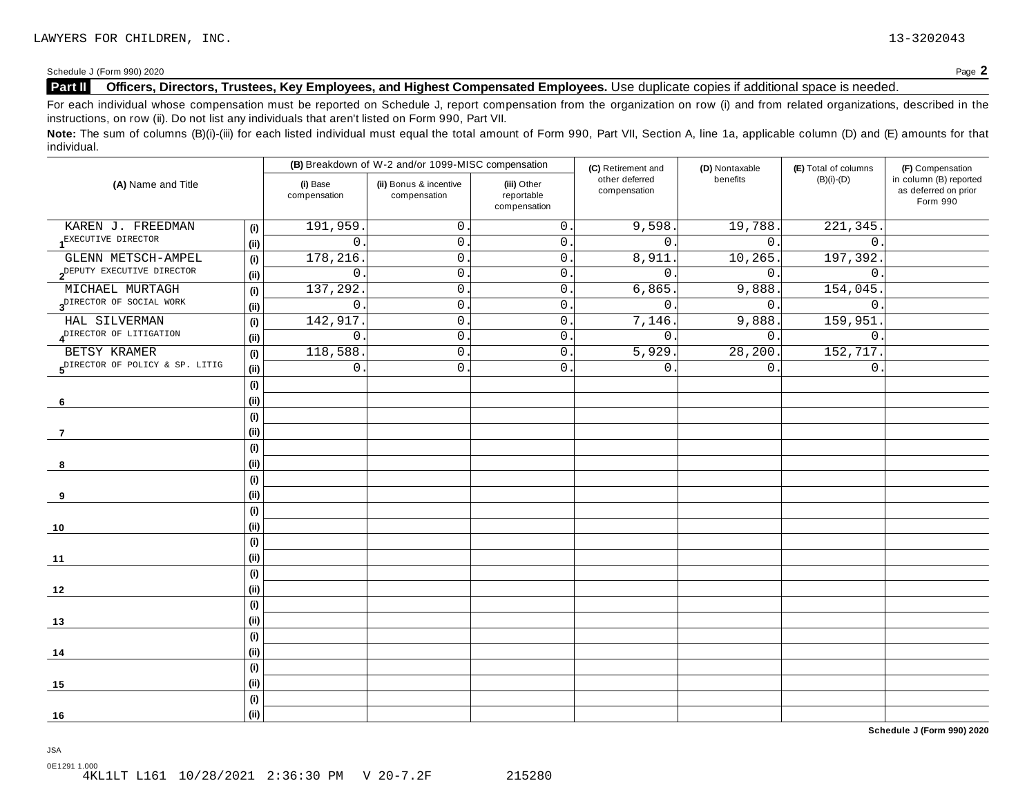Schedule <sup>J</sup> (Form 990) <sup>2020</sup> Page **2**

# **Part II Officers, Directors, Trustees, Key Employees, and Highest Compensated Employees.** Use duplicate copies ifadditional space is needed.

For each individual whose compensation must be reported on Schedule J, report compensation from the organization on row (i) and from related organizations, described in the instructions, on row (ii). Do not list any individuals that aren't listed on Form 990, Part VII.

Note: The sum of columns (B)(i)-(iii) for each listed individual must equal the total amount of Form 990, Part VII, Section A, line 1a, applicable column (D) and (E) amounts for that individual.

| (B) Breakdown of W-2 and/or 1099-MISC compensation |                              |                          | (C) Retirement and                                                                                                    | (D) Nontaxable   | (E) Total of columns | (F) Compensation      |                                                            |  |
|----------------------------------------------------|------------------------------|--------------------------|-----------------------------------------------------------------------------------------------------------------------|------------------|----------------------|-----------------------|------------------------------------------------------------|--|
| (A) Name and Title                                 |                              | (i) Base<br>compensation | other deferred<br>(ii) Bonus & incentive<br>(iii) Other<br>compensation<br>reportable<br>compensation<br>compensation |                  | benefits             | $(B)(i)-(D)$          | in column (B) reported<br>as deferred on prior<br>Form 990 |  |
| KAREN J. FREEDMAN                                  | (i)                          | 191,959                  | 0                                                                                                                     | 0.               | 9,598.               | 19,788.               | 221,345                                                    |  |
| EXECUTIVE DIRECTOR                                 | (i)                          | $\mathbf 0$              | $\mathbf 0$                                                                                                           | $0$ .            | $\mathbf{0}$ .       | $\overline{0}$ .      | $\mathbf 0$                                                |  |
| GLENN METSCH-AMPEL                                 | (i)                          | 178,216                  | $\mathsf{O}$ .                                                                                                        | 0.               | 8,911                | 10, 265.              | 197,392                                                    |  |
| 2 <sup>DEPUTY</sup> EXECUTIVE DIRECTOR             | (i)                          | $\mathsf{O}$             | $\mathbf 0$                                                                                                           | 0.               | $\mathbf{0}$         | 0.                    | $\mathbf 0$                                                |  |
| MICHAEL MURTAGH                                    | (i)                          | 137,292                  | $\mathsf{O}$ .                                                                                                        | 0.               | 6,865                | 9,888.                | 154,045                                                    |  |
| 3 <sup>DIRECTOR</sup> OF SOCIAL WORK               | (i)                          | $\mathsf{O}$             | $\mathbf 0$                                                                                                           | 0.               | $\mathbf{0}$ .       | 0.                    | $\mathbf 0$ .                                              |  |
| HAL SILVERMAN                                      | (i)                          | 142,917                  | 0                                                                                                                     | 0.               | 7,146.               | 9,888.                | 159,951                                                    |  |
| 4 <sup>DIRECTOR</sup> OF LITIGATION                | (i)                          | 0                        | 0                                                                                                                     | 0.               | 0.                   | $0$ .                 | $\mathbf 0$ .                                              |  |
| BETSY KRAMER                                       | (i)                          | 118,588                  | $\mathsf{O}$ .                                                                                                        | $\overline{0}$ . | 5,929                | $\overline{28,200}$ . | 152,717.                                                   |  |
| 5 <sup>DIRECTOR</sup> OF POLICY & SP. LITIG        | (i)                          | 0                        | $\mathsf{O}$ .                                                                                                        | $\mathsf{O}$ .   | 0                    | 0.                    | $\mathbf 0$ .                                              |  |
|                                                    | $\qquad \qquad \textbf{(i)}$ |                          |                                                                                                                       |                  |                      |                       |                                                            |  |
| 6                                                  | (i)                          |                          |                                                                                                                       |                  |                      |                       |                                                            |  |
|                                                    | (i)                          |                          |                                                                                                                       |                  |                      |                       |                                                            |  |
| -7                                                 | (i)                          |                          |                                                                                                                       |                  |                      |                       |                                                            |  |
|                                                    | (i)                          |                          |                                                                                                                       |                  |                      |                       |                                                            |  |
| 8                                                  | (i)                          |                          |                                                                                                                       |                  |                      |                       |                                                            |  |
|                                                    | (i)                          |                          |                                                                                                                       |                  |                      |                       |                                                            |  |
| 9                                                  | (i)                          |                          |                                                                                                                       |                  |                      |                       |                                                            |  |
|                                                    | (i)                          |                          |                                                                                                                       |                  |                      |                       |                                                            |  |
| 10                                                 | (i)                          |                          |                                                                                                                       |                  |                      |                       |                                                            |  |
|                                                    | (i)                          |                          |                                                                                                                       |                  |                      |                       |                                                            |  |
| 11                                                 | (i)                          |                          |                                                                                                                       |                  |                      |                       |                                                            |  |
|                                                    | (i)                          |                          |                                                                                                                       |                  |                      |                       |                                                            |  |
| 12                                                 | (i)                          |                          |                                                                                                                       |                  |                      |                       |                                                            |  |
|                                                    | (i)                          |                          |                                                                                                                       |                  |                      |                       |                                                            |  |
| 13                                                 | (i)                          |                          |                                                                                                                       |                  |                      |                       |                                                            |  |
|                                                    | (i)                          |                          |                                                                                                                       |                  |                      |                       |                                                            |  |
| 14                                                 | (i)                          |                          |                                                                                                                       |                  |                      |                       |                                                            |  |
|                                                    | (i)                          |                          |                                                                                                                       |                  |                      |                       |                                                            |  |
| 15                                                 | (i)                          |                          |                                                                                                                       |                  |                      |                       |                                                            |  |
|                                                    | (i)                          |                          |                                                                                                                       |                  |                      |                       |                                                            |  |
| 16                                                 | (i)                          |                          |                                                                                                                       |                  |                      |                       |                                                            |  |

**Schedule J (Form 990) 2020**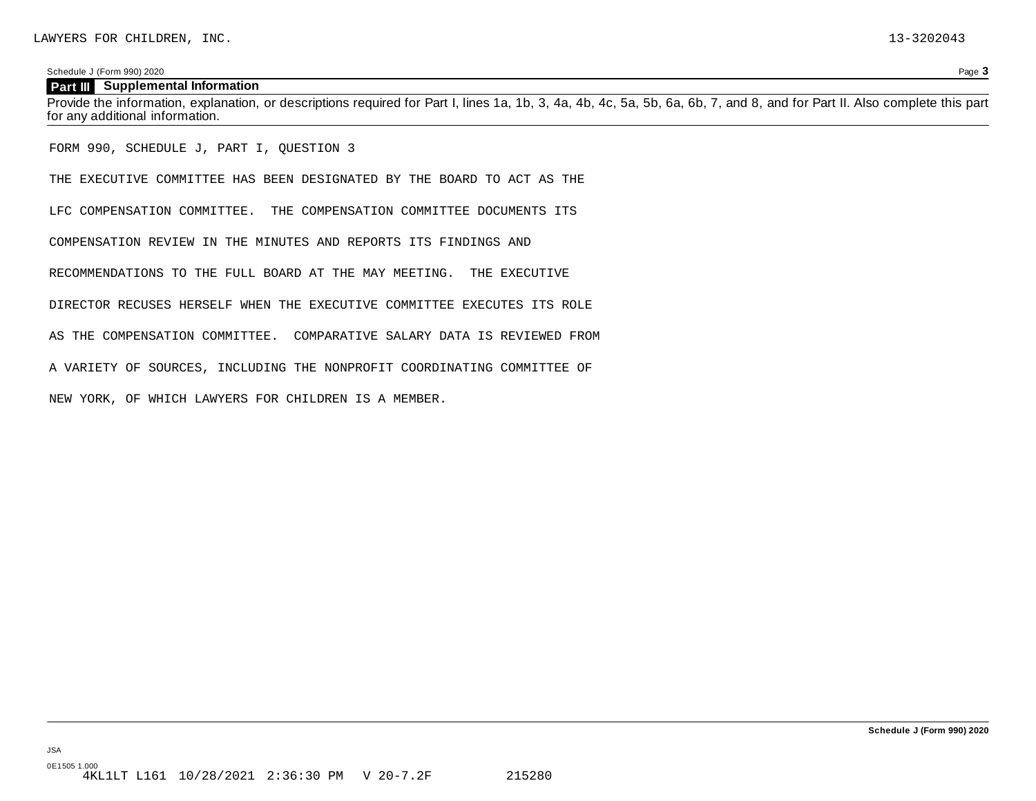Schedule J (Form 990) 2020 Page **3**

### **Part III Supplemental Information**

Provide the information, explanation, or descriptions required for Part I, lines 1a, 1b, 3, 4a, 4b, 4c, 5a, 5b, 6a, 6b, 7, and 8, and for Part II. Also complete this part for any additional information.

FORM 990, SCHEDULE J, PART I, QUESTION 3

THE EXECUTIVE COMMITTEE HAS BEEN DESIGNATED BY THE BOARD TO ACT AS THE

LFC COMPENSATION COMMITTEE. THE COMPENSATION COMMITTEE DOCUMENTS ITS

COMPENSATION REVIEW IN THE MINUTES AND REPORTS ITS FINDINGS AND

RECOMMENDATIONS TO THE FULL BOARD AT THE MAY MEETING. THE EXECUTIVE

DIRECTOR RECUSES HERSELF WHEN THE EXECUTIVE COMMITTEE EXECUTES ITS ROLE

AS THE COMPENSATION COMMITTEE. COMPARATIVE SALARY DATA IS REVIEWED FROM

A VARIETY OF SOURCES, INCLUDING THE NONPROFIT COORDINATING COMMITTEE OF

NEW YORK, OF WHICH LAWYERS FOR CHILDREN IS A MEMBER.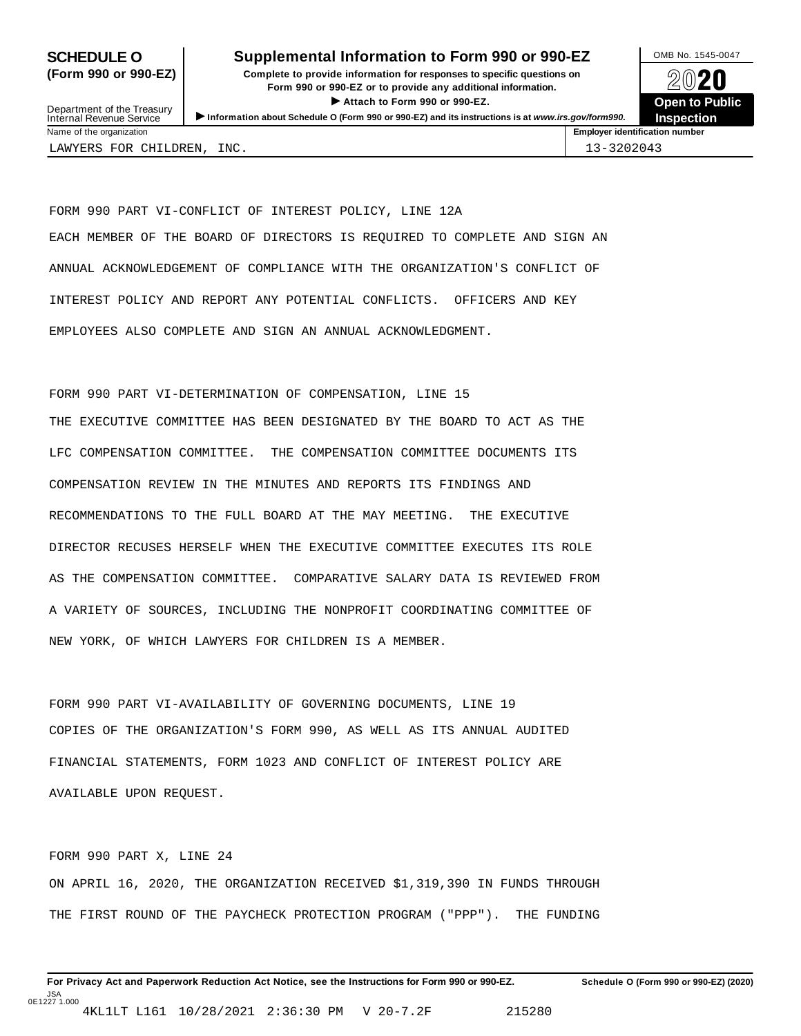# **SCHEDULE O** Supplemental Information to Form 990 or 990-EZ DAMB No. 1545-0047

**(Form 990 or 990-EZ) Complete to provide information for responses to specific questions on** plete to provide information for responses to specific questions on  $\bigotimes_{\mathbb{Z}}\mathbb{Q}$  20 **EVECT**<br>
Attach to Form 990 or 990-EZ.<br>
and the Communication of the Communication of the Communication of the Communication of the Communication of the Communication of the Communication of the Communication of the Commu Department of the Treasury <br>Depen to Public<br>Name of the organization<br>Name of the organization<br>Name of the organization<br>Name of the organization<br>Inspection



Department of the Treasury<br>Internal Revenue Service

LAWYERS FOR CHILDREN, INC. 13-3202043

FORM 990 PART VI-CONFLICT OF INTEREST POLICY, LINE 12A EACH MEMBER OF THE BOARD OF DIRECTORS IS REQUIRED TO COMPLETE AND SIGN AN ANNUAL ACKNOWLEDGEMENT OF COMPLIANCE WITH THE ORGANIZATION'S CONFLICT OF INTEREST POLICY AND REPORT ANY POTENTIAL CONFLICTS. OFFICERS AND KEY EMPLOYEES ALSO COMPLETE AND SIGN AN ANNUAL ACKNOWLEDGMENT.

FORM 990 PART VI-DETERMINATION OF COMPENSATION, LINE 15 THE EXECUTIVE COMMITTEE HAS BEEN DESIGNATED BY THE BOARD TO ACT AS THE LFC COMPENSATION COMMITTEE. THE COMPENSATION COMMITTEE DOCUMENTS ITS COMPENSATION REVIEW IN THE MINUTES AND REPORTS ITS FINDINGS AND RECOMMENDATIONS TO THE FULL BOARD AT THE MAY MEETING. THE EXECUTIVE DIRECTOR RECUSES HERSELF WHEN THE EXECUTIVE COMMITTEE EXECUTES ITS ROLE AS THE COMPENSATION COMMITTEE. COMPARATIVE SALARY DATA IS REVIEWED FROM A VARIETY OF SOURCES, INCLUDING THE NONPROFIT COORDINATING COMMITTEE OF NEW YORK, OF WHICH LAWYERS FOR CHILDREN IS A MEMBER.

FORM 990 PART VI-AVAILABILITY OF GOVERNING DOCUMENTS, LINE 19 COPIES OF THE ORGANIZATION'S FORM 990, AS WELL AS ITS ANNUAL AUDITED FINANCIAL STATEMENTS, FORM 1023 AND CONFLICT OF INTEREST POLICY ARE AVAILABLE UPON REQUEST.

FORM 990 PART X, LINE 24 ON APRIL 16, 2020, THE ORGANIZATION RECEIVED \$1,319,390 IN FUNDS THROUGH THE FIRST ROUND OF THE PAYCHECK PROTECTION PROGRAM ("PPP"). THE FUNDING